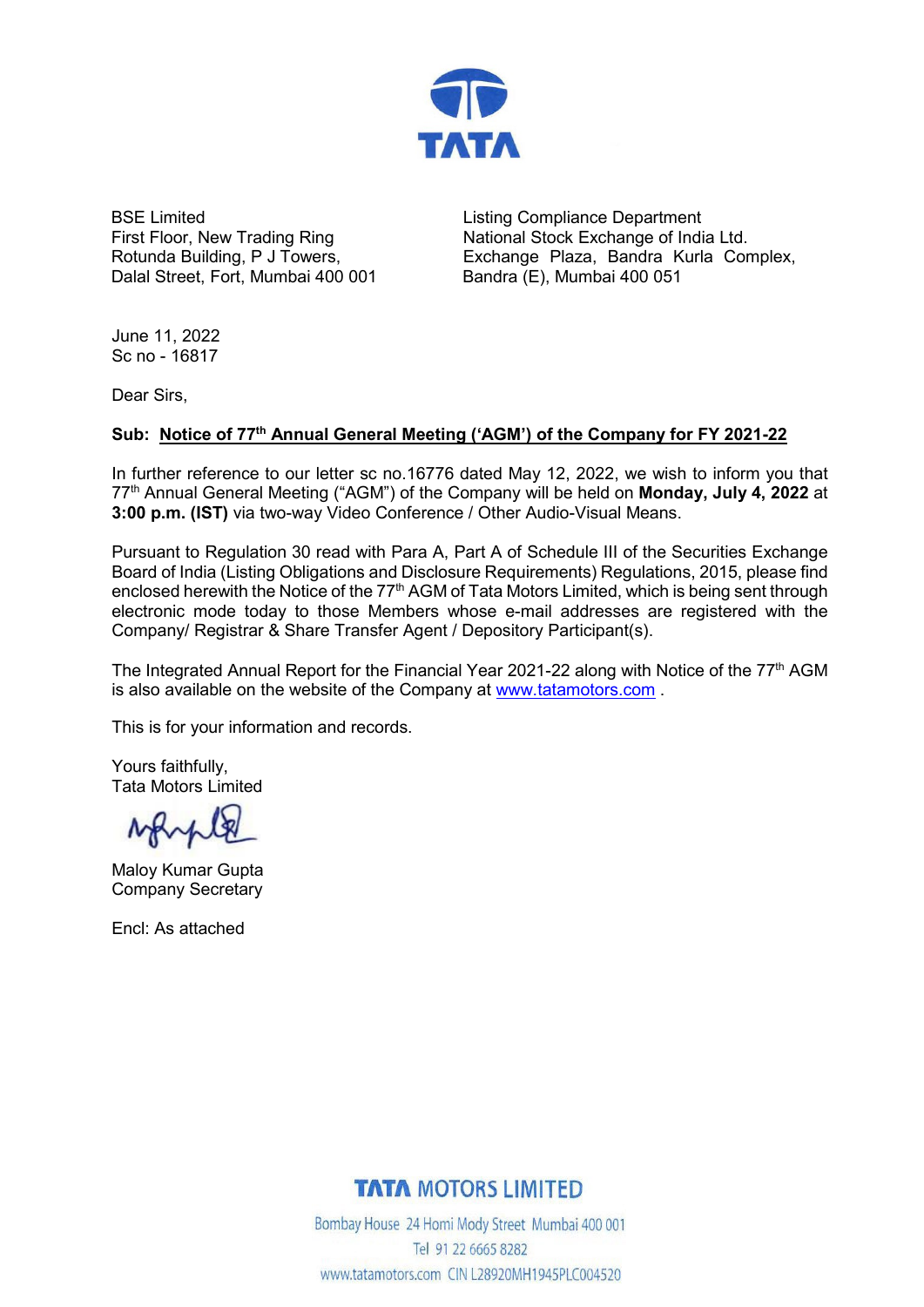

BSE Limited First Floor, New Trading Ring Rotunda Building, P J Towers, Dalal Street, Fort, Mumbai 400 001 Listing Compliance Department National Stock Exchange of India Ltd. Exchange Plaza, Bandra Kurla Complex, Bandra (E), Mumbai 400 051

June 11, 2022 Sc no - 16817

Dear Sirs,

### **Sub: Notice of 77th Annual General Meeting ('AGM') of the Company for FY 2021-22**

In further reference to our letter sc no.16776 dated May 12, 2022, we wish to inform you that 77<sup>th</sup> Annual General Meeting ("AGM") of the Company will be held on **Monday, July 4, 2022** at **3:00 p.m. (IST)** via two-way Video Conference / Other Audio-Visual Means.

Pursuant to Regulation 30 read with Para A, Part A of Schedule III of the Securities Exchange Board of India (Listing Obligations and Disclosure Requirements) Regulations, 2015, please find enclosed herewith the Notice of the 77<sup>th</sup> AGM of Tata Motors Limited, which is being sent through electronic mode today to those Members whose e-mail addresses are registered with the Company/ Registrar & Share Transfer Agent / Depository Participant(s).

The Integrated Annual Report for the Financial Year 2021-22 along with Notice of the 77<sup>th</sup> AGM is also available on the website of the Company at [www.tatamotors.com](http://www.tatamotors.com/) .

This is for your information and records.

Yours faithfully, Tata Motors Limited

MAMP

Maloy Kumar Gupta Company Secretary

Encl: As attached

## **TATA MOTORS LIMITED**

Bombay House 24 Homi Mody Street Mumbai 400 001 Tel 91 22 6665 8282 www.tatamotors.com CIN L28920MH1945PLC004520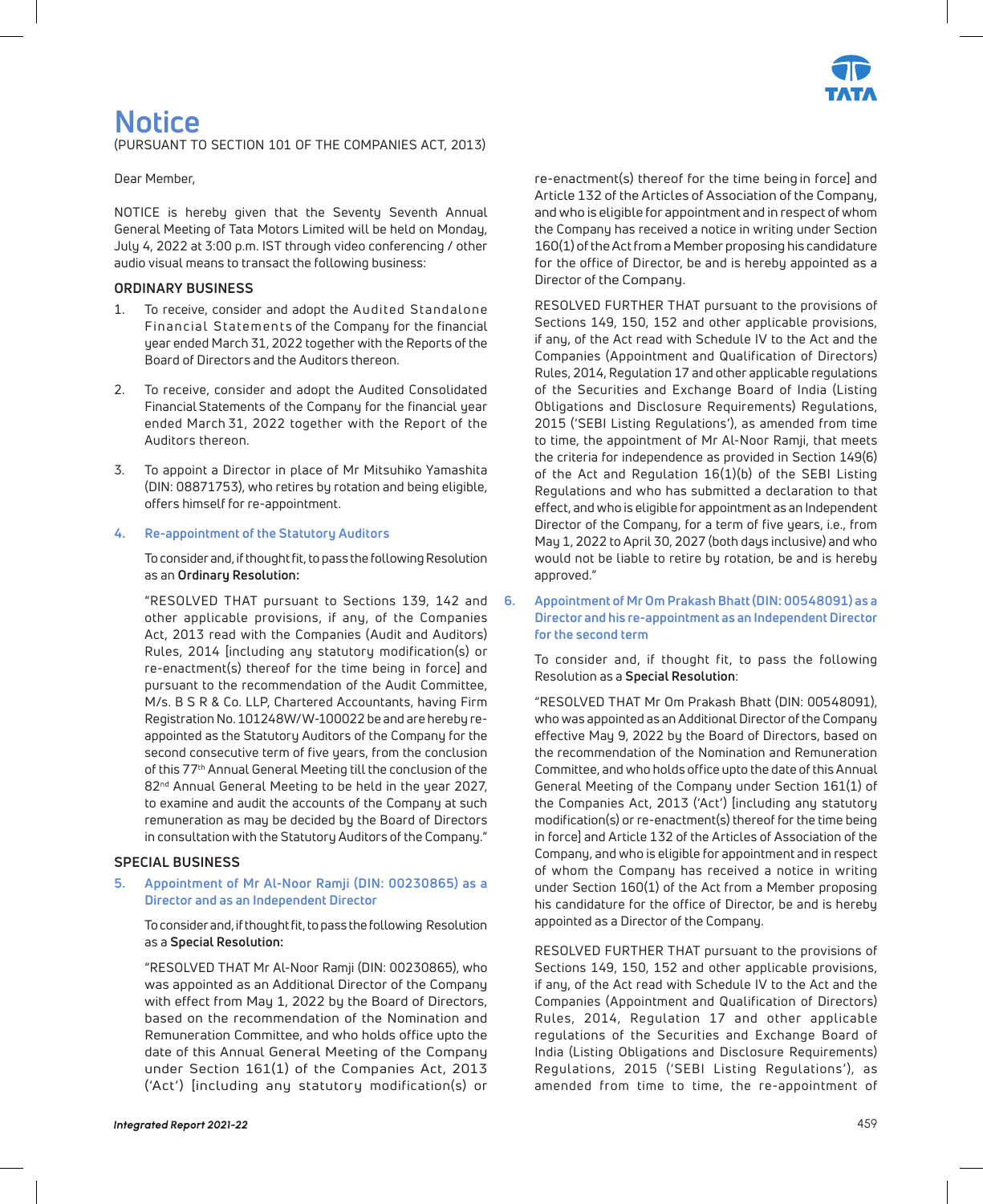

# **Notice**

(PURSUANT TO SECTION 101 OF THE COMPANIES ACT, 2013)

Dear Member,

NOTICE is hereby given that the Seventy Seventh Annual General Meeting of Tata Motors Limited will be held on Monday, July 4, 2022 at 3:00 p.m. IST through video conferencing / other audio visual means to transact the following business:

#### **ORDINARY BUSINESS**

- To receive, consider and adopt the Audited Standalone Financial Statements of the Company for the financial year ended March 31, 2022 together with the Reports of the Board of Directors and the Auditors thereon.
- 2. To receive, consider and adopt the Audited Consolidated Financial Statements of the Company for the financial year ended March 31, 2022 together with the Report of the Auditors thereon.
- 3. To appoint a Director in place of Mr Mitsuhiko Yamashita (DIN: 08871753), who retires by rotation and being eligible, offers himself for re-appointment.

#### **4. Re-appointment of the Statutory Auditors**

To consider and, if thought fit, to pass the following Resolution as an **Ordinary Resolution:**

"RESOLVED THAT pursuant to Sections 139, 142 and other applicable provisions, if any, of the Companies Act, 2013 read with the Companies (Audit and Auditors) Rules, 2014 [including any statutory modification(s) or re-enactment(s) thereof for the time being in force] and pursuant to the recommendation of the Audit Committee, M/s. B S R & Co. LLP, Chartered Accountants, having Firm Registration No. 101248W/W-100022 be and are hereby reappointed as the Statutory Auditors of the Company for the second consecutive term of five years, from the conclusion of this 77<sup>th</sup> Annual General Meeting till the conclusion of the 82<sup>nd</sup> Annual General Meeting to be held in the year 2027, to examine and audit the accounts of the Company at such remuneration as may be decided by the Board of Directors in consultation with the Statutory Auditors of the Company."

#### **SPECIAL BUSINESS**

#### **5. Appointment of Mr Al-Noor Ramji (DIN: 00230865) as a Director and as an Independent Director**

To consider and, if thought fit, to pass the following Resolution as a **Special Resolution:**

"RESOLVED THAT Mr Al-Noor Ramji (DIN: 00230865), who was appointed as an Additional Director of the Company with effect from May 1, 2022 by the Board of Directors, based on the recommendation of the Nomination and Remuneration Committee, and who holds office upto the date of this Annual General Meeting of the Company under Section 161(1) of the Companies Act, 2013 ('Act') [including any statutory modification(s) or re-enactment(s) thereof for the time being in force] and Article 132 of the Articles of Association of the Company, and who is eligible for appointment and in respect of whom the Company has received a notice in writing under Section 160(1) of the Act from a Member proposing his candidature for the office of Director, be and is hereby appointed as a Director of the Company.

RESOLVED FURTHER THAT pursuant to the provisions of Sections 149, 150, 152 and other applicable provisions, if any, of the Act read with Schedule IV to the Act and the Companies (Appointment and Qualification of Directors) Rules, 2014, Regulation 17 and other applicable regulations of the Securities and Exchange Board of India (Listing Obligations and Disclosure Requirements) Regulations, 2015 ('SEBI Listing Regulations'), as amended from time to time, the appointment of Mr Al-Noor Ramji, that meets the criteria for independence as provided in Section 149(6) of the Act and Regulation 16(1)(b) of the SEBI Listing Regulations and who has submitted a declaration to that effect, and who is eligible for appointment as an Independent Director of the Company, for a term of five years, i.e., from May 1, 2022 to April 30, 2027 (both days inclusive) and who would not be liable to retire by rotation, be and is hereby approved."

**6. Appointment of Mr Om Prakash Bhatt (DIN: 00548091) as a Director and his re-appointment as an Independent Director for the second term**

To consider and, if thought fit, to pass the following Resolution as a **Special Resolution**:

"RESOLVED THAT Mr Om Prakash Bhatt (DIN: 00548091), who was appointed as an Additional Director of the Company effective May 9, 2022 by the Board of Directors, based on the recommendation of the Nomination and Remuneration Committee, and who holds office upto the date of this Annual General Meeting of the Company under Section 161(1) of the Companies Act, 2013 ('Act') [including any statutory modification(s) or re-enactment(s) thereof for the time being in force] and Article 132 of the Articles of Association of the Company, and who is eligible for appointment and in respect of whom the Company has received a notice in writing under Section 160(1) of the Act from a Member proposing his candidature for the office of Director, be and is hereby appointed as a Director of the Company.

RESOLVED FURTHER THAT pursuant to the provisions of Sections 149, 150, 152 and other applicable provisions, if any, of the Act read with Schedule IV to the Act and the Companies (Appointment and Qualification of Directors) Rules, 2014, Regulation 17 and other applicable regulations of the Securities and Exchange Board of India (Listing Obligations and Disclosure Requirements) Regulations, 2015 ('SEBI Listing Regulations'), as amended from time to time, the re-appointment of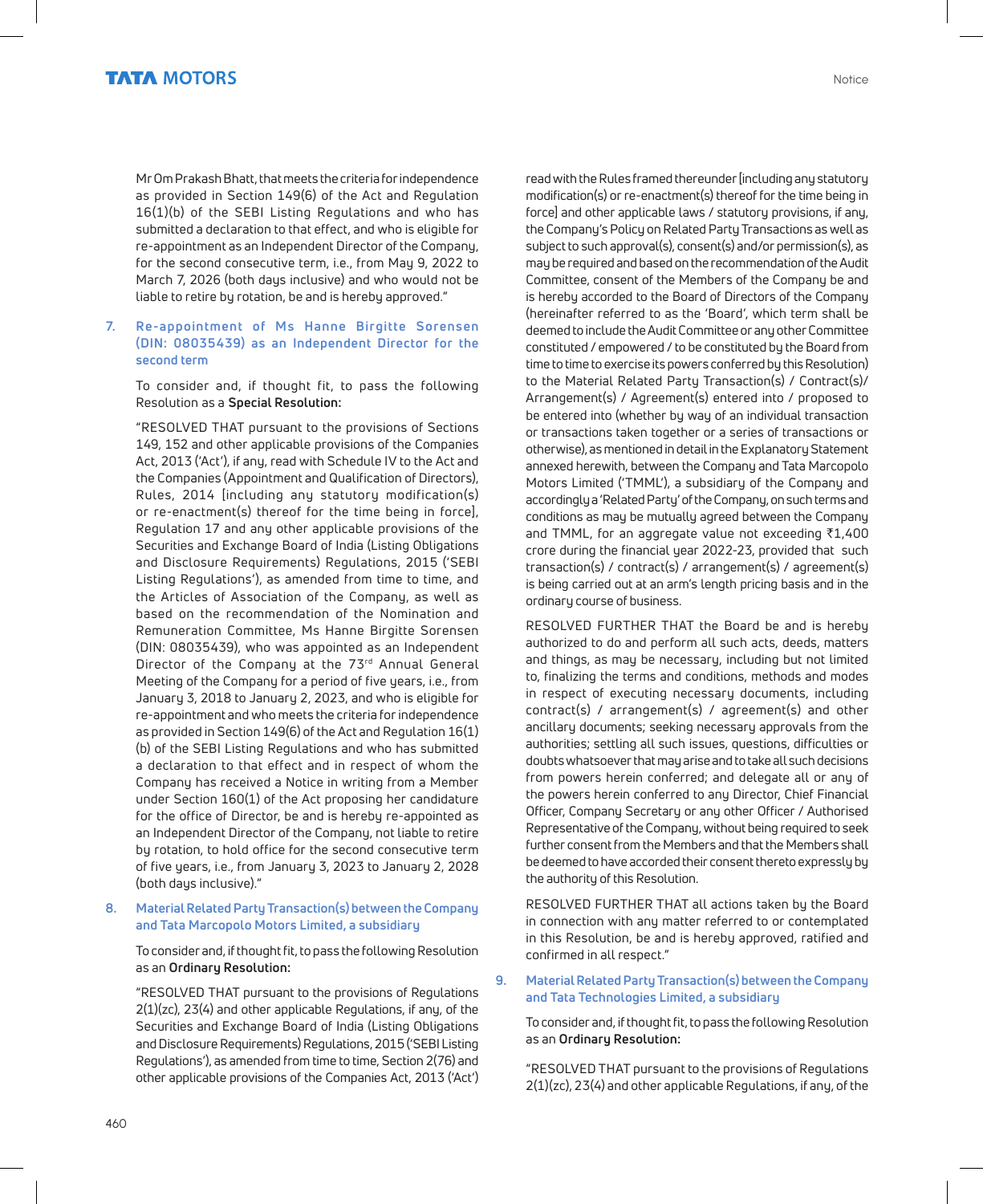Mr Om Prakash Bhatt, that meets the criteria for independence as provided in Section 149(6) of the Act and Regulation 16(1)(b) of the SEBI Listing Regulations and who has submitted a declaration to that effect, and who is eligible for re-appointment as an Independent Director of the Company, for the second consecutive term, i.e., from May 9, 2022 to March 7, 2026 (both days inclusive) and who would not be liable to retire by rotation, be and is hereby approved."

#### **7. Re-appointment of Ms Hanne Birgitte Sorensen (DIN: 08035439) as an Independent Director for the second term**

To consider and, if thought fit, to pass the following Resolution as a **Special Resolution:**

"RESOLVED THAT pursuant to the provisions of Sections 149, 152 and other applicable provisions of the Companies Act, 2013 ('Act'), if any, read with Schedule IV to the Act and the Companies (Appointment and Qualification of Directors), Rules, 2014 [including any statutory modification(s) or re-enactment(s) thereof for the time being in force], Regulation 17 and any other applicable provisions of the Securities and Exchange Board of India (Listing Obligations and Disclosure Requirements) Regulations, 2015 ('SEBI Listing Regulations'), as amended from time to time, and the Articles of Association of the Company, as well as based on the recommendation of the Nomination and Remuneration Committee, Ms Hanne Birgitte Sorensen (DIN: 08035439), who was appointed as an Independent Director of the Company at the 73rd Annual General Meeting of the Company for a period of five years, i.e., from January 3, 2018 to January 2, 2023, and who is eligible for re-appointment and who meets the criteria for independence as provided in Section 149(6) of the Act and Regulation 16(1) (b) of the SEBI Listing Regulations and who has submitted a declaration to that effect and in respect of whom the Company has received a Notice in writing from a Member under Section 160(1) of the Act proposing her candidature for the office of Director, be and is hereby re-appointed as an Independent Director of the Company, not liable to retire by rotation, to hold office for the second consecutive term of five years, i.e., from January 3, 2023 to January 2, 2028 (both days inclusive)."

#### **8. Material Related Party Transaction(s) between the Company and Tata Marcopolo Motors Limited, a subsidiary**

To consider and, if thought fit, to pass the following Resolution as an **Ordinary Resolution:**

"RESOLVED THAT pursuant to the provisions of Regulations 2(1)(zc), 23(4) and other applicable Regulations, if any, of the Securities and Exchange Board of India (Listing Obligations and Disclosure Requirements) Regulations, 2015 ('SEBI Listing Regulations'), as amended from time to time, Section 2(76) and other applicable provisions of the Companies Act, 2013 ('Act') read with the Rules framed thereunder [including any statutory modification(s) or re-enactment(s) thereof for the time being in force] and other applicable laws / statutory provisions, if any, the Company's Policy on Related Party Transactions as well as subject to such approval(s), consent(s) and/or permission(s), as may be required and based on the recommendation of the Audit Committee, consent of the Members of the Company be and is hereby accorded to the Board of Directors of the Company (hereinafter referred to as the 'Board', which term shall be deemed to include the Audit Committee or any other Committee constituted / empowered / to be constituted by the Board from time to time to exercise its powers conferred by this Resolution) to the Material Related Party Transaction(s) / Contract(s)/ Arrangement(s) / Agreement(s) entered into / proposed to be entered into (whether by way of an individual transaction or transactions taken together or a series of transactions or otherwise), as mentioned in detail in the Explanatory Statement annexed herewith, between the Company and Tata Marcopolo Motors Limited ('TMML'), a subsidiary of the Company and accordingly a 'Related Party' of the Company, on such terms and conditions as may be mutually agreed between the Company and TMML, for an aggregate value not exceeding  $\bar{z}1,400$ crore during the financial year 2022-23, provided that such transaction(s) / contract(s) / arrangement(s) / agreement(s) is being carried out at an arm's length pricing basis and in the ordinary course of business.

RESOLVED FURTHER THAT the Board be and is hereby authorized to do and perform all such acts, deeds, matters and things, as may be necessary, including but not limited to, finalizing the terms and conditions, methods and modes in respect of executing necessary documents, including contract(s) / arrangement(s) / agreement(s) and other ancillary documents; seeking necessary approvals from the authorities; settling all such issues, questions, difficulties or doubts whatsoever that may arise and to take all such decisions from powers herein conferred; and delegate all or any of the powers herein conferred to any Director, Chief Financial Officer, Company Secretary or any other Officer / Authorised Representative of the Company, without being required to seek further consent from the Members and that the Members shall be deemed to have accorded their consent thereto expressly by the authority of this Resolution.

RESOLVED FURTHER THAT all actions taken by the Board in connection with any matter referred to or contemplated in this Resolution, be and is hereby approved, ratified and confirmed in all respect."

**9. Material Related Party Transaction(s) between the Company and Tata Technologies Limited, a subsidiary**

To consider and, if thought fit, to pass the following Resolution as an **Ordinary Resolution:**

"RESOLVED THAT pursuant to the provisions of Regulations 2(1)(zc), 23(4) and other applicable Regulations, if any, of the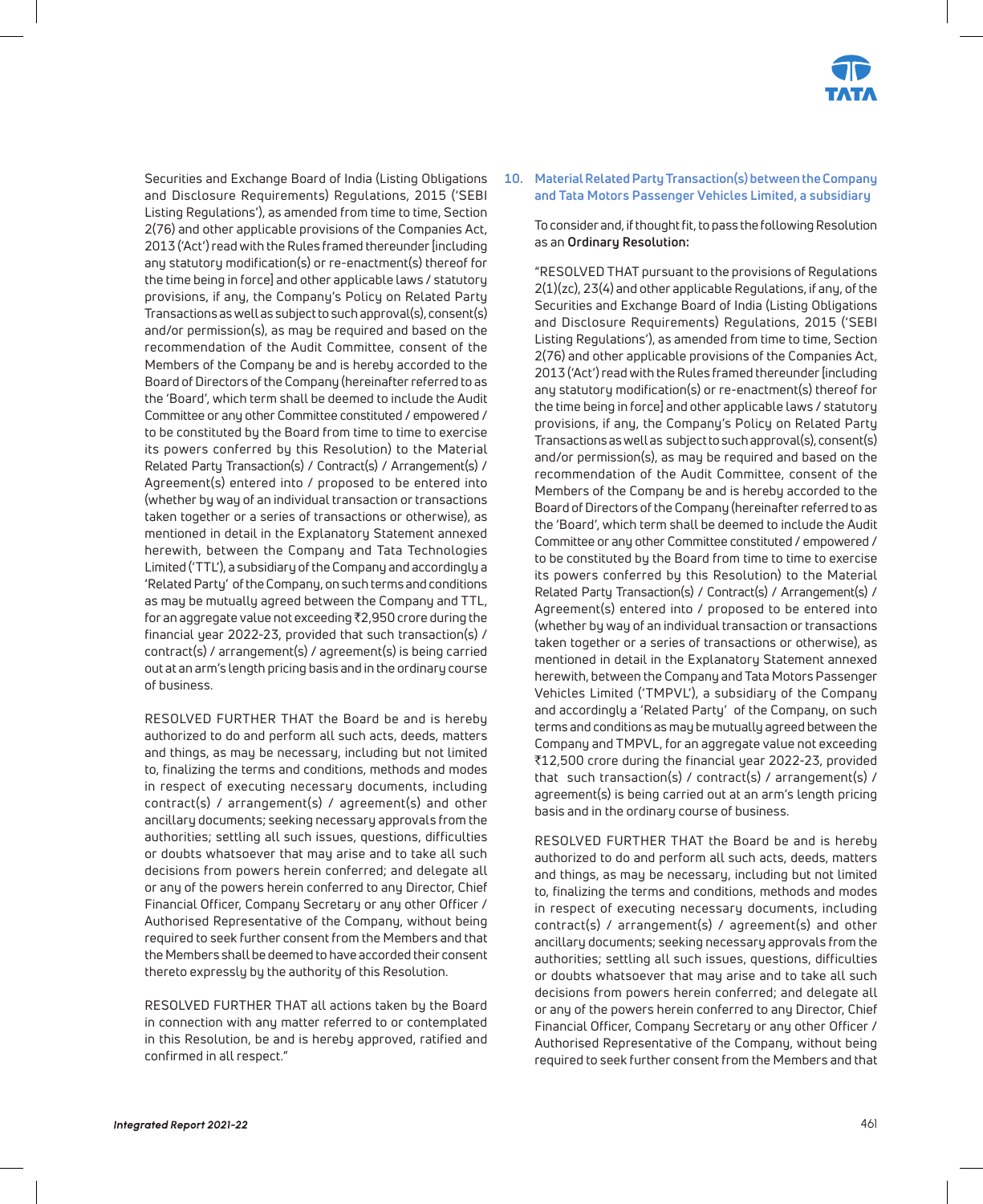

Securities and Exchange Board of India (Listing Obligations and Disclosure Requirements) Regulations, 2015 ('SEBI Listing Regulations'), as amended from time to time, Section 2(76) and other applicable provisions of the Companies Act, 2013 ('Act') read with the Rules framed thereunder [including any statutory modification(s) or re-enactment(s) thereof for the time being in force] and other applicable laws / statutory provisions, if any, the Company's Policy on Related Party Transactions as well as subject to such approval(s), consent(s) and/or permission(s), as may be required and based on the recommendation of the Audit Committee, consent of the Members of the Company be and is hereby accorded to the Board of Directors of the Company (hereinafter referred to as the 'Board', which term shall be deemed to include the Audit Committee or any other Committee constituted / empowered / to be constituted by the Board from time to time to exercise its powers conferred by this Resolution) to the Material Related Party Transaction(s) / Contract(s) / Arrangement(s) / Agreement(s) entered into / proposed to be entered into (whether by way of an individual transaction or transactions taken together or a series of transactions or otherwise), as mentioned in detail in the Explanatory Statement annexed herewith, between the Company and Tata Technologies Limited ('TTL'), a subsidiary of the Company and accordingly a 'Related Party' of the Company, on such terms and conditions as may be mutually agreed between the Company and TTL, for an aggregate value not exceeding  $\bar{z}$ 2,950 crore during the financial year 2022-23, provided that such transaction(s) / contract(s) / arrangement(s) / agreement(s) is being carried out at an arm's length pricing basis and in the ordinary course of business.

RESOLVED FURTHER THAT the Board be and is hereby authorized to do and perform all such acts, deeds, matters and things, as may be necessary, including but not limited to, finalizing the terms and conditions, methods and modes in respect of executing necessary documents, including contract(s) / arrangement(s) / agreement(s) and other ancillary documents; seeking necessary approvals from the authorities; settling all such issues, questions, difficulties or doubts whatsoever that may arise and to take all such decisions from powers herein conferred; and delegate all or any of the powers herein conferred to any Director, Chief Financial Officer, Company Secretary or any other Officer / Authorised Representative of the Company, without being required to seek further consent from the Members and that the Members shall be deemed to have accorded their consent thereto expressly by the authority of this Resolution.

RESOLVED FURTHER THAT all actions taken by the Board in connection with any matter referred to or contemplated in this Resolution, be and is hereby approved, ratified and confirmed in all respect."

**10. Material Related Party Transaction(s) between the Company and Tata Motors Passenger Vehicles Limited, a subsidiary**

To consider and, if thought fit, to pass the following Resolution as an **Ordinary Resolution:**

"RESOLVED THAT pursuant to the provisions of Regulations 2(1)(zc), 23(4) and other applicable Regulations, if any, of the Securities and Exchange Board of India (Listing Obligations and Disclosure Requirements) Regulations, 2015 ('SEBI Listing Regulations'), as amended from time to time, Section 2(76) and other applicable provisions of the Companies Act, 2013 ('Act') read with the Rules framed thereunder [including any statutory modification(s) or re-enactment(s) thereof for the time being in force] and other applicable laws / statutory provisions, if any, the Company's Policy on Related Party Transactions as well as subject to such approval(s), consent(s) and/or permission(s), as may be required and based on the recommendation of the Audit Committee, consent of the Members of the Company be and is hereby accorded to the Board of Directors of the Company (hereinafter referred to as the 'Board', which term shall be deemed to include the Audit Committee or any other Committee constituted / empowered / to be constituted by the Board from time to time to exercise its powers conferred by this Resolution) to the Material Related Party Transaction(s) / Contract(s) / Arrangement(s) / Agreement(s) entered into / proposed to be entered into (whether by way of an individual transaction or transactions taken together or a series of transactions or otherwise), as mentioned in detail in the Explanatory Statement annexed herewith, between the Company and Tata Motors Passenger Vehicles Limited ('TMPVL'), a subsidiary of the Company and accordingly a 'Related Party' of the Company, on such terms and conditions as may be mutually agreed between the Company and TMPVL, for an aggregate value not exceeding ₹12,500 crore during the financial year 2022-23, provided that such transaction(s) / contract(s) / arrangement(s) / agreement(s) is being carried out at an arm's length pricing basis and in the ordinary course of business.

RESOLVED FURTHER THAT the Board be and is hereby authorized to do and perform all such acts, deeds, matters and things, as may be necessary, including but not limited to, finalizing the terms and conditions, methods and modes in respect of executing necessary documents, including contract(s) / arrangement(s) / agreement(s) and other ancillary documents; seeking necessary approvals from the authorities; settling all such issues, questions, difficulties or doubts whatsoever that may arise and to take all such decisions from powers herein conferred; and delegate all or any of the powers herein conferred to any Director, Chief Financial Officer, Company Secretary or any other Officer / Authorised Representative of the Company, without being required to seek further consent from the Members and that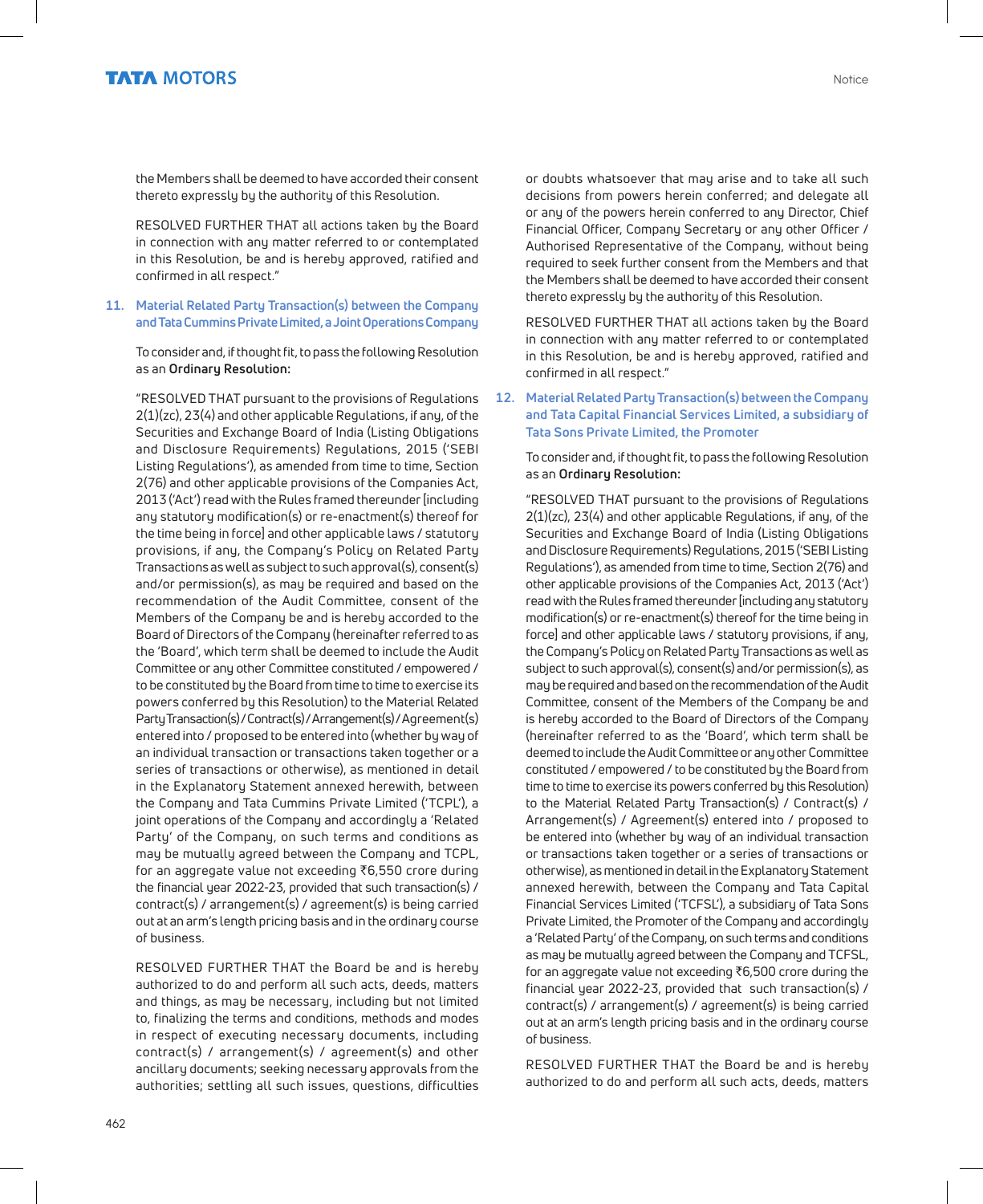the Members shall be deemed to have accorded their consent thereto expressly by the authority of this Resolution.

RESOLVED FURTHER THAT all actions taken by the Board in connection with any matter referred to or contemplated in this Resolution, be and is hereby approved, ratified and confirmed in all respect."

#### **11. Material Related Party Transaction(s) between the Company and Tata Cummins Private Limited, a Joint Operations Company**

To consider and, if thought fit, to pass the following Resolution as an **Ordinary Resolution:**

"RESOLVED THAT pursuant to the provisions of Regulations 2(1)(zc), 23(4) and other applicable Regulations, if any, of the Securities and Exchange Board of India (Listing Obligations and Disclosure Requirements) Regulations, 2015 ('SEBI Listing Regulations'), as amended from time to time, Section 2(76) and other applicable provisions of the Companies Act, 2013 ('Act') read with the Rules framed thereunder [including any statutory modification(s) or re-enactment(s) thereof for the time being in force] and other applicable laws / statutory provisions, if any, the Company's Policy on Related Party Transactions as well as subject to such approval(s), consent(s) and/or permission(s), as may be required and based on the recommendation of the Audit Committee, consent of the Members of the Company be and is hereby accorded to the Board of Directors of the Company (hereinafter referred to as the 'Board', which term shall be deemed to include the Audit Committee or any other Committee constituted / empowered / to be constituted by the Board from time to time to exercise its powers conferred by this Resolution) to the Material Related Party Transaction(s) / Contract(s) / Arrangement(s) / Agreement(s) entered into / proposed to be entered into (whether by way of an individual transaction or transactions taken together or a series of transactions or otherwise), as mentioned in detail in the Explanatory Statement annexed herewith, between the Company and Tata Cummins Private Limited ('TCPL'), a joint operations of the Company and accordingly a 'Related Party' of the Company, on such terms and conditions as may be mutually agreed between the Company and TCPL, for an aggregate value not exceeding  $\bar{\tau}$ 6,550 crore during the financial year 2022-23, provided that such transaction(s) / contract(s) / arrangement(s) / agreement(s) is being carried out at an arm's length pricing basis and in the ordinary course of business.

RESOLVED FURTHER THAT the Board be and is hereby authorized to do and perform all such acts, deeds, matters and things, as may be necessary, including but not limited to, finalizing the terms and conditions, methods and modes in respect of executing necessary documents, including contract(s) / arrangement(s) / agreement(s) and other ancillary documents; seeking necessary approvals from the authorities; settling all such issues, questions, difficulties

or doubts whatsoever that may arise and to take all such decisions from powers herein conferred; and delegate all or any of the powers herein conferred to any Director, Chief Financial Officer, Company Secretary or any other Officer / Authorised Representative of the Company, without being required to seek further consent from the Members and that the Members shall be deemed to have accorded their consent thereto expressly by the authority of this Resolution.

RESOLVED FURTHER THAT all actions taken by the Board in connection with any matter referred to or contemplated in this Resolution, be and is hereby approved, ratified and confirmed in all respect."

**12. Material Related Party Transaction(s) between the Company and Tata Capital Financial Services Limited, a subsidiary of Tata Sons Private Limited, the Promoter** 

To consider and, if thought fit, to pass the following Resolution as an **Ordinary Resolution:**

"RESOLVED THAT pursuant to the provisions of Regulations 2(1)(zc), 23(4) and other applicable Regulations, if any, of the Securities and Exchange Board of India (Listing Obligations and Disclosure Requirements) Regulations, 2015 ('SEBI Listing Regulations'), as amended from time to time, Section 2(76) and other applicable provisions of the Companies Act, 2013 ('Act') read with the Rules framed thereunder [including any statutory modification(s) or re-enactment(s) thereof for the time being in force] and other applicable laws / statutory provisions, if any, the Company's Policy on Related Party Transactions as well as subject to such approval(s), consent(s) and/or permission(s), as may be required and based on the recommendation of the Audit Committee, consent of the Members of the Company be and is hereby accorded to the Board of Directors of the Company (hereinafter referred to as the 'Board', which term shall be deemed to include the Audit Committee or any other Committee constituted / empowered / to be constituted by the Board from time to time to exercise its powers conferred by this Resolution) to the Material Related Party Transaction(s) / Contract(s) / Arrangement(s) / Agreement(s) entered into / proposed to be entered into (whether by way of an individual transaction or transactions taken together or a series of transactions or otherwise), as mentioned in detail in the Explanatory Statement annexed herewith, between the Company and Tata Capital Financial Services Limited ('TCFSL'), a subsidiary of Tata Sons Private Limited, the Promoter of the Company and accordingly a 'Related Party' of the Company, on such terms and conditions as may be mutually agreed between the Company and TCFSL, for an aggregate value not exceeding  $\bar{\tau}$ 6,500 crore during the financial year 2022-23, provided that such transaction(s) / contract(s) / arrangement(s) / agreement(s) is being carried out at an arm's length pricing basis and in the ordinary course of business.

RESOLVED FURTHER THAT the Board be and is hereby authorized to do and perform all such acts, deeds, matters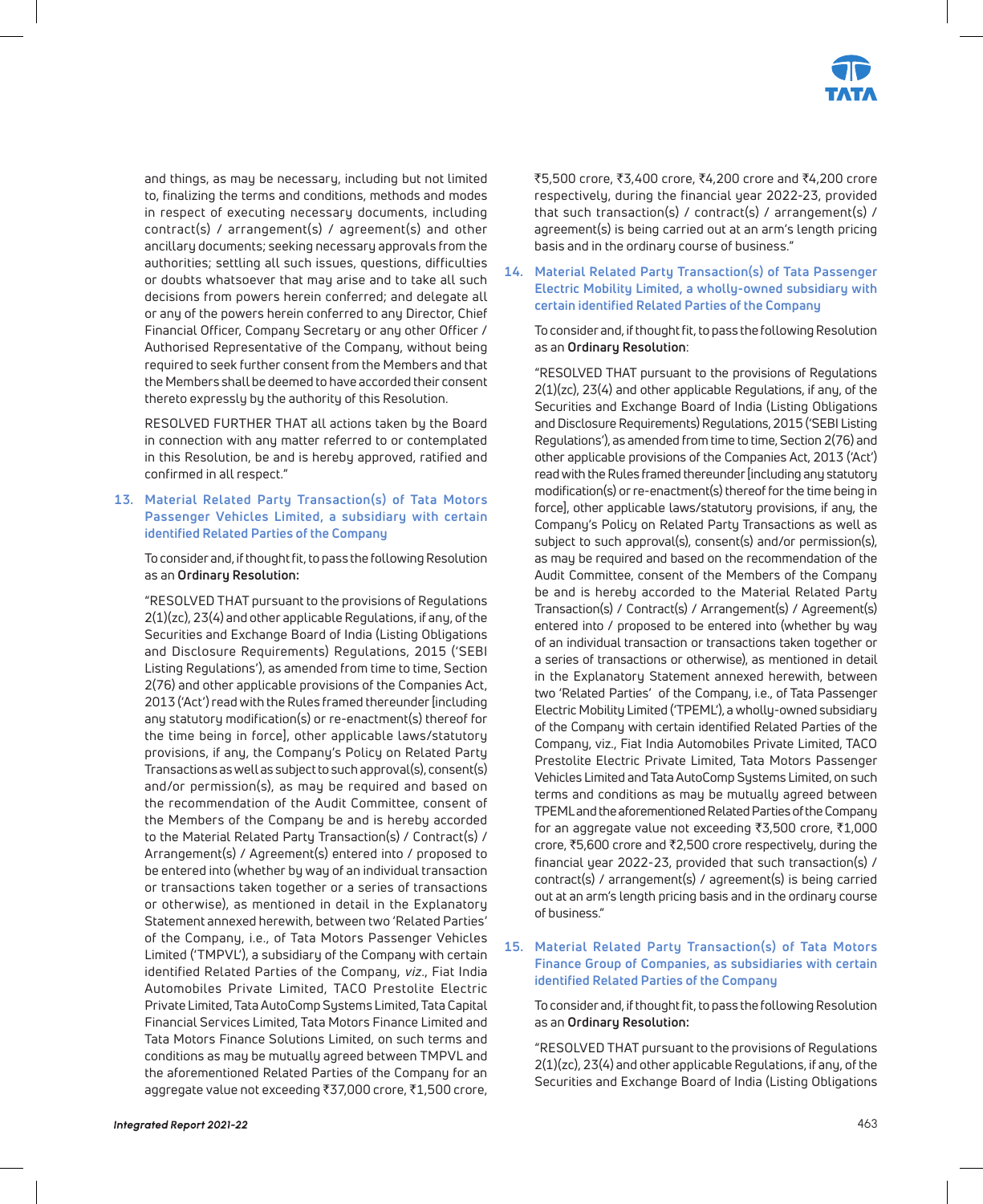

and things, as may be necessary, including but not limited to, finalizing the terms and conditions, methods and modes in respect of executing necessary documents, including contract(s) / arrangement(s) / agreement(s) and other ancillary documents; seeking necessary approvals from the authorities; settling all such issues, questions, difficulties or doubts whatsoever that may arise and to take all such decisions from powers herein conferred; and delegate all or any of the powers herein conferred to any Director, Chief Financial Officer, Company Secretary or any other Officer / Authorised Representative of the Company, without being required to seek further consent from the Members and that the Members shall be deemed to have accorded their consent thereto expressly by the authority of this Resolution.

RESOLVED FURTHER THAT all actions taken by the Board in connection with any matter referred to or contemplated in this Resolution, be and is hereby approved, ratified and confirmed in all respect."

#### **13. Material Related Party Transaction(s) of Tata Motors Passenger Vehicles Limited, a subsidiary with certain identified Related Parties of the Company**

To consider and, if thought fit, to pass the following Resolution as an **Ordinary Resolution:**

"RESOLVED THAT pursuant to the provisions of Regulations 2(1)(zc), 23(4) and other applicable Regulations, if any, of the Securities and Exchange Board of India (Listing Obligations and Disclosure Requirements) Regulations, 2015 ('SEBI Listing Regulations'), as amended from time to time, Section 2(76) and other applicable provisions of the Companies Act, 2013 ('Act') read with the Rules framed thereunder [including any statutory modification(s) or re-enactment(s) thereof for the time being in force], other applicable laws/statutory provisions, if any, the Company's Policy on Related Party Transactions as well as subject to such approval(s), consent(s) and/or permission(s), as may be required and based on the recommendation of the Audit Committee, consent of the Members of the Company be and is hereby accorded to the Material Related Party Transaction(s) / Contract(s) / Arrangement(s) / Agreement(s) entered into / proposed to be entered into (whether by way of an individual transaction or transactions taken together or a series of transactions or otherwise), as mentioned in detail in the Explanatory Statement annexed herewith, between two 'Related Parties' of the Company, i.e., of Tata Motors Passenger Vehicles Limited ('TMPVL'), a subsidiary of the Company with certain identified Related Parties of the Company, viz., Fiat India Automobiles Private Limited, TACO Prestolite Electric Private Limited, Tata AutoComp Systems Limited, Tata Capital Financial Services Limited, Tata Motors Finance Limited and Tata Motors Finance Solutions Limited, on such terms and conditions as may be mutually agreed between TMPVL and the aforementioned Related Parties of the Company for an aggregate value not exceeding ₹37,000 crore, ₹1,500 crore,

₹5,500 crore, ₹3,400 crore, ₹4,200 crore and ₹4,200 crore respectively, during the financial year 2022-23, provided that such transaction(s) / contract(s) / arrangement(s) / agreement(s) is being carried out at an arm's length pricing basis and in the ordinary course of business."

**14. Material Related Party Transaction(s) of Tata Passenger Electric Mobility Limited, a wholly-owned subsidiary with certain identified Related Parties of the Company**

 To consider and, if thought fit, to pass the following Resolution as an **Ordinary Resolution**:

"RESOLVED THAT pursuant to the provisions of Regulations 2(1)(zc), 23(4) and other applicable Regulations, if any, of the Securities and Exchange Board of India (Listing Obligations and Disclosure Requirements) Regulations, 2015 ('SEBI Listing Regulations'), as amended from time to time, Section 2(76) and other applicable provisions of the Companies Act, 2013 ('Act') read with the Rules framed thereunder [including any statutory modification(s) or re-enactment(s) thereof for the time being in force], other applicable laws/statutory provisions, if any, the Company's Policy on Related Party Transactions as well as subject to such approval(s), consent(s) and/or permission(s), as may be required and based on the recommendation of the Audit Committee, consent of the Members of the Company be and is hereby accorded to the Material Related Party Transaction(s) / Contract(s) / Arrangement(s) / Agreement(s) entered into / proposed to be entered into (whether by way of an individual transaction or transactions taken together or a series of transactions or otherwise), as mentioned in detail in the Explanatory Statement annexed herewith, between two 'Related Parties' of the Company, i.e., of Tata Passenger Electric Mobility Limited ('TPEML'), a wholly-owned subsidiary of the Company with certain identified Related Parties of the Company, viz., Fiat India Automobiles Private Limited, TACO Prestolite Electric Private Limited, Tata Motors Passenger Vehicles Limited and Tata AutoComp Systems Limited, on such terms and conditions as may be mutually agreed between TPEML and the aforementioned Related Parties of the Company for an aggregate value not exceeding  $\overline{3,500}$  crore,  $\overline{31,000}$ crore, ₹5,600 crore and ₹2,500 crore respectively, during the financial year 2022-23, provided that such transaction(s) / contract(s) / arrangement(s) / agreement(s) is being carried out at an arm's length pricing basis and in the ordinary course of business."

#### **15. Material Related Party Transaction(s) of Tata Motors Finance Group of Companies, as subsidiaries with certain identified Related Parties of the Company**

To consider and, if thought fit, to pass the following Resolution as an **Ordinary Resolution:**

"RESOLVED THAT pursuant to the provisions of Regulations 2(1)(zc), 23(4) and other applicable Regulations, if any, of the Securities and Exchange Board of India (Listing Obligations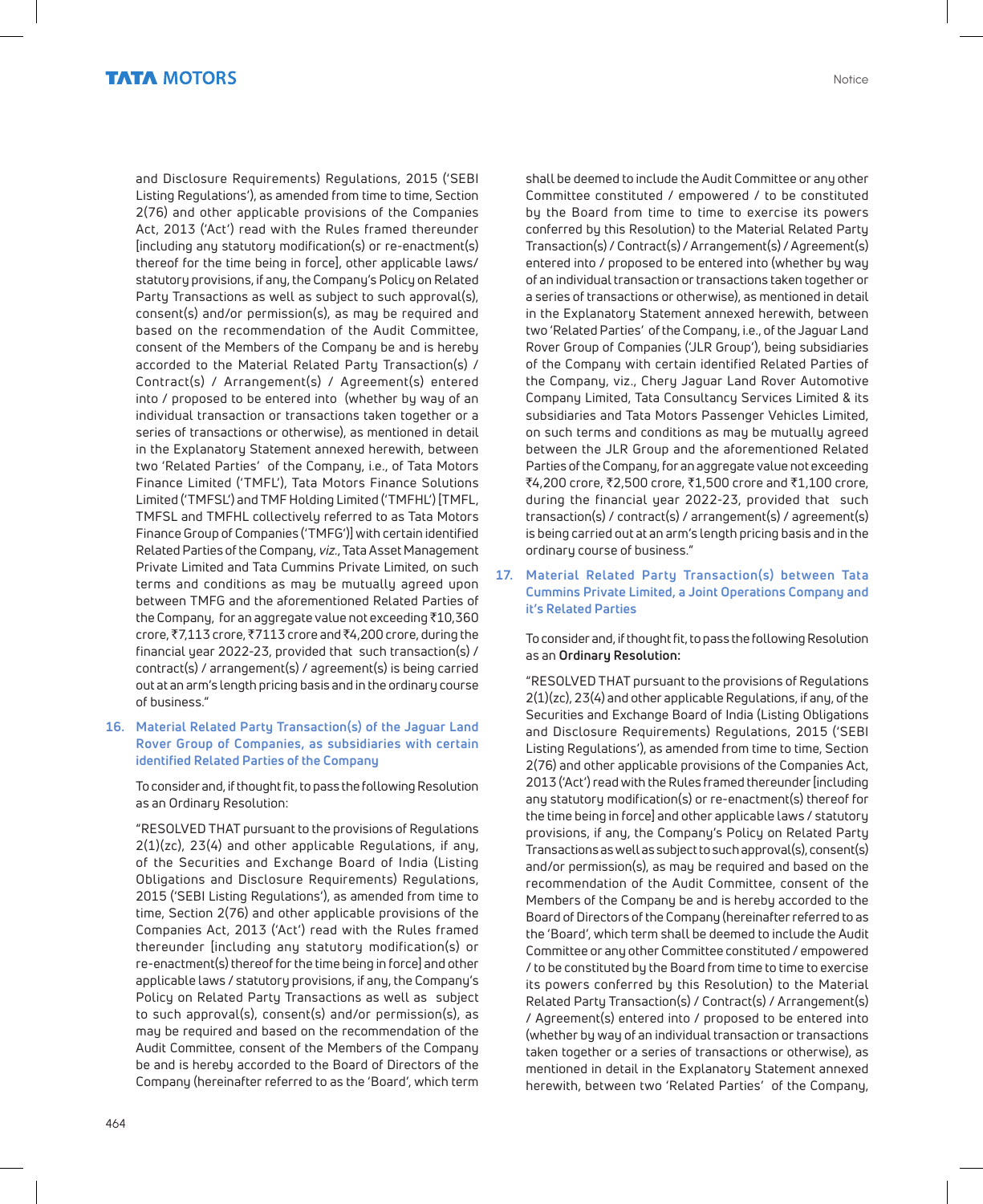and Disclosure Requirements) Regulations, 2015 ('SEBI Listing Regulations'), as amended from time to time, Section 2(76) and other applicable provisions of the Companies Act, 2013 ('Act') read with the Rules framed thereunder [including any statutory modification(s) or re-enactment(s) thereof for the time being in force], other applicable laws/ statutory provisions, if any, the Company's Policy on Related Party Transactions as well as subject to such approval(s), consent(s) and/or permission(s), as may be required and based on the recommendation of the Audit Committee, consent of the Members of the Company be and is hereby accorded to the Material Related Party Transaction(s) / Contract(s) / Arrangement(s) / Agreement(s) entered into / proposed to be entered into (whether by way of an individual transaction or transactions taken together or a series of transactions or otherwise), as mentioned in detail in the Explanatory Statement annexed herewith, between two 'Related Parties' of the Company, i.e., of Tata Motors Finance Limited ('TMFL'), Tata Motors Finance Solutions Limited ('TMFSL') and TMF Holding Limited ('TMFHL') [TMFL, TMFSL and TMFHL collectively referred to as Tata Motors Finance Group of Companies ('TMFG')] with certain identified Related Parties of the Company, viz., Tata Asset Management Private Limited and Tata Cummins Private Limited, on such terms and conditions as may be mutually agreed upon between TMFG and the aforementioned Related Parties of the Company, for an aggregate value not exceeding  $\bar{\tau}$ 10,360 crore, ₹7,113 crore, ₹7113 crore and ₹4,200 crore, during the financial year 2022-23, provided that such transaction(s) / contract(s) / arrangement(s) / agreement(s) is being carried out at an arm's length pricing basis and in the ordinary course of business."

#### **16. Material Related Party Transaction(s) of the Jaguar Land Rover Group of Companies, as subsidiaries with certain identified Related Parties of the Company**

To consider and, if thought fit, to pass the following Resolution as an Ordinary Resolution:

"RESOLVED THAT pursuant to the provisions of Regulations 2(1)(zc), 23(4) and other applicable Regulations, if any, of the Securities and Exchange Board of India (Listing Obligations and Disclosure Requirements) Regulations, 2015 ('SEBI Listing Regulations'), as amended from time to time, Section 2(76) and other applicable provisions of the Companies Act, 2013 ('Act') read with the Rules framed thereunder [including any statutory modification(s) or re-enactment(s) thereof for the time being in force] and other applicable laws / statutory provisions, if any, the Company's Policy on Related Party Transactions as well as subject to such approval(s), consent(s) and/or permission(s), as may be required and based on the recommendation of the Audit Committee, consent of the Members of the Company be and is hereby accorded to the Board of Directors of the Company (hereinafter referred to as the 'Board', which term

shall be deemed to include the Audit Committee or any other Committee constituted / empowered / to be constituted by the Board from time to time to exercise its powers conferred by this Resolution) to the Material Related Party Transaction(s) / Contract(s) / Arrangement(s) / Agreement(s) entered into / proposed to be entered into (whether by way of an individual transaction or transactions taken together or a series of transactions or otherwise), as mentioned in detail in the Explanatory Statement annexed herewith, between two 'Related Parties' of the Company, i.e., of the Jaguar Land Rover Group of Companies ('JLR Group'), being subsidiaries of the Company with certain identified Related Parties of the Company, viz., Chery Jaguar Land Rover Automotive Company Limited, Tata Consultancy Services Limited & its subsidiaries and Tata Motors Passenger Vehicles Limited, on such terms and conditions as may be mutually agreed between the JLR Group and the aforementioned Related Parties of the Company, for an aggregate value not exceeding  $\bar{x}$ 4,200 crore,  $\bar{x}$ 2,500 crore,  $\bar{x}$ 1,500 crore and  $\bar{x}$ 1,100 crore, during the financial year 2022-23, provided that such transaction(s) / contract(s) / arrangement(s) / agreement(s) is being carried out at an arm's length pricing basis and in the ordinary course of business."

**17. Material Related Party Transaction(s) between Tata Cummins Private Limited, a Joint Operations Company and it's Related Parties** 

To consider and, if thought fit, to pass the following Resolution as an **Ordinary Resolution:**

"RESOLVED THAT pursuant to the provisions of Regulations 2(1)(zc), 23(4) and other applicable Regulations, if any, of the Securities and Exchange Board of India (Listing Obligations and Disclosure Requirements) Regulations, 2015 ('SEBI Listing Regulations'), as amended from time to time, Section 2(76) and other applicable provisions of the Companies Act, 2013 ('Act') read with the Rules framed thereunder [including any statutory modification(s) or re-enactment(s) thereof for the time being in force] and other applicable laws / statutory provisions, if any, the Company's Policy on Related Party Transactions as well as subject to such approval(s), consent(s) and/or permission(s), as may be required and based on the recommendation of the Audit Committee, consent of the Members of the Company be and is hereby accorded to the Board of Directors of the Company (hereinafter referred to as the 'Board', which term shall be deemed to include the Audit Committee or any other Committee constituted / empowered / to be constituted by the Board from time to time to exercise its powers conferred by this Resolution) to the Material Related Party Transaction(s) / Contract(s) / Arrangement(s) / Agreement(s) entered into / proposed to be entered into (whether by way of an individual transaction or transactions taken together or a series of transactions or otherwise), as mentioned in detail in the Explanatory Statement annexed herewith, between two 'Related Parties' of the Company,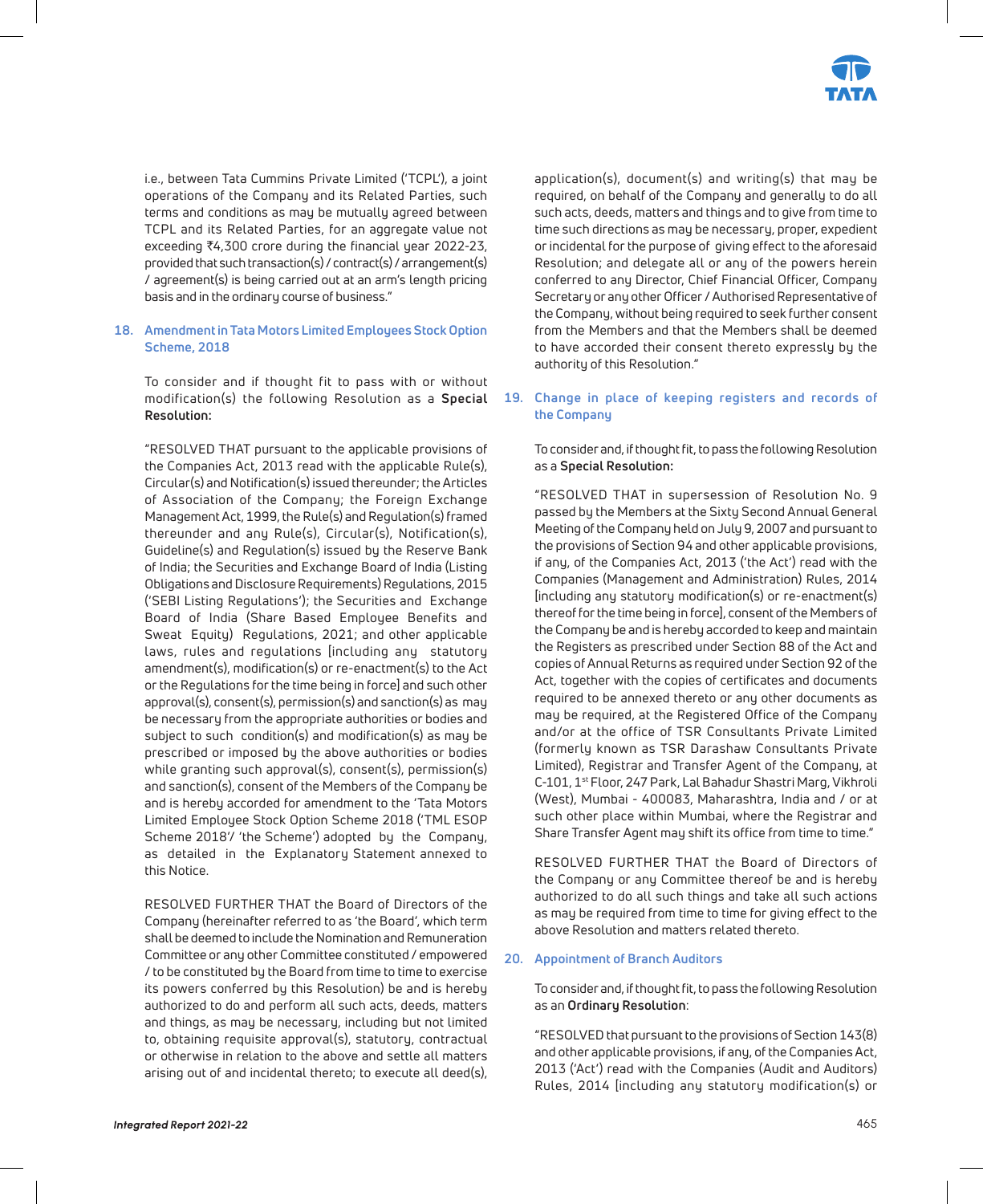

i.e., between Tata Cummins Private Limited ('TCPL'), a joint operations of the Company and its Related Parties, such terms and conditions as may be mutually agreed between TCPL and its Related Parties, for an aggregate value not exceeding ₹4,300 crore during the financial year 2022-23, provided that such transaction(s) / contract(s) / arrangement(s) / agreement(s) is being carried out at an arm's length pricing basis and in the ordinary course of business."

#### **18. Amendment in Tata Motors Limited Employees Stock Option Scheme, 2018**

To consider and if thought fit to pass with or without modification(s) the following Resolution as a **Special Resolution:** 

"RESOLVED THAT pursuant to the applicable provisions of the Companies Act, 2013 read with the applicable Rule(s), Circular(s) and Notification(s) issued thereunder; the Articles of Association of the Company; the Foreign Exchange Management Act, 1999, the Rule(s) and Regulation(s) framed thereunder and any Rule(s), Circular(s), Notification(s), Guideline(s) and Regulation(s) issued by the Reserve Bank of India; the Securities and Exchange Board of India (Listing Obligations and Disclosure Requirements) Regulations, 2015 ('SEBI Listing Regulations'); the Securities and Exchange Board of India (Share Based Employee Benefits and Sweat Equity) Regulations, 2021; and other applicable laws, rules and regulations [including any statutory amendment(s), modification(s) or re-enactment(s) to the Act or the Regulations for the time being in force] and such other approval(s), consent(s), permission(s) and sanction(s) as may be necessary from the appropriate authorities or bodies and subject to such condition(s) and modification(s) as may be prescribed or imposed by the above authorities or bodies while granting such approval(s), consent(s), permission(s) and sanction(s), consent of the Members of the Company be and is hereby accorded for amendment to the 'Tata Motors Limited Employee Stock Option Scheme 2018 ('TML ESOP Scheme 2018'/ 'the Scheme') adopted by the Company, as detailed in the Explanatory Statement annexed to this Notice.

RESOLVED FURTHER THAT the Board of Directors of the Company (hereinafter referred to as 'the Board', which term shall be deemed to include the Nomination and Remuneration Committee or any other Committee constituted / empowered / to be constituted by the Board from time to time to exercise its powers conferred by this Resolution) be and is hereby authorized to do and perform all such acts, deeds, matters and things, as may be necessary, including but not limited to, obtaining requisite approval(s), statutory, contractual or otherwise in relation to the above and settle all matters arising out of and incidental thereto; to execute all deed(s),

application(s), document(s) and writing(s) that may be required, on behalf of the Company and generally to do all such acts, deeds, matters and things and to give from time to time such directions as may be necessary, proper, expedient or incidental for the purpose of giving effect to the aforesaid Resolution; and delegate all or any of the powers herein conferred to any Director, Chief Financial Officer, Company Secretary or any other Officer / Authorised Representative of the Company, without being required to seek further consent from the Members and that the Members shall be deemed to have accorded their consent thereto expressly by the authority of this Resolution."

#### **19. Change in place of keeping registers and records of the Company**

To consider and, if thought fit, to pass the following Resolution as a **Special Resolution:**

"RESOLVED THAT in supersession of Resolution No. 9 passed by the Members at the Sixty Second Annual General Meeting of the Company held on July 9, 2007 and pursuant to the provisions of Section 94 and other applicable provisions, if any, of the Companies Act, 2013 ('the Act') read with the Companies (Management and Administration) Rules, 2014 [including any statutory modification(s) or re-enactment(s) thereof for the time being in force], consent of the Members of the Company be and is hereby accorded to keep and maintain the Registers as prescribed under Section 88 of the Act and copies of Annual Returns as required under Section 92 of the Act, together with the copies of certificates and documents required to be annexed thereto or any other documents as may be required, at the Registered Office of the Company and/or at the office of TSR Consultants Private Limited (formerly known as TSR Darashaw Consultants Private Limited), Registrar and Transfer Agent of the Company, at C-101, 1st Floor, 247 Park, Lal Bahadur Shastri Marg, Vikhroli (West), Mumbai - 400083, Maharashtra, India and / or at such other place within Mumbai, where the Registrar and Share Transfer Agent may shift its office from time to time."

RESOLVED FURTHER THAT the Board of Directors of the Company or any Committee thereof be and is hereby authorized to do all such things and take all such actions as may be required from time to time for giving effect to the above Resolution and matters related thereto.

#### **20. Appointment of Branch Auditors**

To consider and, if thought fit, to pass the following Resolution as an **Ordinary Resolution**:

"RESOLVED that pursuant to the provisions of Section 143(8) and other applicable provisions, if any, of the Companies Act, 2013 ('Act') read with the Companies (Audit and Auditors) Rules, 2014 [including any statutory modification(s) or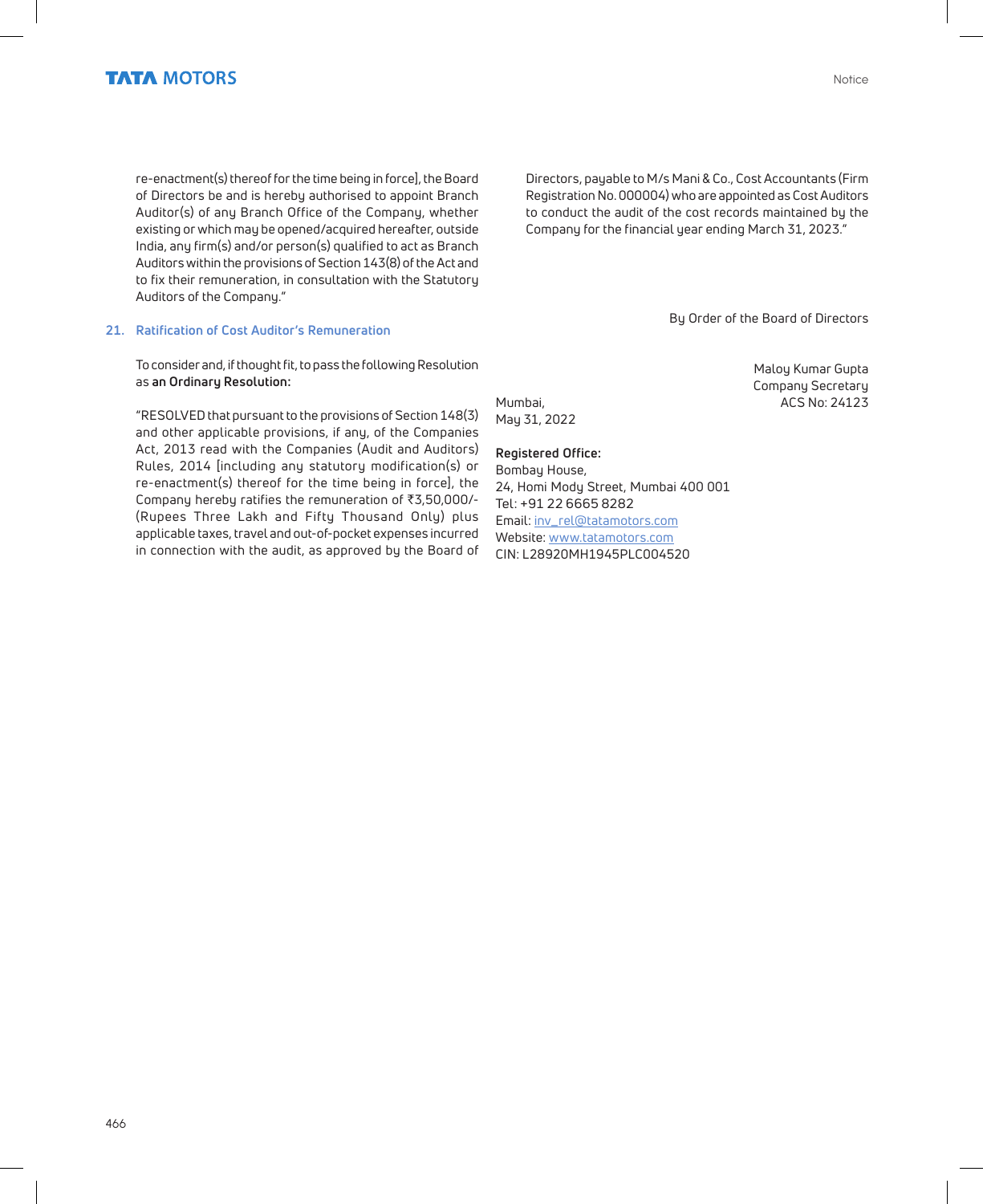re-enactment(s) thereof for the time being in force], the Board of Directors be and is hereby authorised to appoint Branch Auditor(s) of any Branch Office of the Company, whether existing or which may be opened/acquired hereafter, outside India, any firm(s) and/or person(s) qualified to act as Branch Auditors within the provisions of Section 143(8) of the Act and to fix their remuneration, in consultation with the Statutory Auditors of the Company."

#### **21. Ratification of Cost Auditor's Remuneration**

To consider and, if thought fit, to pass the following Resolution as **an Ordinary Resolution:**

"RESOLVED that pursuant to the provisions of Section 148(3) and other applicable provisions, if any, of the Companies Act, 2013 read with the Companies (Audit and Auditors) Rules, 2014 [including any statutory modification(s) or re-enactment(s) thereof for the time being in force], the Company hereby ratifies the remuneration of  $\overline{3,50,000}$ /-(Rupees Three Lakh and Fifty Thousand Only) plus applicable taxes, travel and out-of-pocket expenses incurred in connection with the audit, as approved by the Board of

Directors, payable to M/s Mani & Co., Cost Accountants (Firm Registration No. 000004) who are appointed as Cost Auditors to conduct the audit of the cost records maintained by the Company for the financial year ending March 31, 2023."

By Order of the Board of Directors

Maloy Kumar Gupta Company Secretary Mumbai, and a material control of the ACS No: 24123

May 31, 2022

#### **Registered Office:**

Bombay House, 24, Homi Mody Street, Mumbai 400 001 Tel: +91 22 6665 8282 Email: inv\_rel@tatamotors.com Website: www.tatamotors.com CIN: L28920MH1945PLC004520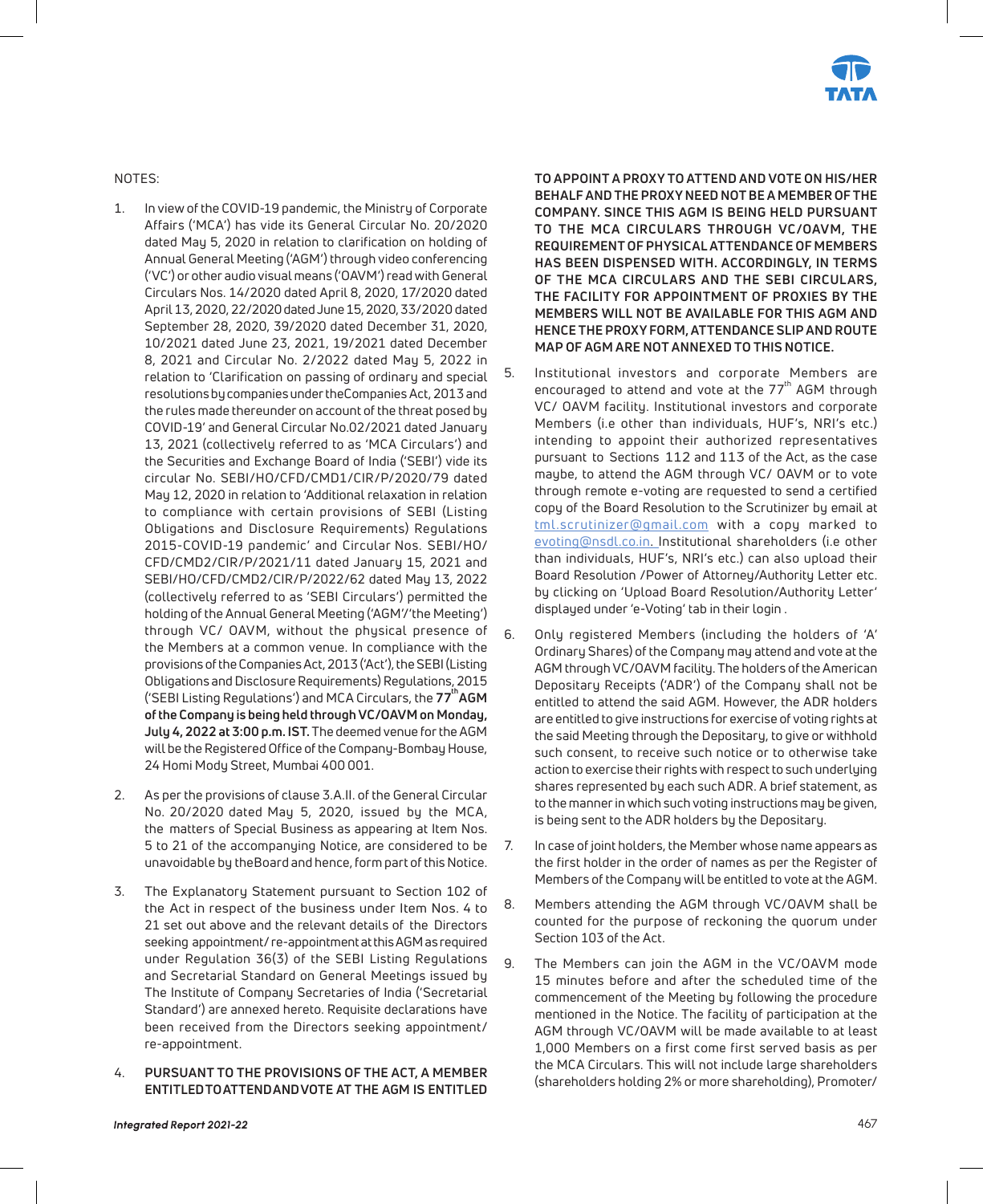

NOTES:

- 1. In view of the COVID-19 pandemic, the Ministry of Corporate Affairs ('MCA') has vide its General Circular No. 20/2020 dated May 5, 2020 in relation to clarification on holding of Annual General Meeting ('AGM') through video conferencing ('VC') or other audio visual means ('OAVM') read with General Circulars Nos. 14/2020 dated April 8, 2020, 17/2020 dated April 13, 2020, 22/2020 dated June 15, 2020, 33/2020 dated September 28, 2020, 39/2020 dated December 31, 2020, 10/2021 dated June 23, 2021, 19/2021 dated December 8, 2021 and Circular No. 2/2022 dated May 5, 2022 in relation to 'Clarification on passing of ordinary and special resolutions by companies under the Companies Act, 2013 and the rules made thereunder on account of the threat posed by COVID-19' and General Circular No.02/2021 dated January 13, 2021 (collectively referred to as 'MCA Circulars') and the Securities and Exchange Board of India ('SEBI') vide its circular No. SEBI/HO/CFD/CMD1/CIR/P/2020/79 dated May 12, 2020 in relation to 'Additional relaxation in relation to compliance with certain provisions of SEBI (Listing Obligations and Disclosure Requirements) Regulations 2015-COVID-19 pandemic' and Circular Nos. SEBI/HO/ CFD/CMD2/CIR/P/2021/11 dated January 15, 2021 and SEBI/HO/CFD/CMD2/CIR/P/2022/62 dated May 13, 2022 (collectively referred to as 'SEBI Circulars') permitted the holding of the Annual General Meeting ('AGM'/'the Meeting') through VC/ OAVM, without the physical presence of the Members at a common venue. In compliance with the provisions of the Companies Act, 2013 ('Act'), the SEBI (Listing Obligations and Disclosure Requirements) Regulations, 2015 ('SEBI Listing Regulations') and MCA Circulars, the **77<sup>th</sup>AGM of the Company is being held through VC/OAVM on Monday, July 4, 2022 at 3:00 p.m. IST.** The deemed venue for the AGM will be the Registered Office of the Company-Bombay House, 24 Homi Mody Street, Mumbai 400 001.
- 2. As per the provisions of clause 3.A.II. of the General Circular No. 20/2020 dated May 5, 2020, issued by the MCA, the matters of Special Business as appearing at Item Nos. 5 to 21 of the accompanying Notice, are considered to be unavoidable by the Board and hence, form part of this Notice.
- 3. The Explanatory Statement pursuant to Section 102 of the Act in respect of the business under Item Nos. 4 to 21 set out above and the relevant details of the Directors seeking appointment/ re-appointment at this AGM as required under Regulation 36(3) of the SEBI Listing Regulations and Secretarial Standard on General Meetings issued by The Institute of Company Secretaries of India ('Secretarial Standard') are annexed hereto. Requisite declarations have been received from the Directors seeking appointment/ re-appointment.
- 4. **PURSUANT TO THE PROVISIONS OF THE ACT, A MEMBER ENTITLED TO ATTEND AND VOTE AT THE AGM IS ENTITLED**

**TO APPOINT A PROXY TO ATTEND AND VOTE ON HIS/HER BEHALF AND THE PROXY NEED NOT BE A MEMBER OF THE COMPANY. SINCE THIS AGM IS BEING HELD PURSUANT TO THE MCA CIRCULARS THROUGH VC/OAVM, THE REQUIREMENT OF PHYSICAL ATTENDANCE OF MEMBERS HAS BEEN DISPENSED WITH. ACCORDINGLY, IN TERMS OF THE MCA CIRCULARS AND THE SEBI CIRCULARS, THE FACILITY FOR APPOINTMENT OF PROXIES BY THE MEMBERS WILL NOT BE AVAILABLE FOR THIS AGM AND HENCE THE PROXY FORM, ATTENDANCE SLIP AND ROUTE MAP OF AGM ARE NOT ANNEXED TO THIS NOTICE.**

- 5. Institutional investors and corporate Members are encouraged to attend and vote at the  $77<sup>th</sup>$  AGM through VC/ OAVM facility. Institutional investors and corporate Members (i.e other than individuals, HUF's, NRI's etc.) intending to appoint their authorized representatives pursuant to Sections 112 and 113 of the Act, as the case maybe, to attend the AGM through VC/ OAVM or to vote through remote e-voting are requested to send a certified copy of the Board Resolution to the Scrutinizer by email at tml.scrutinizer@gmail.com with a copy marked to evoting@nsdl.co.in. Institutional shareholders (i.e other than individuals, HUF's, NRI's etc.) can also upload their Board Resolution /Power of Attorney/Authority Letter etc. by clicking on 'Upload Board Resolution/Authority Letter' displayed under 'e-Voting' tab in their login .
- 6. Only registered Members (including the holders of 'A' Ordinary Shares) of the Company may attend and vote at the AGM through VC/OAVM facility. The holders of the American Depositary Receipts ('ADR') of the Company shall not be entitled to attend the said AGM. However, the ADR holders are entitled to give instructions for exercise of voting rights at the said Meeting through the Depositary, to give or withhold such consent, to receive such notice or to otherwise take action to exercise their rights with respect to such underlying shares represented by each such ADR. A brief statement, as to the manner in which such voting instructions may be given, is being sent to the ADR holders by the Depositary.
- 7. In case of joint holders, the Member whose name appears as the first holder in the order of names as per the Register of Members of the Company will be entitled to vote at the AGM.
- 8. Members attending the AGM through VC/OAVM shall be counted for the purpose of reckoning the quorum under Section 103 of the Act.
- 9. The Members can join the AGM in the VC/OAVM mode 15 minutes before and after the scheduled time of the commencement of the Meeting by following the procedure mentioned in the Notice. The facility of participation at the AGM through VC/OAVM will be made available to at least 1,000 Members on a first come first served basis as per the MCA Circulars. This will not include large shareholders (shareholders holding 2% or more shareholding), Promoter/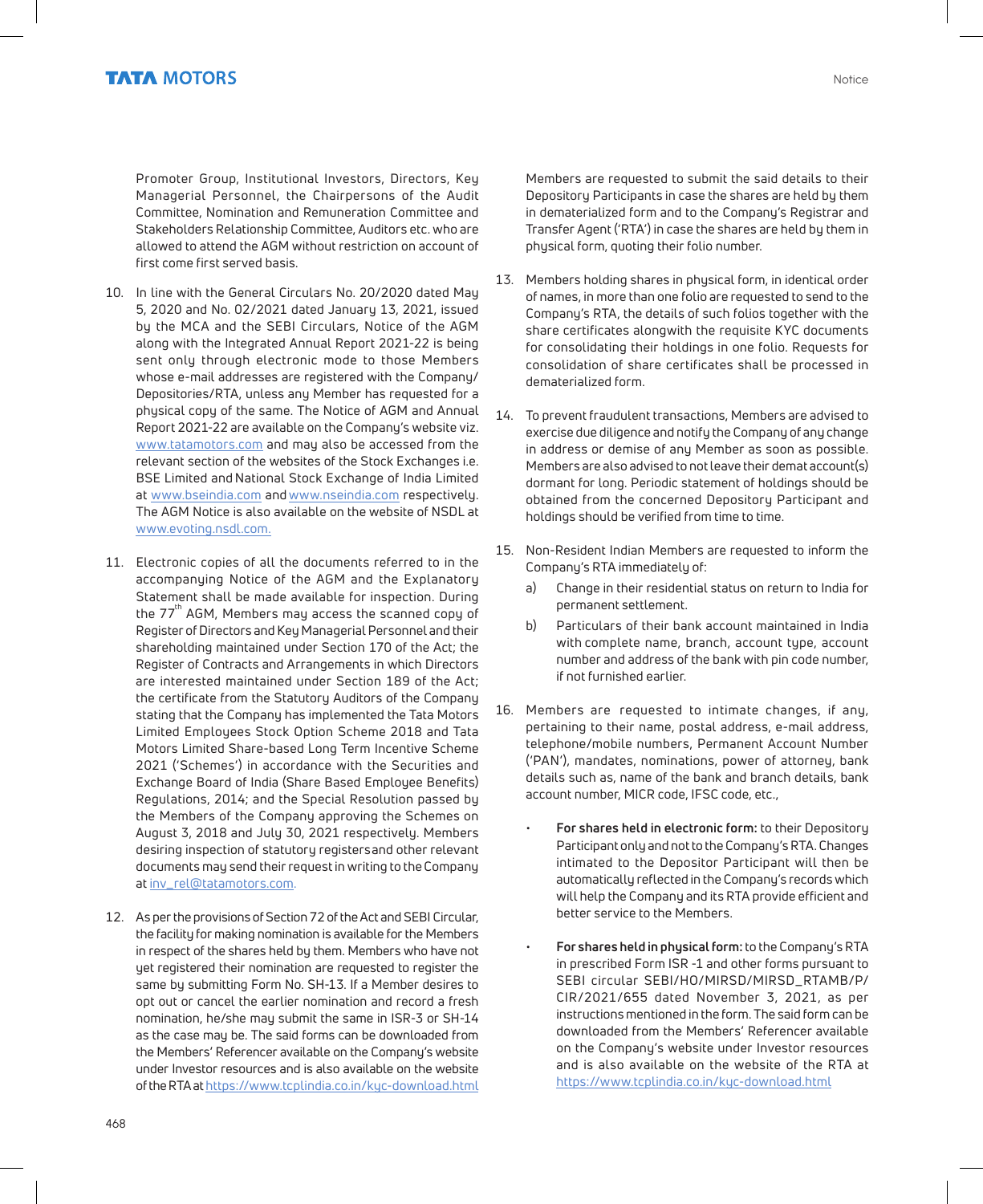Promoter Group, Institutional Investors, Directors, Key Managerial Personnel, the Chairpersons of the Audit Committee, Nomination and Remuneration Committee and Stakeholders Relationship Committee, Auditors etc. who are allowed to attend the AGM without restriction on account of first come first served basis.

- 10. In line with the General Circulars No. 20/2020 dated May 5, 2020 and No. 02/2021 dated January 13, 2021, issued by the MCA and the SEBI Circulars, Notice of the AGM along with the Integrated Annual Report 2021-22 is being sent only through electronic mode to those Members whose e-mail addresses are registered with the Company/ Depositories/RTA, unless any Member has requested for a physical copy of the same. The Notice of AGM and Annual Report 2021-22 are available on the Company's website viz. www.tatamotors.com and may also be accessed from the relevant section of the websites of the Stock Exchanges i.e. BSE Limited and National Stock Exchange of India Limited at www.bseindia.com and www.nseindia.com respectively. The AGM Notice is also available on the website of NSDL at www.evoting.nsdl.com.
- 11. Electronic copies of all the documents referred to in the accompanying Notice of the AGM and the Explanatory Statement shall be made available for inspection. During the  $77<sup>th</sup>$  AGM, Members may access the scanned copy of Register of Directors and Key Managerial Personnel and their shareholding maintained under Section 170 of the Act; the Register of Contracts and Arrangements in which Directors are interested maintained under Section 189 of the Act; the certificate from the Statutory Auditors of the Company stating that the Company has implemented the Tata Motors Limited Employees Stock Option Scheme 2018 and Tata Motors Limited Share-based Long Term Incentive Scheme 2021 ('Schemes') in accordance with the Securities and Exchange Board of India (Share Based Employee Benefits) Regulations, 2014; and the Special Resolution passed by the Members of the Company approving the Schemes on August 3, 2018 and July 30, 2021 respectively. Members desiring inspection of statutory registers and other relevant documents may send their request in writing to the Company at inv\_rel@tatamotors.com.
- 12. As per the provisions of Section 72 of the Act and SEBI Circular, the facility for making nomination is available for the Members in respect of the shares held by them. Members who have not yet registered their nomination are requested to register the same by submitting Form No. SH-13. If a Member desires to opt out or cancel the earlier nomination and record a fresh nomination, he/she may submit the same in ISR-3 or SH-14 as the case may be. The said forms can be downloaded from the Members' Referencer available on the Company's website under Investor resources and is also available on the website of the RTA at https://www.tcplindia.co.in/kyc-download.html

Members are requested to submit the said details to their Depository Participants in case the shares are held by them in dematerialized form and to the Company's Registrar and Transfer Agent ('RTA') in case the shares are held by them in physical form, quoting their folio number.

- 13. Members holding shares in physical form, in identical order of names, in more than one folio are requested to send to the Company's RTA, the details of such folios together with the share certificates alongwith the requisite KYC documents for consolidating their holdings in one folio. Requests for consolidation of share certificates shall be processed in dematerialized form.
- 14. To prevent fraudulent transactions, Members are advised to exercise due diligence and notify the Company of any change in address or demise of any Member as soon as possible. Members are also advised to not leave their demat account(s) dormant for long. Periodic statement of holdings should be obtained from the concerned Depository Participant and holdings should be verified from time to time.
- 15. Non-Resident Indian Members are requested to inform the Company's RTA immediately of:
	- a) Change in their residential status on return to India for permanent settlement.
	- b) Particulars of their bank account maintained in India with complete name, branch, account type, account number and address of the bank with pin code number, if not furnished earlier.
- 16. Members are requested to intimate changes, if any, pertaining to their name, postal address, e-mail address, telephone/mobile numbers, Permanent Account Number ('PAN'), mandates, nominations, power of attorney, bank details such as, name of the bank and branch details, bank account number, MICR code, IFSC code, etc.,
	- **For shares held in electronic form:** to their Depository Participant only and not to the Company's RTA. Changes intimated to the Depositor Participant will then be automatically reflected in the Company's records which will help the Company and its RTA provide efficient and better service to the Members.
	- **For shares held in physical form:** to the Company's RTA in prescribed Form ISR -1 and other forms pursuant to SEBI circular SEBI/HO/MIRSD/MIRSD\_RTAMB/P/ CIR/2021/655 dated November 3, 2021, as per instructions mentioned in the form. The said form can be downloaded from the Members' Referencer available on the Company's website under Investor resources and is also available on the website of the RTA at https://www.tcplindia.co.in/kyc-download.html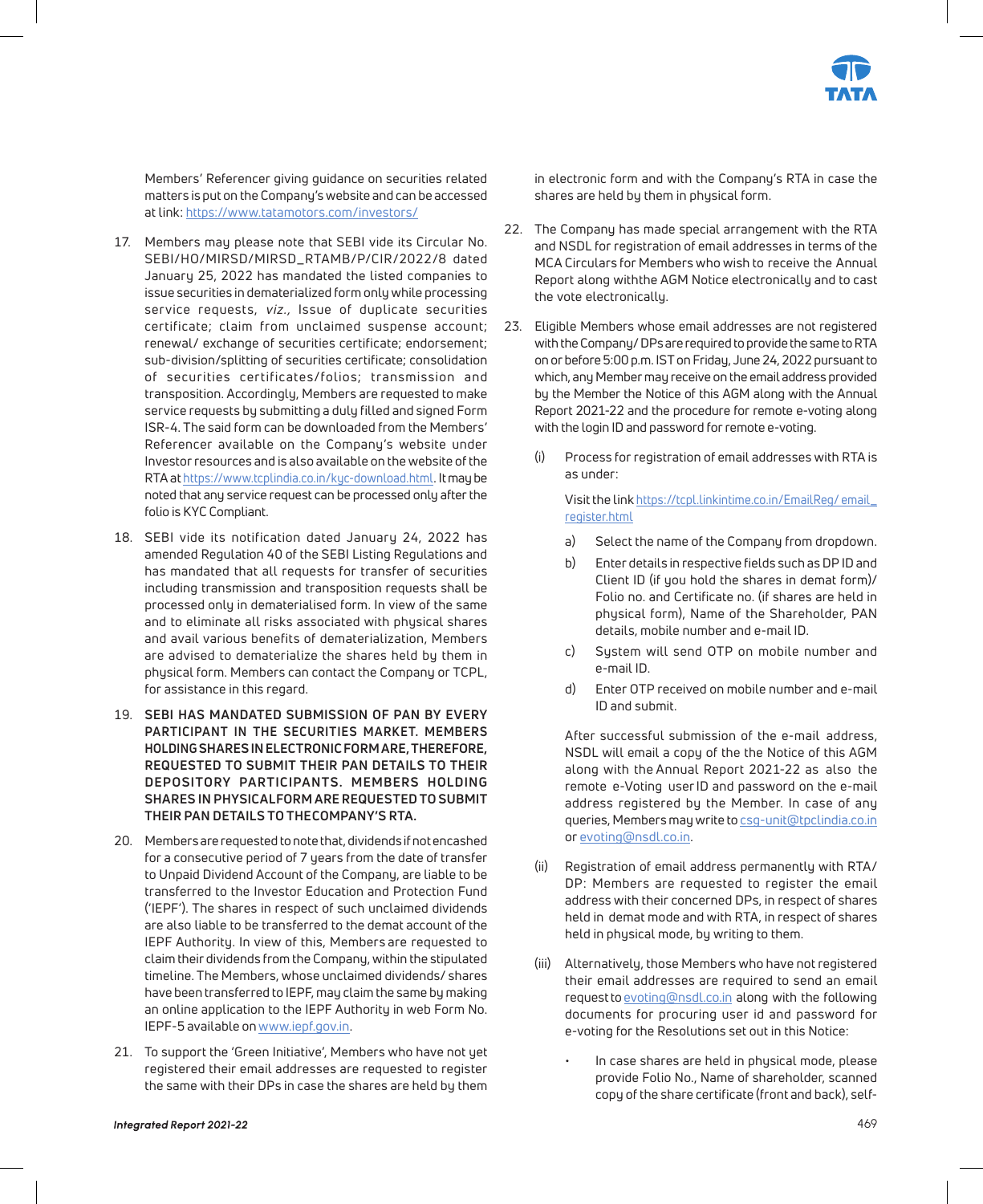

Members' Referencer giving guidance on securities related matters is put on the Company's website and can be accessed at link: https://www.tatamotors.com/investors/

- 17. Members may please note that SEBI vide its Circular No. SEBI/HO/MIRSD/MIRSD\_RTAMB/P/CIR/2022/8 dated January 25, 2022 has mandated the listed companies to issue securities in dematerialized form only while processing service requests, viz., Issue of duplicate securities certificate; claim from unclaimed suspense account; renewal/ exchange of securities certificate; endorsement; sub-division/splitting of securities certificate; consolidation of securities certificates/folios; transmission and transposition. Accordingly, Members are requested to make service requests by submitting a duly filled and signed Form ISR-4. The said form can be downloaded from the Members' Referencer available on the Company's website under Investor resources and is also available on the website of the RTA at https://www.tcplindia.co.in/kyc-download.html. It may be noted that any service request can be processed only after the folio is KYC Compliant.
- 18. SEBI vide its notification dated January 24, 2022 has amended Regulation 40 of the SEBI Listing Regulations and has mandated that all requests for transfer of securities including transmission and transposition requests shall be processed only in dematerialised form. In view of the same and to eliminate all risks associated with physical shares and avail various benefits of dematerialization, Members are advised to dematerialize the shares held by them in physical form. Members can contact the Company or TCPL, for assistance in this regard.
- 19. **SEBI HAS MANDATED SUBMISSION OF PAN BY EVERY PARTICIPANT IN THE SECURITIES MARKET. MEMBERS HOLDING SHARES IN ELECTRONIC FORM ARE, THEREFORE, REQUESTED TO SUBMIT THEIR PAN DETAILS TO THEIR DEPOSITORY PARTICIPANTS. MEMBERS HOLDING**  SHARES IN PHYSICAL FORM ARE REQUESTED TO SUBMIT **THEIR PAN DETAILS TO THE COMPANY'S RTA.**
- 20. Members are requested to note that, dividends if not encashed for a consecutive period of 7 years from the date of transfer to Unpaid Dividend Account of the Company, are liable to be transferred to the Investor Education and Protection Fund ('IEPF'). The shares in respect of such unclaimed dividends are also liable to be transferred to the demat account of the IEPF Authority. In view of this, Members are requested to claim their dividends from the Company, within the stipulated timeline. The Members, whose unclaimed dividends/ shares have been transferred to IEPF, may claim the same by making an online application to the IEPF Authority in web Form No. IEPF-5 available on www.iepf.gov.in.
- 21. To support the 'Green Initiative', Members who have not yet registered their email addresses are requested to register the same with their DPs in case the shares are held by them

in electronic form and with the Company's RTA in case the shares are held by them in physical form.

- 22. The Company has made special arrangement with the RTA and NSDL for registration of email addresses in terms of the MCA Circulars for Members who wish to receive the Annual Report along with the AGM Notice electronically and to cast the vote electronically.
- 23. Eligible Members whose email addresses are not registered with the Company/ DPs are required to provide the same to RTA on or before 5:00 p.m. IST on Friday, June 24, 2022 pursuant to which, any Member may receive on the email address provided by the Member the Notice of this AGM along with the Annual Report 2021-22 and the procedure for remote e-voting along with the login ID and password for remote e-voting.
	- (i) Process for registration of email addresses with RTA is as under:

 Visit the link https://tcpl.linkintime.co.in/EmailReg/ email\_ register.html

- a) Select the name of the Company from dropdown.
- b) Enter details in respective fields such as DP ID and Client ID (if you hold the shares in demat form)/ Folio no. and Certificate no. (if shares are held in physical form), Name of the Shareholder, PAN details, mobile number and e-mail ID.
- c) System will send OTP on mobile number and e-mail ID.
- d) Enter OTP received on mobile number and e-mail ID and submit.

 After successful submission of the e-mail address, NSDL will email a copy of the the Notice of this AGM along with the Annual Report 2021-22 as also the remote e-Voting user ID and password on the e-mail address registered by the Member. In case of any queries, Members may write to csg-unit@tpclindia.co.in or evoting@nsdl.co.in.

- (ii) Registration of email address permanently with RTA/ DP: Members are requested to register the email address with their concerned DPs, in respect of shares held in demat mode and with RTA, in respect of shares held in physical mode, by writing to them.
- (iii) Alternatively, those Members who have not registered their email addresses are required to send an email request to evoting@nsdl.co.in along with the following documents for procuring user id and password for e-voting for the Resolutions set out in this Notice:
	- In case shares are held in physical mode, please provide Folio No., Name of shareholder, scanned copy of the share certificate (front and back), self-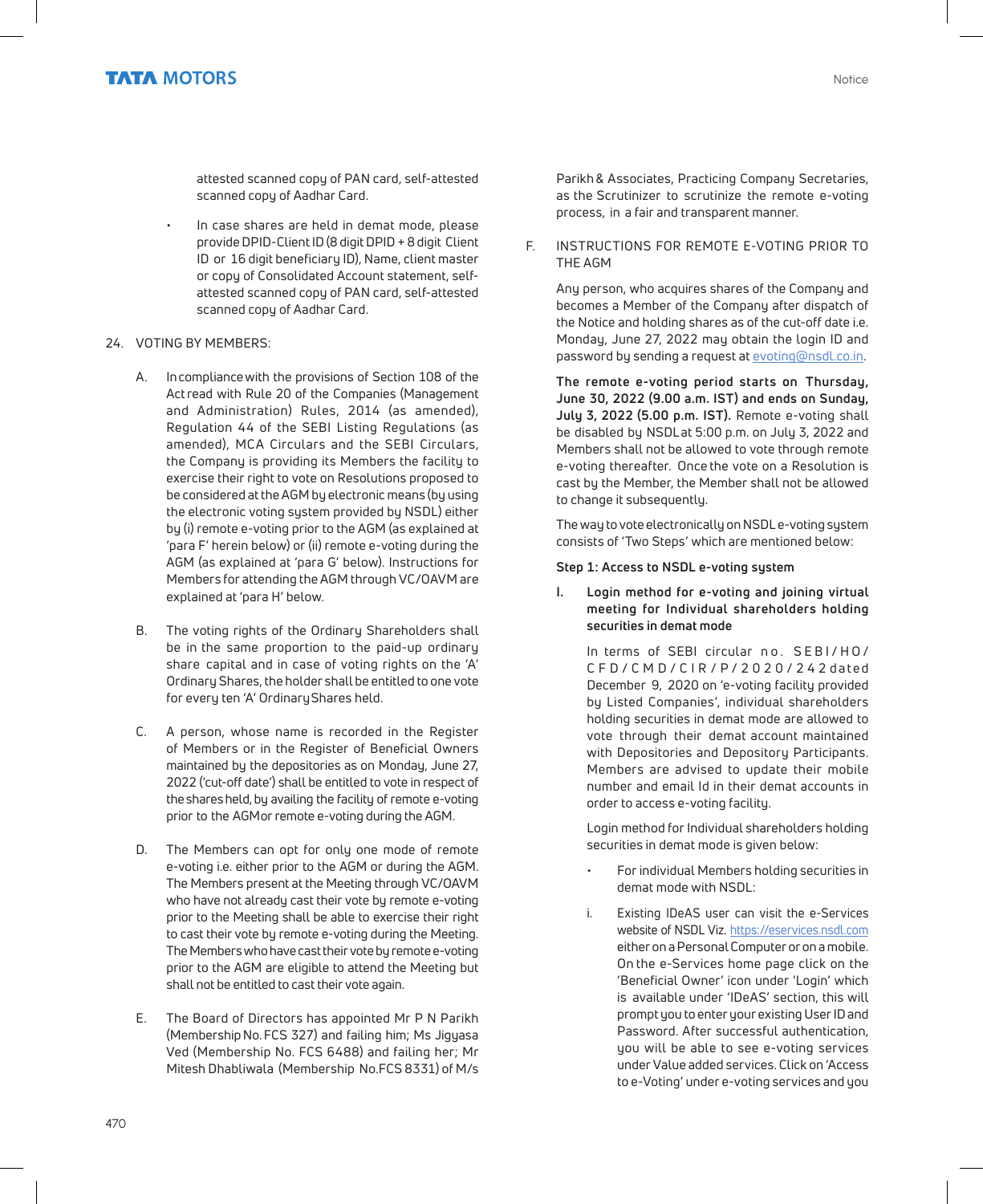attested scanned copy of PAN card, self-attested scanned copy of Aadhar Card.

- In case shares are held in demat mode, please provide DPID-Client ID (8 digit DPID + 8 digit Client ID or 16 digit beneficiary ID), Name, client master or copy of Consolidated Account statement, selfattested scanned copy of PAN card, self-attested scanned copy of Aadhar Card.
- 24. VOTING BY MEMBERS:
	- A. In compliance with the provisions of Section 108 of the Act read with Rule 20 of the Companies (Management and Administration) Rules, 2014 (as amended), Regulation 44 of the SEBI Listing Regulations (as amended), MCA Circulars and the SEBI Circulars, the Company is providing its Members the facility to exercise their right to vote on Resolutions proposed to be considered at the AGM by electronic means (by using the electronic voting system provided by NSDL) either by (i) remote e-voting prior to the AGM (as explained at 'para F' herein below) or (ii) remote e-voting during the AGM (as explained at 'para G' below). Instructions for Members for attending the AGM through VC/OAVM are explained at 'para H' below.
	- B. The voting rights of the Ordinary Shareholders shall be in the same proportion to the paid-up ordinary share capital and in case of voting rights on the 'A' Ordinary Shares, the holder shall be entitled to one vote for every ten 'A' Ordinary Shares held.
	- C. A person, whose name is recorded in the Register of Members or in the Register of Beneficial Owners maintained by the depositories as on Monday, June 27, 2022 ('cut-off date') shall be entitled to vote in respect of the shares held, by availing the facility of remote e-voting prior to the AGM or remote e-voting during the AGM.
	- D. The Members can opt for only one mode of remote e-voting i.e. either prior to the AGM or during the AGM. The Members present at the Meeting through VC/OAVM who have not already cast their vote by remote e-voting prior to the Meeting shall be able to exercise their right to cast their vote by remote e-voting during the Meeting. The Members who have cast their vote by remote e-voting prior to the AGM are eligible to attend the Meeting but shall not be entitled to cast their vote again.
	- E. The Board of Directors has appointed Mr P N Parikh (Membership No. FCS 327) and failing him; Ms Jigyasa Ved (Membership No. FCS 6488) and failing her; Mr Mitesh Dhabliwala (Membership No.FCS 8331) of M/s

Parikh & Associates, Practicing Company Secretaries, as the Scrutinizer to scrutinize the remote e-voting process, in a fair and transparent manner.

F. INSTRUCTIONS FOR REMOTE E-VOTING PRIOR TO THE AGM

 Any person, who acquires shares of the Company and becomes a Member of the Company after dispatch of the Notice and holding shares as of the cut-off date i.e. Monday, June 27, 2022 may obtain the login ID and password by sending a request at evoting@nsdl.co.in.

 **The remote e-voting period starts on Thursday, June 30, 2022 (9.00 a.m. IST) and ends on Sunday, July 3, 2022 (5.00 p.m. IST).** Remote e-voting shall be disabled by NSDLat 5:00 p.m. on July 3, 2022 and Members shall not be allowed to vote through remote e-voting thereafter. Once the vote on a Resolution is cast by the Member, the Member shall not be allowed to change it subsequently.

 The way to vote electronically on NSDL e-voting system consists of 'Two Steps' which are mentioned below:

#### **Step 1: Access to NSDL e-voting system**

 **I. Login method for e-voting and joining virtual meeting for Individual shareholders holding securities in demat mode**

> In terms of SEBI circular no. SEBI/HO/ C F D / C M D / C I R / P / 2 0 2 0 / 2 4 2 d a t e d December 9, 2020 on 'e-voting facility provided by Listed Companies', individual shareholders holding securities in demat mode are allowed to vote through their demat account maintained with Depositories and Depository Participants. Members are advised to update their mobile number and email Id in their demat accounts in order to access e-voting facility.

> Login method for Individual shareholders holding securities in demat mode is given below:

- For individual Members holding securities in demat mode with NSDL:
- i. Existing IDeAS user can visit the e-Services website of NSDL Viz. https://eservices.nsdl.com either on a Personal Computer or on a mobile. On the e-Services home page click on the 'Beneficial Owner' icon under 'Login' which is available under 'IDeAS' section, this will prompt you to enter your existing User ID and Password. After successful authentication, you will be able to see e-voting services under Value added services. Click on 'Access to e-Voting' under e-voting services and you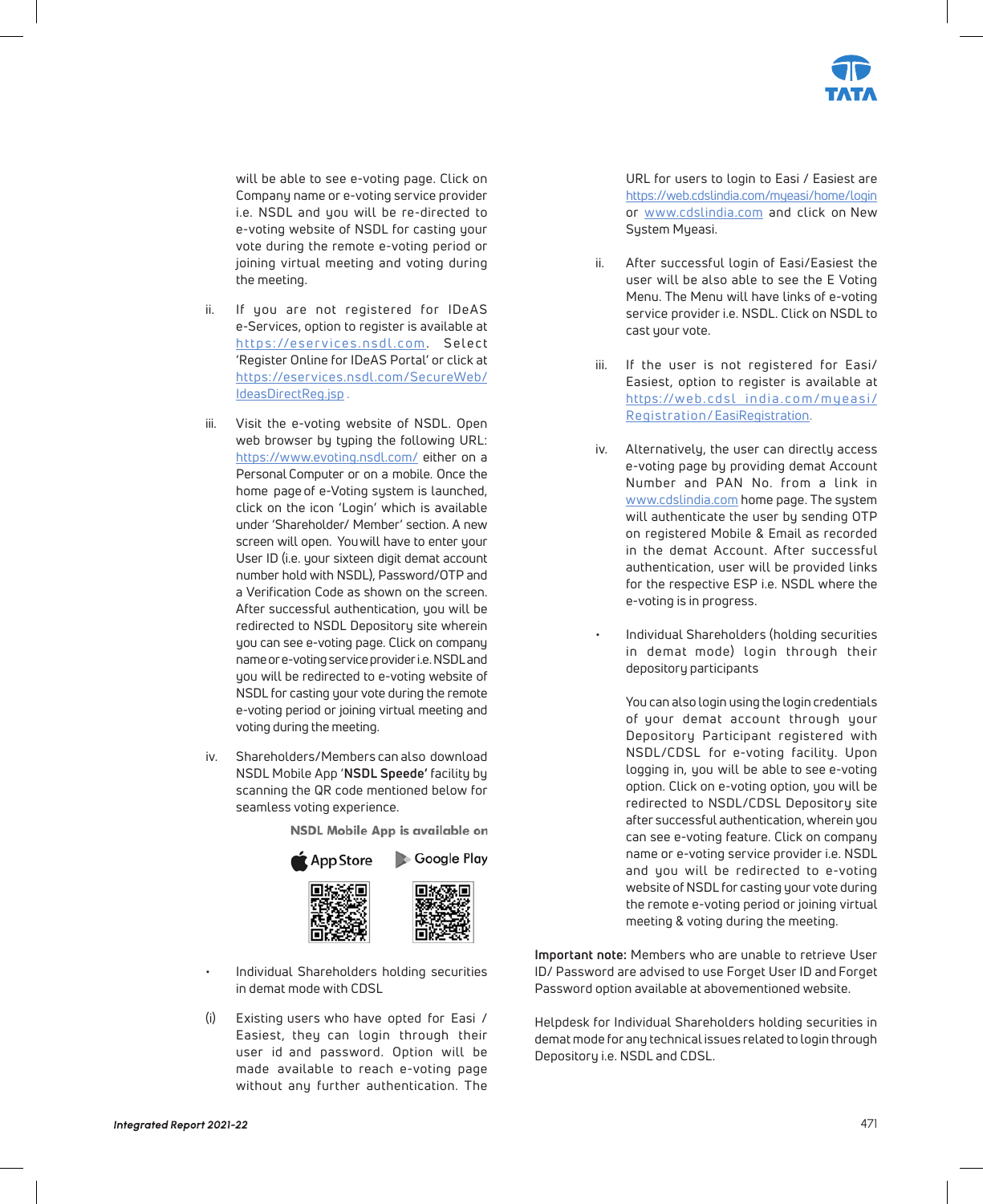

will be able to see e-voting page. Click on Company name or e-voting service provider i.e. NSDL and you will be re-directed to e-voting website of NSDL for casting your vote during the remote e-voting period or joining virtual meeting and voting during the meeting.

- ii. If you are not registered for IDeAS e-Services, option to register is available at https://eser vices.nsdl.com. Select 'Register Online for IDeAS Portal' or click at https://eservices.nsdl.com/SecureWeb/ IdeasDirectReg.jsp .
- iii. Visit the e-voting website of NSDL. Open web browser by typing the following URL: https://www.evoting.nsdl.com/ either on a Personal Computer or on a mobile. Once the home page of e-Voting system is launched, click on the icon 'Login' which is available under 'Shareholder/ Member' section. A new screen will open. Youwill have to enter your User ID (i.e. your sixteen digit demat account number hold with NSDL), Password/OTP and a Verification Code as shown on the screen. After successful authentication, you will be redirected to NSDL Depository site wherein you can see e-voting page. Click on company name or e-voting service provider i.e. NSDL and you will be redirected to e-voting website of NSDL for casting your vote during the remote e-voting period or joining virtual meeting and voting during the meeting.
- iv. Shareholders/Members can also download NSDL Mobile App '**NSDL Speede'** facility by scanning the QR code mentioned below for seamless voting experience.

NSDL Mobile App is available on



- Individual Shareholders holding securities in demat mode with CDSL
- (i) Existing users who have opted for Easi / Easiest, they can login through their user id and password. Option will be made available to reach e-voting page without any further authentication. The

URL for users to login to Easi / Easiest are https://web.cdslindia.com/myeasi/home/login or www.cdslindia.com and click on New System Myeasi.

- ii. After successful login of Easi/Easiest the user will be also able to see the E Voting Menu. The Menu will have links of e-voting service provider i.e. NSDL. Click on NSDL to cast your vote.
- iii. If the user is not registered for Easi/ Easiest, option to register is available at https://web.cdsl india.com/myeasi/ Registration/EasiRegistration.
- iv. Alternatively, the user can directly access e-voting page by providing demat Account Number and PAN No. from a link in www.cdslindia.com home page. The system will authenticate the user by sending OTP on registered Mobile & Email as recorded in the demat Account. After successful authentication, user will be provided links for the respective ESP i.e. NSDL where the e-voting is in progress.
- Individual Shareholders (holding securities in demat mode) login through their depository participants

 You can also login using the login credentials of your demat account through your Depository Participant registered with NSDL/CDSL for e-voting facility. Upon logging in, you will be able to see e-voting option. Click on e-voting option, you will be redirected to NSDL/CDSL Depository site after successful authentication, wherein you can see e-voting feature. Click on company name or e-voting service provider i.e. NSDL and you will be redirected to e-voting website of NSDL for casting your vote during the remote e-voting period or joining virtual meeting & voting during the meeting.

**Important note:** Members who are unable to retrieve User ID/ Password are advised to use Forget User ID and Forget Password option available at abovementioned website.

Helpdesk for Individual Shareholders holding securities in demat mode for any technical issues related to login through Depository i.e. NSDL and CDSL.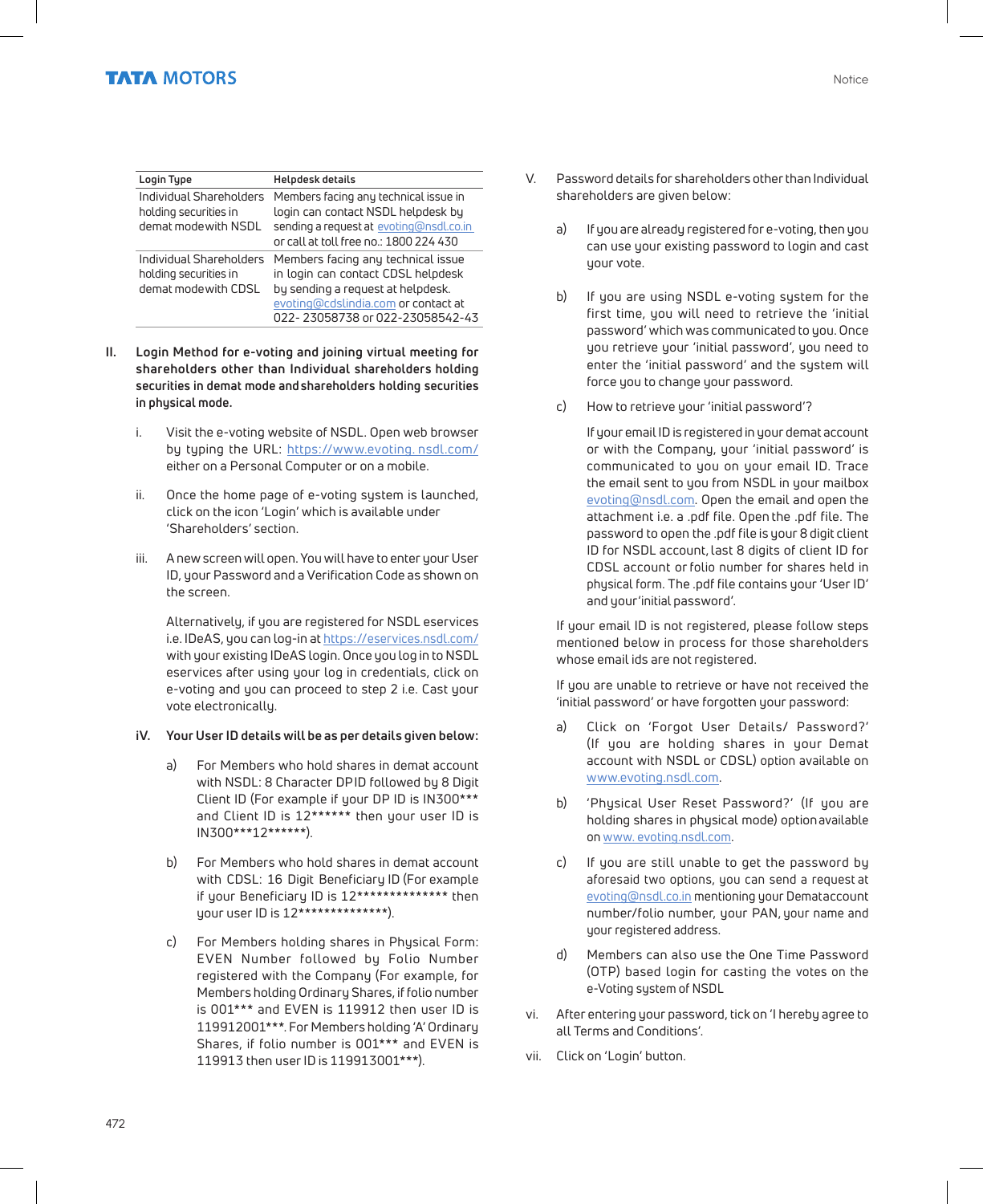| Login Type                                                               | <b>Helpdesk details</b>                                                                                                                                                                 |
|--------------------------------------------------------------------------|-----------------------------------------------------------------------------------------------------------------------------------------------------------------------------------------|
| Individual Shareholders<br>holding securities in<br>demat mode with NSDL | Members facing any technical issue in<br>login can contact NSDL helpdesk by<br>sending a request at evoting@nsdl.co.in<br>or call at toll free no.: 1800 224 430                        |
| Individual Shareholders<br>holding securities in<br>demat mode with CDSL | Members facing any technical issue<br>in login can contact CDSL helpdesk<br>by sending a request at helpdesk.<br>evoting@cdslindia.com or contact at<br>022-23058738 or 022-23058542-43 |

- **II. Login Method for e-voting and joining virtual meeting for shareholders other than Individual shareholders holding securities in demat mode and shareholders holding securities in physical mode.**
	- i. Visit the e-voting website of NSDL. Open web browser by typing the URL: https://www.evoting. nsdl.com/ either on a Personal Computer or on a mobile.
	- ii. Once the home page of e-voting system is launched, click on the icon 'Login' which is available under 'Shareholders' section.
	- iii. A new screen will open. You will have to enter your User ID, your Password and a Verification Code as shown on the screen.

 Alternatively, if you are registered for NSDL eservices i.e. IDeAS, you can log-in at https://eservices.nsdl.com/ with your existing IDeAS login. Once you log in to NSDL eservices after using your log in credentials, click on e-voting and you can proceed to step 2 i.e. Cast your vote electronically.

- **iV. Your User ID details will be as per details given below:**
	- a) For Members who hold shares in demat account with NSDL: 8 Character DPID followed by 8 Digit Client ID (For example if your DP ID is IN300\*\*\* and Client ID is 12\*\*\*\*\*\* then your user ID is IN300\*\*\*12\*\*\*\*\*\*).
	- For Members who hold shares in demat account with CDSL: 16 Digit Beneficiary ID (For example if your Beneficiary ID is 12\*\*\*\*\*\*\*\*\*\*\*\*\*\* then your user ID is 12\*\*\*\*\*\*\*\*\*\*\*\*\*\*).
	- c) For Members holding shares in Physical Form: EVEN Number followed by Folio Number registered with the Company (For example, for Members holding Ordinary Shares, if folio number is 001\*\*\* and EVEN is 119912 then user ID is 119912001\*\*\*. For Members holding 'A' Ordinary Shares, if folio number is 001\*\*\* and EVEN is 119913 then user ID is 119913001\*\*\*).
- V. Password details for shareholders other than Individual shareholders are given below:
	- a) If you are already registered for e-voting, then you can use your existing password to login and cast your vote.
	- b) If you are using NSDL e-voting system for the first time, you will need to retrieve the 'initial password' which was communicated to you. Once you retrieve your 'initial password', you need to enter the 'initial password' and the system will force you to change your password.
	- c) How to retrieve your 'initial password'?

 If your email ID is registered in your demat account or with the Company, your 'initial password' is communicated to you on your email ID. Trace the email sent to you from NSDL in your mailbox evoting@nsdl.com. Open the email and open the attachment i.e. a .pdf file. Open the .pdf file. The password to open the .pdf file is your 8 digit client ID for NSDL account, last 8 digits of client ID for CDSL account or folio number for shares held in physical form. The .pdf file contains your 'User ID' and your 'initial password'.

 If your email ID is not registered, please follow steps mentioned below in process for those shareholders whose email ids are not registered.

 If you are unable to retrieve or have not received the 'initial password' or have forgotten your password:

- a) Click on 'Forgot User Details/ Password?' (If you are holding shares in your Demat account with NSDL or CDSL) option available on www.evoting.nsdl.com.
- b) 'Physical User Reset Password?' (If you are holding shares in physical mode) optionavailable on www. evoting.nsdl.com.
- c) If you are still unable to get the password by aforesaid two options, you can send a request at evoting@nsdl.co.in mentioning your Demataccount number/folio number, your PAN, your name and your registered address.
- d) Members can also use the One Time Password (OTP) based login for casting the votes on the e-Voting system of NSDL
- vi. After entering your password, tick on 'I hereby agree to all Terms and Conditions'.
- vii. Click on 'Login' button.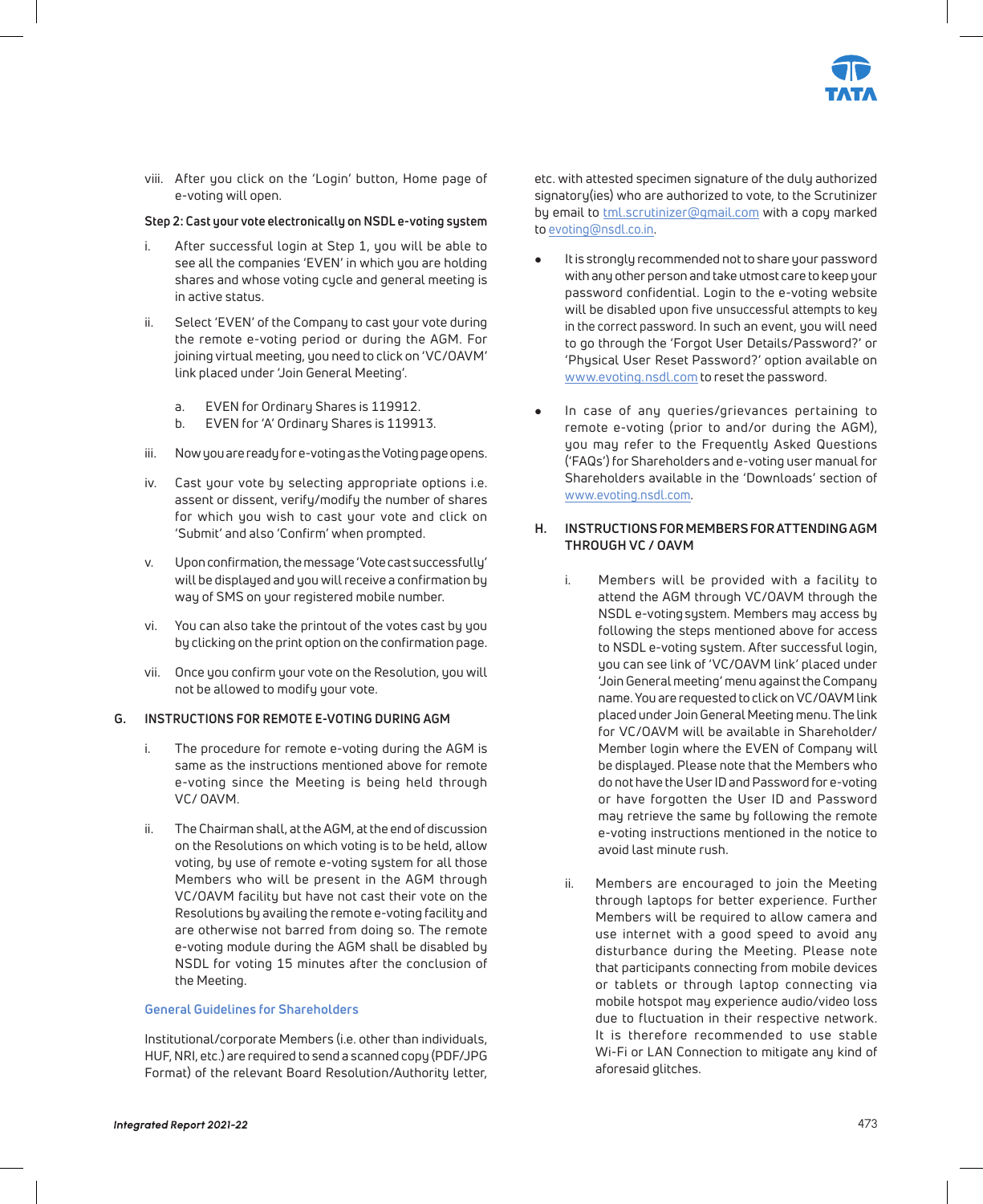

viii. After you click on the 'Login' button, Home page of e-voting will open.

#### **Step 2: Cast your vote electronically on NSDL e-voting system**

- i. After successful login at Step 1, you will be able to see all the companies 'EVEN' in which you are holding shares and whose voting cycle and general meeting is in active status.
- ii. Select 'EVEN' of the Company to cast your vote during the remote e-voting period or during the AGM. For joining virtual meeting, you need to click on 'VC/OAVM' link placed under 'Join General Meeting'.
	- a. EVEN for Ordinary Shares is 119912.
	- b. EVEN for 'A' Ordinary Shares is 119913.
- iii. Now you are ready for e-voting as the Voting page opens.
- iv. Cast your vote by selecting appropriate options i.e. assent or dissent, verify/modify the number of shares for which you wish to cast your vote and click on 'Submit' and also 'Confirm' when prompted.
- v. Upon confirmation, the message 'Vote cast successfully' will be displayed and you will receive a confirmation by way of SMS on your registered mobile number.
- vi. You can also take the printout of the votes cast by you by clicking on the print option on the confirmation page.
- vii. Once you confirm your vote on the Resolution, you will not be allowed to modify your vote.

#### **G. INSTRUCTIONS FOR REMOTE E-VOTING DURING AGM**

- i. The procedure for remote e-voting during the AGM is same as the instructions mentioned above for remote e-voting since the Meeting is being held through VC/ OAVM.
- ii. The Chairman shall, at the AGM, at the end of discussion on the Resolutions on which voting is to be held, allow voting, by use of remote e-voting system for all those Members who will be present in the AGM through VC/OAVM facility but have not cast their vote on the Resolutions by availing the remote e-voting facility and are otherwise not barred from doing so. The remote e-voting module during the AGM shall be disabled by NSDL for voting 15 minutes after the conclusion of the Meeting.

#### **General Guidelines for Shareholders**

 Institutional/corporate Members (i.e. other than individuals, HUF, NRI, etc.) are required to send a scanned copy (PDF/JPG Format) of the relevant Board Resolution/Authority letter, etc. with attested specimen signature of the duly authorized signatory(ies) who are authorized to vote, to the Scrutinizer by email to **tml.scrutinizer@gmail.com** with a copy marked to evoting@nsdl.co.in.

- It is strongly recommended not to share your password with any other person and take utmost care to keep your password confidential. Login to the e-voting website will be disabled upon five unsuccessful attempts to key in the correct password. In such an event, you will need to go through the 'Forgot User Details/Password?' or 'Physical User Reset Password?' option available on www.evoting.nsdl.com to reset the password.
- In case of any queries/grievances pertaining to remote e-voting (prior to and/or during the AGM), you may refer to the Frequently Asked Questions ('FAQs') for Shareholders and e-voting user manual for Shareholders available in the 'Downloads' section of www.evoting.nsdl.com.

#### **H. INSTRUCTIONS FOR MEMBERS FOR ATTENDING AGM THROUGH VC / OAVM**

- i. Members will be provided with a facility to attend the AGM through VC/OAVM through the NSDL e-voting system. Members may access by following the steps mentioned above for access to NSDL e-voting system. After successful login, you can see link of 'VC/OAVM link' placed under 'Join General meeting' menu against the Company name. You are requested to click on VC/OAVM link placed under Join General Meeting menu. The link for VC/OAVM will be available in Shareholder/ Member login where the EVEN of Company will be displayed. Please note that the Members who do not have the User ID and Password for e-voting or have forgotten the User ID and Password may retrieve the same by following the remote e-voting instructions mentioned in the notice to avoid last minute rush.
- ii. Members are encouraged to join the Meeting through laptops for better experience. Further Members will be required to allow camera and use internet with a good speed to avoid any disturbance during the Meeting. Please note that participants connecting from mobile devices or tablets or through laptop connecting via mobile hotspot may experience audio/video loss due to fluctuation in their respective network. It is therefore recommended to use stable Wi-Fi or LAN Connection to mitigate any kind of aforesaid glitches.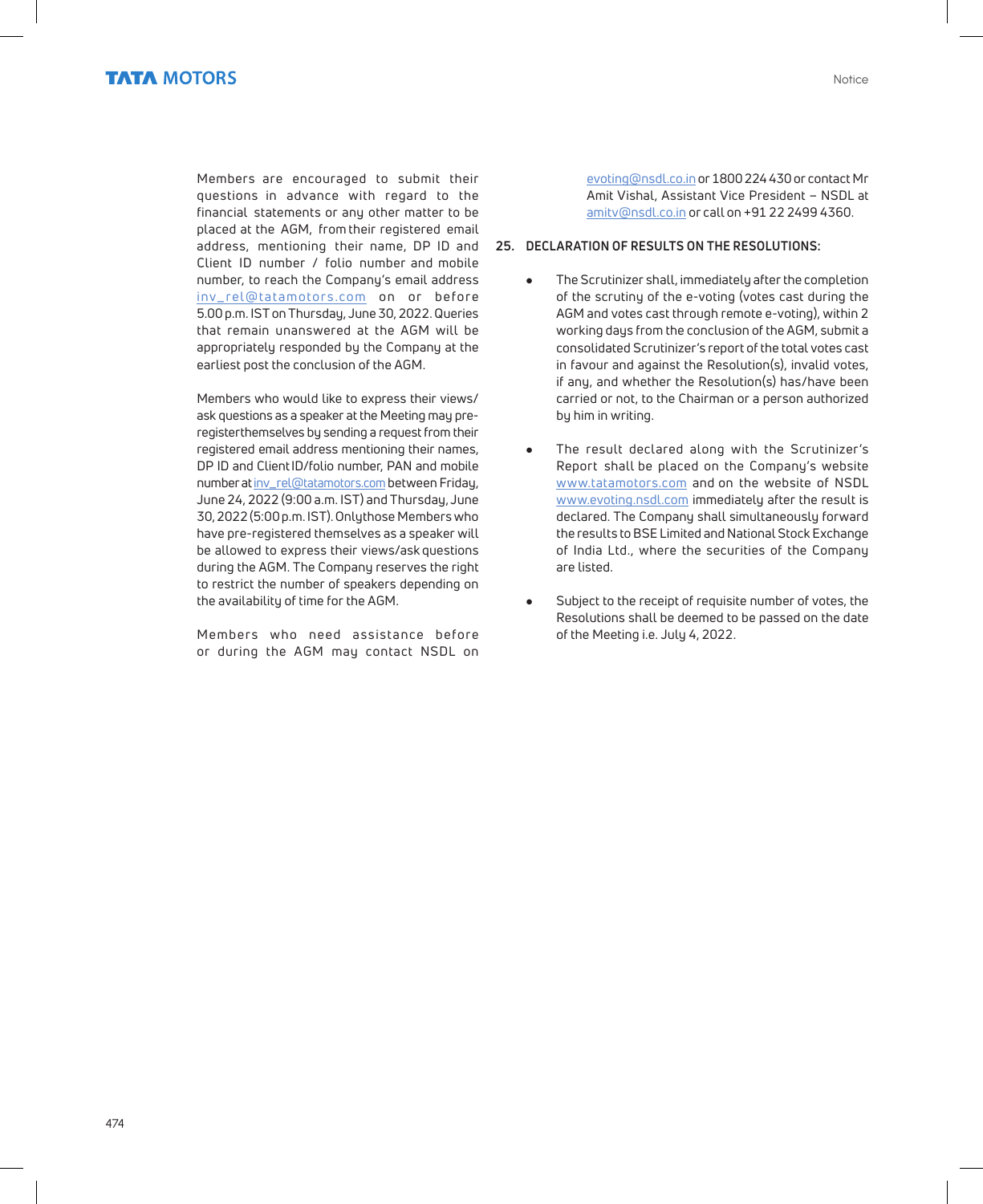

 Members are encouraged to submit their questions in advance with regard to the financial statements or any other matter to be placed at the AGM, from their registered email address, mentioning their name, DP ID and Client ID number / folio number and mobile number, to reach the Company's email address inv\_rel@tatamotors.com on or before 5.00 p.m. IST on Thursday, June 30, 2022. Queries that remain unanswered at the AGM will be appropriately responded by the Company at the earliest post the conclusion of the AGM.

 Members who would like to express their views/ ask questions as a speaker at the Meeting may preregisterthemselves by sending a request from their registered email address mentioning their names, DP ID and ClientID/folio number, PAN and mobile number at inv\_rel@tatamotors.com between Friday, June 24, 2022 (9:00 a.m. IST) and Thursday, June 30, 2022 (5:00 p.m. IST). Only those Members who have pre-registered themselves as a speaker will be allowed to express their views/ask questions during the AGM. The Company reserves the right to restrict the number of speakers depending on the availability of time for the AGM.

Members who need assistance before or during the AGM may contact NSDL on evoting@nsdl.co.in or 1800 224 430 or contact Mr Amit Vishal, Assistant Vice President – NSDL at amitv@nsdl.co.in or call on +91 22 2499 4360.

#### **25. DECLARATION OF RESULTS ON THE RESOLUTIONS:**

- The Scrutinizer shall, immediately after the completion of the scrutiny of the e-voting (votes cast during the AGM and votes cast through remote e-voting), within 2 working days from the conclusion of the AGM, submit a consolidated Scrutinizer's report of the total votes cast in favour and against the Resolution(s), invalid votes, if any, and whether the Resolution(s) has/have been carried or not, to the Chairman or a person authorized by him in writing.
- The result declared along with the Scrutinizer's Report shall be placed on the Company's website www.tatamotors.com and on the website of NSDL www.evoting.nsdl.com immediately after the result is declared. The Company shall simultaneously forward the results to BSE Limited and National Stock Exchange of India Ltd., where the securities of the Company are listed.
- Subject to the receipt of requisite number of votes, the Resolutions shall be deemed to be passed on the date of the Meeting i.e. July 4, 2022.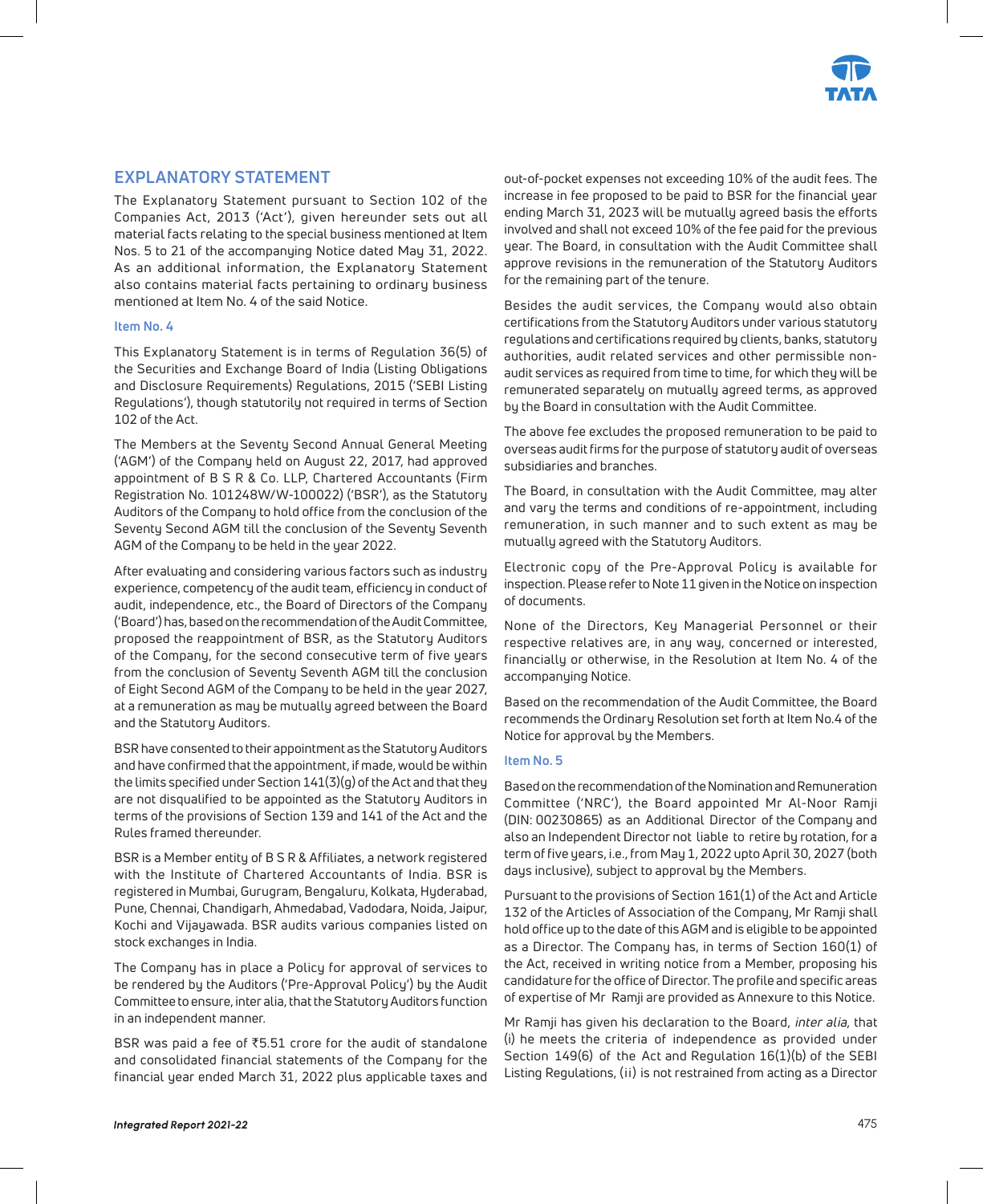

### **EXPLANATORY STATEMENT**

The Explanatory Statement pursuant to Section 102 of the Companies Act, 2013 ('Act'), given hereunder sets out all material facts relating to the special business mentioned at Item Nos. 5 to 21 of the accompanying Notice dated May 31, 2022. As an additional information, the Explanatory Statement also contains material facts pertaining to ordinary business mentioned at Item No. 4 of the said Notice.

#### **Item No. 4**

This Explanatory Statement is in terms of Regulation 36(5) of the Securities and Exchange Board of India (Listing Obligations and Disclosure Requirements) Regulations, 2015 ('SEBI Listing Regulations'), though statutorily not required in terms of Section 102 of the Act.

The Members at the Seventy Second Annual General Meeting ('AGM') of the Company held on August 22, 2017, had approved appointment of B S R & Co. LLP, Chartered Accountants (Firm Registration No. 101248W/W-100022) ('BSR'), as the Statutory Auditors of the Company to hold office from the conclusion of the Seventy Second AGM till the conclusion of the Seventy Seventh AGM of the Company to be held in the year 2022.

After evaluating and considering various factors such as industry experience, competency of the audit team, efficiency in conduct of audit, independence, etc., the Board of Directors of the Company ('Board') has, based on the recommendation of the Audit Committee, proposed the reappointment of BSR, as the Statutory Auditors of the Company, for the second consecutive term of five years from the conclusion of Seventy Seventh AGM till the conclusion of Eight Second AGM of the Company to be held in the year 2027, at a remuneration as may be mutually agreed between the Board and the Statutory Auditors.

BSR have consented to their appointment as the Statutory Auditors and have confirmed that the appointment, if made, would be within the limits specified under Section 141(3)(g) of the Act and that they are not disqualified to be appointed as the Statutory Auditors in terms of the provisions of Section 139 and 141 of the Act and the Rules framed thereunder.

BSR is a Member entity of B S R & Affiliates, a network registered with the Institute of Chartered Accountants of India. BSR is registered in Mumbai, Gurugram, Bengaluru, Kolkata, Hyderabad, Pune, Chennai, Chandigarh, Ahmedabad, Vadodara, Noida, Jaipur, Kochi and Vijayawada. BSR audits various companies listed on stock exchanges in India.

The Company has in place a Policy for approval of services to be rendered by the Auditors ('Pre-Approval Policy') by the Audit Committee to ensure, inter alia, that the Statutory Auditors function in an independent manner.

BSR was paid a fee of  $\text{\texttt{F5.51}}$  crore for the audit of standalone and consolidated financial statements of the Company for the financial year ended March 31, 2022 plus applicable taxes and

out-of-pocket expenses not exceeding 10% of the audit fees. The increase in fee proposed to be paid to BSR for the financial year ending March 31, 2023 will be mutually agreed basis the efforts involved and shall not exceed 10% of the fee paid for the previous year. The Board, in consultation with the Audit Committee shall approve revisions in the remuneration of the Statutory Auditors for the remaining part of the tenure.

Besides the audit services, the Company would also obtain certifications from the Statutory Auditors under various statutory regulations and certifications required by clients, banks, statutory authorities, audit related services and other permissible nonaudit services as required from time to time, for which they will be remunerated separately on mutually agreed terms, as approved by the Board in consultation with the Audit Committee.

The above fee excludes the proposed remuneration to be paid to overseas audit firms for the purpose of statutory audit of overseas subsidiaries and branches.

The Board, in consultation with the Audit Committee, may alter and vary the terms and conditions of re-appointment, including remuneration, in such manner and to such extent as may be mutually agreed with the Statutory Auditors.

Electronic copy of the Pre-Approval Policy is available for inspection. Please refer to Note 11 given in the Notice on inspection of documents.

None of the Directors, Key Managerial Personnel or their respective relatives are, in any way, concerned or interested, financially or otherwise, in the Resolution at Item No. 4 of the accompanying Notice.

Based on the recommendation of the Audit Committee, the Board recommends the Ordinary Resolution set forth at Item No.4 of the Notice for approval by the Members.

#### **Item No. 5**

Based on the recommendation of the Nomination and Remuneration Committee ('NRC'), the Board appointed Mr Al-Noor Ramji (DIN: 00230865) as an Additional Director of the Company and also an Independent Director not liable to retire by rotation, for a term of five years, i.e., from May 1, 2022 upto April 30, 2027 (both days inclusive), subject to approval by the Members.

Pursuant to the provisions of Section 161(1) of the Act and Article 132 of the Articles of Association of the Company, Mr Ramji shall hold office up to the date of this AGM and is eligible to be appointed as a Director. The Company has, in terms of Section 160(1) of the Act, received in writing notice from a Member, proposing his candidature for the office of Director. The profile and specific areas of expertise of Mr Ramji are provided as Annexure to this Notice.

Mr Ramji has given his declaration to the Board, inter alia, that (i) he meets the criteria of independence as provided under Section 149(6) of the Act and Regulation 16(1)(b) of the SEBI Listing Regulations, (ii) is not restrained from acting as a Director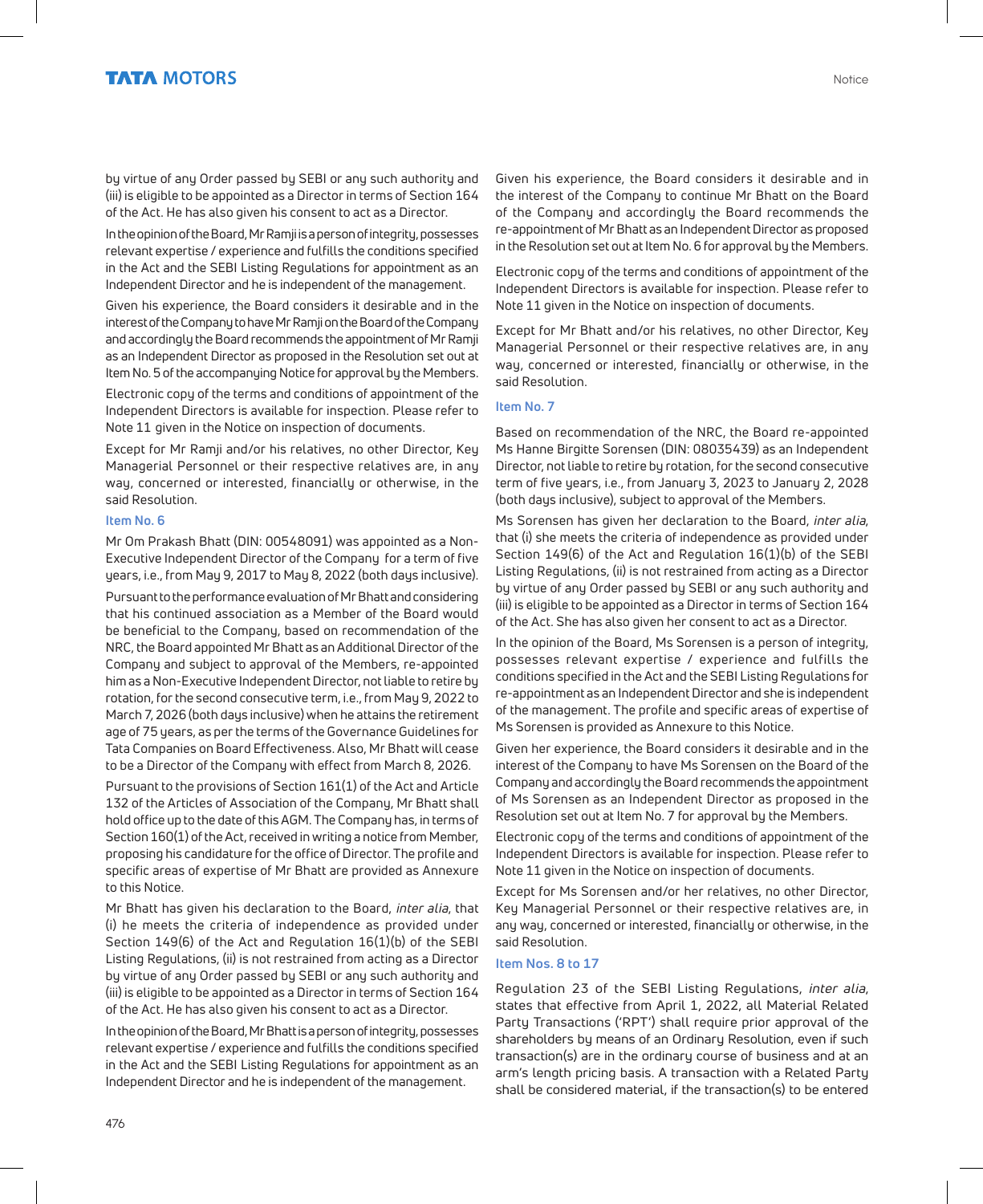by virtue of any Order passed by SEBI or any such authority and (iii) is eligible to be appointed as a Director in terms of Section 164 of the Act. He has also given his consent to act as a Director.

In the opinion of the Board, Mr Ramji is a person of integrity, possesses relevant expertise / experience and fulfills the conditions specified in the Act and the SEBI Listing Regulations for appointment as an Independent Director and he is independent of the management.

Given his experience, the Board considers it desirable and in the interest of the Company to have Mr Ramji on the Board of the Company and accordingly the Board recommends the appointment of Mr Ramji as an Independent Director as proposed in the Resolution set out at Item No. 5 of the accompanying Notice for approval by the Members.

Electronic copy of the terms and conditions of appointment of the Independent Directors is available for inspection. Please refer to Note 11 given in the Notice on inspection of documents.

Except for Mr Ramji and/or his relatives, no other Director, Key Managerial Personnel or their respective relatives are, in any way, concerned or interested, financially or otherwise, in the said Resolution.

#### **Item No. 6**

Mr Om Prakash Bhatt (DIN: 00548091) was appointed as a Non-Executive Independent Director of the Company for a term of five years, i.e., from May 9, 2017 to May 8, 2022 (both days inclusive).

Pursuant to the performance evaluation of Mr Bhatt and considering that his continued association as a Member of the Board would be beneficial to the Company, based on recommendation of the NRC, the Board appointed Mr Bhatt as an Additional Director of the Company and subject to approval of the Members, re-appointed him as a Non-Executive Independent Director, not liable to retire by rotation, for the second consecutive term, i.e., from May 9, 2022 to March 7, 2026 (both days inclusive) when he attains the retirement age of 75 years, as per the terms of the Governance Guidelines for Tata Companies on Board Effectiveness. Also, Mr Bhatt will cease to be a Director of the Company with effect from March 8, 2026.

Pursuant to the provisions of Section 161(1) of the Act and Article 132 of the Articles of Association of the Company, Mr Bhatt shall hold office up to the date of this AGM. The Company has, in terms of Section 160(1) of the Act, received in writing a notice from Member, proposing his candidature for the office of Director. The profile and specific areas of expertise of Mr Bhatt are provided as Annexure to this Notice.

Mr Bhatt has given his declaration to the Board, inter alia, that (i) he meets the criteria of independence as provided under Section 149(6) of the Act and Regulation 16(1)(b) of the SEBI Listing Regulations, (ii) is not restrained from acting as a Director by virtue of any Order passed by SEBI or any such authority and (iii) is eligible to be appointed as a Director in terms of Section 164 of the Act. He has also given his consent to act as a Director.

In the opinion of the Board, Mr Bhatt is a person of integrity, possesses relevant expertise / experience and fulfills the conditions specified in the Act and the SEBI Listing Regulations for appointment as an Independent Director and he is independent of the management.

Given his experience, the Board considers it desirable and in the interest of the Company to continue Mr Bhatt on the Board of the Company and accordingly the Board recommends the re-appointment of Mr Bhatt as an Independent Director as proposed in the Resolution set out at Item No. 6 for approval by the Members.

Electronic copy of the terms and conditions of appointment of the Independent Directors is available for inspection. Please refer to Note 11 given in the Notice on inspection of documents.

Except for Mr Bhatt and/or his relatives, no other Director, Key Managerial Personnel or their respective relatives are, in any way, concerned or interested, financially or otherwise, in the said Resolution.

#### **Item No. 7**

Based on recommendation of the NRC, the Board re-appointed Ms Hanne Birgitte Sorensen (DIN: 08035439) as an Independent Director, not liable to retire by rotation, for the second consecutive term of five years, i.e., from January 3, 2023 to January 2, 2028 (both days inclusive), subject to approval of the Members.

Ms Sorensen has given her declaration to the Board, inter alia, that (i) she meets the criteria of independence as provided under Section 149(6) of the Act and Regulation 16(1)(b) of the SEBI Listing Regulations, (ii) is not restrained from acting as a Director by virtue of any Order passed by SEBI or any such authority and (iii) is eligible to be appointed as a Director in terms of Section 164 of the Act. She has also given her consent to act as a Director.

In the opinion of the Board, Ms Sorensen is a person of integrity, possesses relevant expertise / experience and fulfills the conditions specified in the Act and the SEBI Listing Regulations for re-appointment as an Independent Director and she is independent of the management. The profile and specific areas of expertise of Ms Sorensen is provided as Annexure to this Notice.

Given her experience, the Board considers it desirable and in the interest of the Company to have Ms Sorensen on the Board of the Company and accordingly the Board recommends the appointment of Ms Sorensen as an Independent Director as proposed in the Resolution set out at Item No. 7 for approval by the Members.

Electronic copy of the terms and conditions of appointment of the Independent Directors is available for inspection. Please refer to Note 11 given in the Notice on inspection of documents.

Except for Ms Sorensen and/or her relatives, no other Director, Key Managerial Personnel or their respective relatives are, in any way, concerned or interested, financially or otherwise, in the said Resolution.

#### **Item Nos. 8 to 17**

Regulation 23 of the SEBI Listing Regulations, inter alia, states that effective from April 1, 2022, all Material Related Party Transactions ('RPT') shall require prior approval of the shareholders by means of an Ordinary Resolution, even if such transaction(s) are in the ordinary course of business and at an arm's length pricing basis. A transaction with a Related Party shall be considered material, if the transaction(s) to be entered

476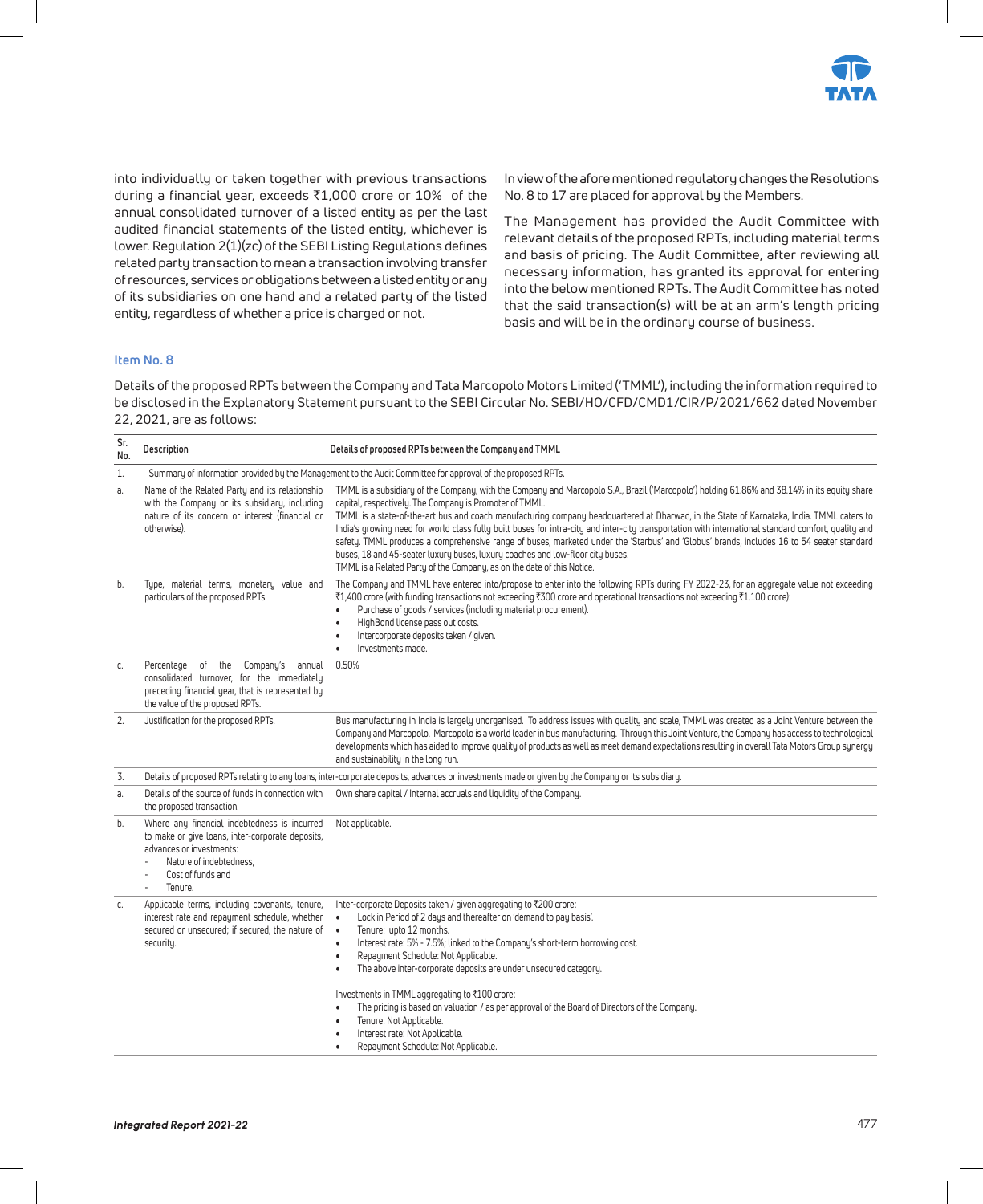

into individually or taken together with previous transactions during a financial year, exceeds `1,000 crore or 10% of the annual consolidated turnover of a listed entity as per the last audited financial statements of the listed entity, whichever is lower. Regulation 2(1)(zc) of the SEBI Listing Regulations defines related party transaction to mean a transaction involving transfer of resources, services or obligations between a listed entity or any of its subsidiaries on one hand and a related party of the listed entity, regardless of whether a price is charged or not.

In view of the afore mentioned regulatory changes the Resolutions No. 8 to 17 are placed for approval by the Members.

The Management has provided the Audit Committee with relevant details of the proposed RPTs, including material terms and basis of pricing. The Audit Committee, after reviewing all necessary information, has granted its approval for entering into the below mentioned RPTs. The Audit Committee has noted that the said transaction(s) will be at an arm's length pricing basis and will be in the ordinary course of business.

#### **Item No. 8**

Details of the proposed RPTs between the Company and Tata Marcopolo Motors Limited ('TMML'), including the information required to be disclosed in the Explanatory Statement pursuant to the SEBI Circular No. SEBI/HO/CFD/CMD1/CIR/P/2021/662 dated November 22, 2021, are as follows:

| Sr.<br>No. | Description                                                                                                                                                                                                         | Details of proposed RPTs between the Company and TMML                                                                                                                                                                                                                                                                                                                                                                                                                                                                                                                                                                                                                                                                                                                                                                 |  |
|------------|---------------------------------------------------------------------------------------------------------------------------------------------------------------------------------------------------------------------|-----------------------------------------------------------------------------------------------------------------------------------------------------------------------------------------------------------------------------------------------------------------------------------------------------------------------------------------------------------------------------------------------------------------------------------------------------------------------------------------------------------------------------------------------------------------------------------------------------------------------------------------------------------------------------------------------------------------------------------------------------------------------------------------------------------------------|--|
| 1.         |                                                                                                                                                                                                                     | Summary of information provided by the Management to the Audit Committee for approval of the proposed RPTs.                                                                                                                                                                                                                                                                                                                                                                                                                                                                                                                                                                                                                                                                                                           |  |
| a.         | Name of the Related Party and its relationship<br>with the Company or its subsidiary, including<br>nature of its concern or interest (financial or<br>otherwise).                                                   | TMML is a subsidiary of the Company, with the Company and Marcopolo S.A., Brazil ('Marcopolo') holding 61.86% and 38.14% in its equity share<br>capital, respectively. The Company is Promoter of TMML.<br>TMML is a state-of-the-art bus and coach manufacturing company headquartered at Dharwad, in the State of Karnataka, India. TMML caters to<br>India's growing need for world class fully built buses for intra-city and inter-city transportation with international standard comfort, quality and<br>safety. TMML produces a comprehensive range of buses, marketed under the 'Starbus' and 'Globus' brands, includes 16 to 54 seater standard<br>buses, 18 and 45-seater luxury buses, luxury coaches and low-floor city buses.<br>TMML is a Related Party of the Company, as on the date of this Notice. |  |
| b.         | Type, material terms, monetary value and<br>particulars of the proposed RPTs.                                                                                                                                       | The Company and TMML have entered into/propose to enter into the following RPTs during FY 2022-23, for an aggregate value not exceeding<br>₹1,400 crore (with funding transactions not exceeding ₹300 crore and operational transactions not exceeding ₹1,100 crore):<br>Purchase of goods / services (including material procurement).<br>$\bullet$<br>HighBond license pass out costs.<br>$\bullet$<br>Intercorporate deposits taken / given.<br>$\bullet$<br>Investments made.<br>$\bullet$                                                                                                                                                                                                                                                                                                                        |  |
| C.         | 0.50%<br>Percentage of the Company's annual<br>consolidated turnover, for the immediately<br>preceding financial year, that is represented by<br>the value of the proposed RPTs.                                    |                                                                                                                                                                                                                                                                                                                                                                                                                                                                                                                                                                                                                                                                                                                                                                                                                       |  |
| 2.         | Justification for the proposed RPTs.                                                                                                                                                                                | Bus manufacturing in India is largely unorganised. To address issues with quality and scale, TMML was created as a Joint Venture between the<br>Company and Marcopolo. Marcopolo is a world leader in bus manufacturing. Through this Joint Venture, the Company has access to technological<br>developments which has aided to improve quality of products as well as meet demand expectations resulting in overall Tata Motors Group synergy<br>and sustainability in the long run.                                                                                                                                                                                                                                                                                                                                 |  |
| 3.         |                                                                                                                                                                                                                     | Details of proposed RPTs relating to any loans, inter-corporate deposits, advances or investments made or given by the Company or its subsidiary.                                                                                                                                                                                                                                                                                                                                                                                                                                                                                                                                                                                                                                                                     |  |
| a.         | Details of the source of funds in connection with<br>the proposed transaction.                                                                                                                                      | Own share capital / Internal accruals and liquidity of the Company.                                                                                                                                                                                                                                                                                                                                                                                                                                                                                                                                                                                                                                                                                                                                                   |  |
| b.         | Where any financial indebtedness is incurred<br>to make or give loans, inter-corporate deposits,<br>advances or investments:<br>Nature of indebtedness.<br>Cost of funds and<br>$\overline{\phantom{a}}$<br>Tenure. | Not applicable.                                                                                                                                                                                                                                                                                                                                                                                                                                                                                                                                                                                                                                                                                                                                                                                                       |  |
| C.         | Applicable terms, including covenants, tenure,<br>interest rate and repayment schedule, whether<br>secured or unsecured; if secured, the nature of<br>security.                                                     | Inter-corporate Deposits taken / given aggregating to ₹200 crore:<br>Lock in Period of 2 days and thereafter on 'demand to pay basis'.<br>$\bullet$<br>Tenure: upto 12 months.<br>$\bullet$<br>Interest rate: 5% - 7.5%; linked to the Company's short-term borrowing cost.<br>$\bullet$<br>Repayment Schedule: Not Applicable.<br>$\bullet$<br>The above inter-corporate deposits are under unsecured category.<br>$\bullet$<br>Investments in TMML aggregating to ₹100 crore:<br>The pricing is based on valuation / as per approval of the Board of Directors of the Company.<br>$\bullet$<br>Tenure: Not Applicable.<br>$\bullet$<br>Interest rate: Not Applicable.<br>$\bullet$<br>Repayment Schedule: Not Applicable.<br>$\bullet$                                                                              |  |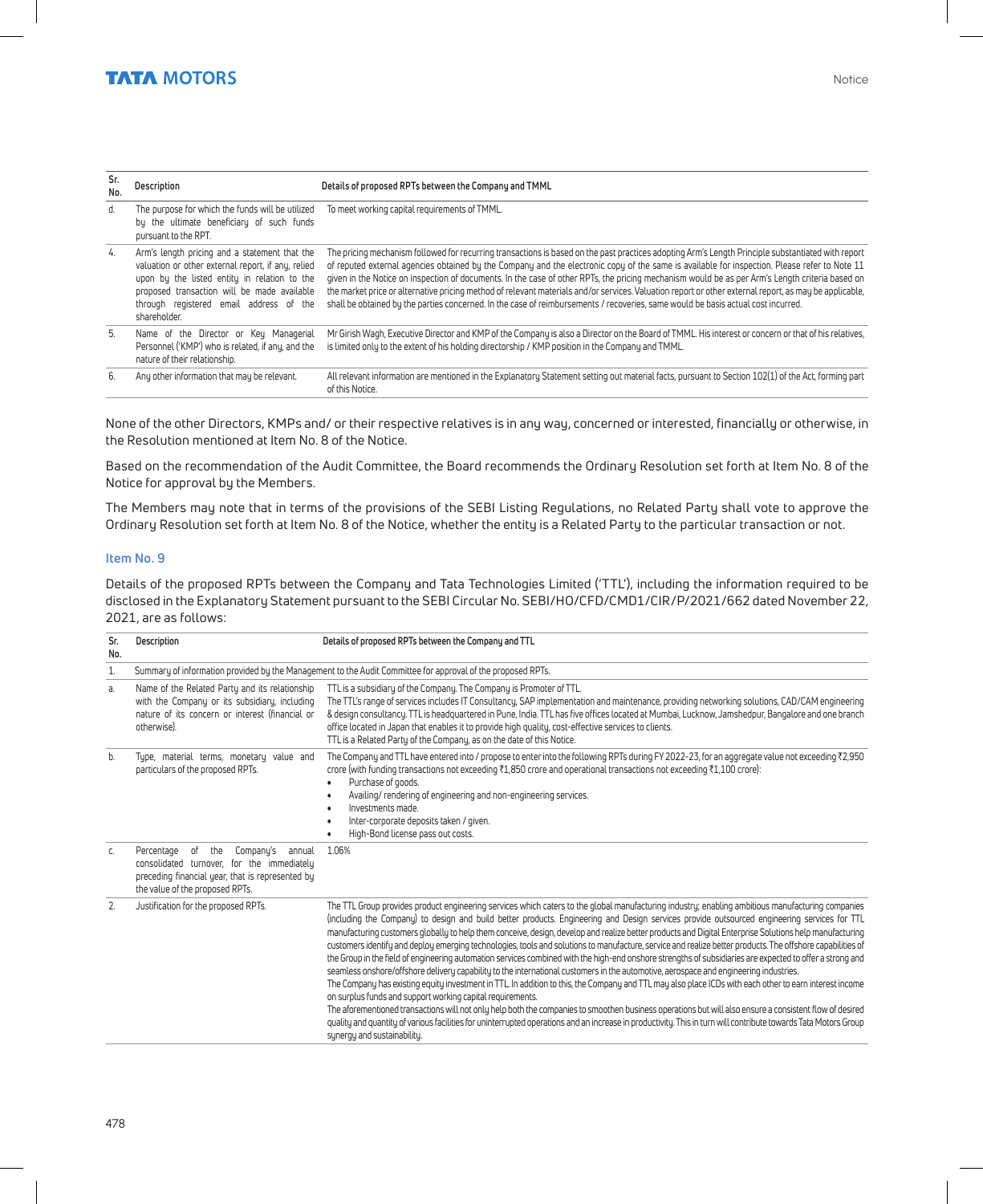| Sr.<br>No. | Description                                                                                                                                                                                                                                                   | Details of proposed RPTs between the Company and TMML                                                                                                                                                                                                                                                                                                                                                                                                                                                                                                                                                                                                                                                                                                 |
|------------|---------------------------------------------------------------------------------------------------------------------------------------------------------------------------------------------------------------------------------------------------------------|-------------------------------------------------------------------------------------------------------------------------------------------------------------------------------------------------------------------------------------------------------------------------------------------------------------------------------------------------------------------------------------------------------------------------------------------------------------------------------------------------------------------------------------------------------------------------------------------------------------------------------------------------------------------------------------------------------------------------------------------------------|
| d.         | The purpose for which the funds will be utilized<br>by the ultimate beneficiary of such funds<br>pursuant to the RPT.                                                                                                                                         | To meet working capital requirements of TMML.                                                                                                                                                                                                                                                                                                                                                                                                                                                                                                                                                                                                                                                                                                         |
| 4.         | Arm's length pricing and a statement that the<br>valuation or other external report, if any, relied<br>upon by the listed entity in relation to the<br>proposed transaction will be made available<br>through registered email address of the<br>shareholder. | The pricing mechanism followed for recurring transactions is based on the past practices adopting Arm's Length Principle substantiated with report<br>of reputed external agencies obtained by the Company and the electronic copy of the same is available for inspection. Please refer to Note 11<br>given in the Notice on inspection of documents. In the case of other RPTs, the pricing mechanism would be as per Arm's Length criteria based on<br>the market price or alternative pricing method of relevant materials and/or services. Valuation report or other external report, as may be applicable.<br>shall be obtained by the parties concerned. In the case of reimbursements / recoveries, same would be basis actual cost incurred. |
| 5.         | Name of the Director or Key Managerial<br>Personnel ('KMP') who is related, if any, and the<br>pature of their relationship                                                                                                                                   | Mr Girish Wagh, Executive Director and KMP of the Company is also a Director on the Board of TMML. His interest or concern or that of his relatives,<br>is limited only to the extent of his holding directorship / KMP position in the Company and TMML.                                                                                                                                                                                                                                                                                                                                                                                                                                                                                             |

nature of their relationship. 6. Any other information that may be relevant. All relevant information are mentioned in the Explanatory Statement setting out material facts, pursuant to Section 102(1) of the Act, forming part of this Notice.

None of the other Directors, KMPs and/ or their respective relatives is in any way, concerned or interested, financially or otherwise, in the Resolution mentioned at Item No. 8 of the Notice.

Based on the recommendation of the Audit Committee, the Board recommends the Ordinary Resolution set forth at Item No. 8 of the Notice for approval by the Members.

The Members may note that in terms of the provisions of the SEBI Listing Regulations, no Related Party shall vote to approve the Ordinary Resolution set forth at Item No. 8 of the Notice, whether the entity is a Related Party to the particular transaction or not.

#### **Item No. 9**

Details of the proposed RPTs between the Company and Tata Technologies Limited ('TTL'), including the information required to be disclosed in the Explanatory Statement pursuant to the SEBI Circular No. SEBI/HO/CFD/CMD1/CIR/P/2021/662 dated November 22, 2021, are as follows:

| Sr.<br>No. | Description                                                                                                                                                                      | Details of proposed RPTs between the Company and TTL                                                                                                                                                                                                                                                                                                                                                                                                                                                                                                                                                                                                                                                                                                                                                                                                                                                                                                                                                                                                                                                                                                                                                                                                                                                                                                                                                                                                                                                                   |
|------------|----------------------------------------------------------------------------------------------------------------------------------------------------------------------------------|------------------------------------------------------------------------------------------------------------------------------------------------------------------------------------------------------------------------------------------------------------------------------------------------------------------------------------------------------------------------------------------------------------------------------------------------------------------------------------------------------------------------------------------------------------------------------------------------------------------------------------------------------------------------------------------------------------------------------------------------------------------------------------------------------------------------------------------------------------------------------------------------------------------------------------------------------------------------------------------------------------------------------------------------------------------------------------------------------------------------------------------------------------------------------------------------------------------------------------------------------------------------------------------------------------------------------------------------------------------------------------------------------------------------------------------------------------------------------------------------------------------------|
| 1.         |                                                                                                                                                                                  | Summary of information provided by the Management to the Audit Committee for approval of the proposed RPTs.                                                                                                                                                                                                                                                                                                                                                                                                                                                                                                                                                                                                                                                                                                                                                                                                                                                                                                                                                                                                                                                                                                                                                                                                                                                                                                                                                                                                            |
| a.         | Name of the Related Party and its relationship<br>with the Company or its subsidiary, including<br>nature of its concern or interest (financial or<br>otherwise).                | TTL is a subsidiary of the Company. The Company is Promoter of TTL.<br>The TTL's range of services includes IT Consultancy, SAP implementation and maintenance, providing networking solutions, CAD/CAM engineering<br>& design consultancy. TTL is headquartered in Pune, India. TTL has five offices located at Mumbai, Lucknow, Jamshedpur, Bangalore and one branch<br>office located in Japan that enables it to provide high quality, cost-effective services to clients.<br>TTL is a Related Party of the Company, as on the date of this Notice.                                                                                                                                                                                                                                                                                                                                                                                                                                                                                                                                                                                                                                                                                                                                                                                                                                                                                                                                                               |
| b.         | Type, material terms, monetary value and<br>particulars of the proposed RPTs.                                                                                                    | The Company and TTL have entered into / propose to enter into the following RPTs during FY 2022-23, for an aggregate value not exceeding ₹2,950<br>crore (with funding transactions not exceeding ₹1,850 crore and operational transactions not exceeding ₹1,100 crore):<br>Purchase of goods.<br>Availing/rendering of engineering and non-engineering services.<br>Investments made.<br>Inter-corporate deposits taken / given.<br>High-Bond license pass out costs.                                                                                                                                                                                                                                                                                                                                                                                                                                                                                                                                                                                                                                                                                                                                                                                                                                                                                                                                                                                                                                                 |
| C.         | of the<br>Company's<br>Percentage<br>annual<br>consolidated turnover, for the immediately<br>preceding financial year, that is represented by<br>the value of the proposed RPTs. | 1.06%                                                                                                                                                                                                                                                                                                                                                                                                                                                                                                                                                                                                                                                                                                                                                                                                                                                                                                                                                                                                                                                                                                                                                                                                                                                                                                                                                                                                                                                                                                                  |
| 2.         | Justification for the proposed RPTs.                                                                                                                                             | The TTL Group provides product engineering services which caters to the global manufacturing industry; enabling ambitious manufacturing companies<br>(including the Company) to design and build better products. Engineering and Design services provide outsourced engineering services for TTL<br>manufacturing customers globally to help them conceive, design, develop and realize better products and Digital Enterprise Solutions help manufacturing<br>customers identify and deploy emerging technologies, tools and solutions to manufacture, service and realize better products. The offshore capabilities of<br>the Group in the field of engineering automation services combined with the high-end onshore strengths of subsidiaries are expected to offer a strong and<br>seamless onshore/offshore delivery capability to the international customers in the automotive, aerospace and engineering industries.<br>The Company has existing equity investment in TTL. In addition to this, the Company and TTL may also place ICDs with each other to earn interest income<br>on surplus funds and support working capital requirements.<br>The aforementioned transactions will not only help both the companies to smoothen business operations but will also ensure a consistent flow of desired<br>quality and quantity of various facilities for uninterrupted operations and an increase in productivity. This in turn will contribute towards Tata Motors Group<br>synergy and sustainability. |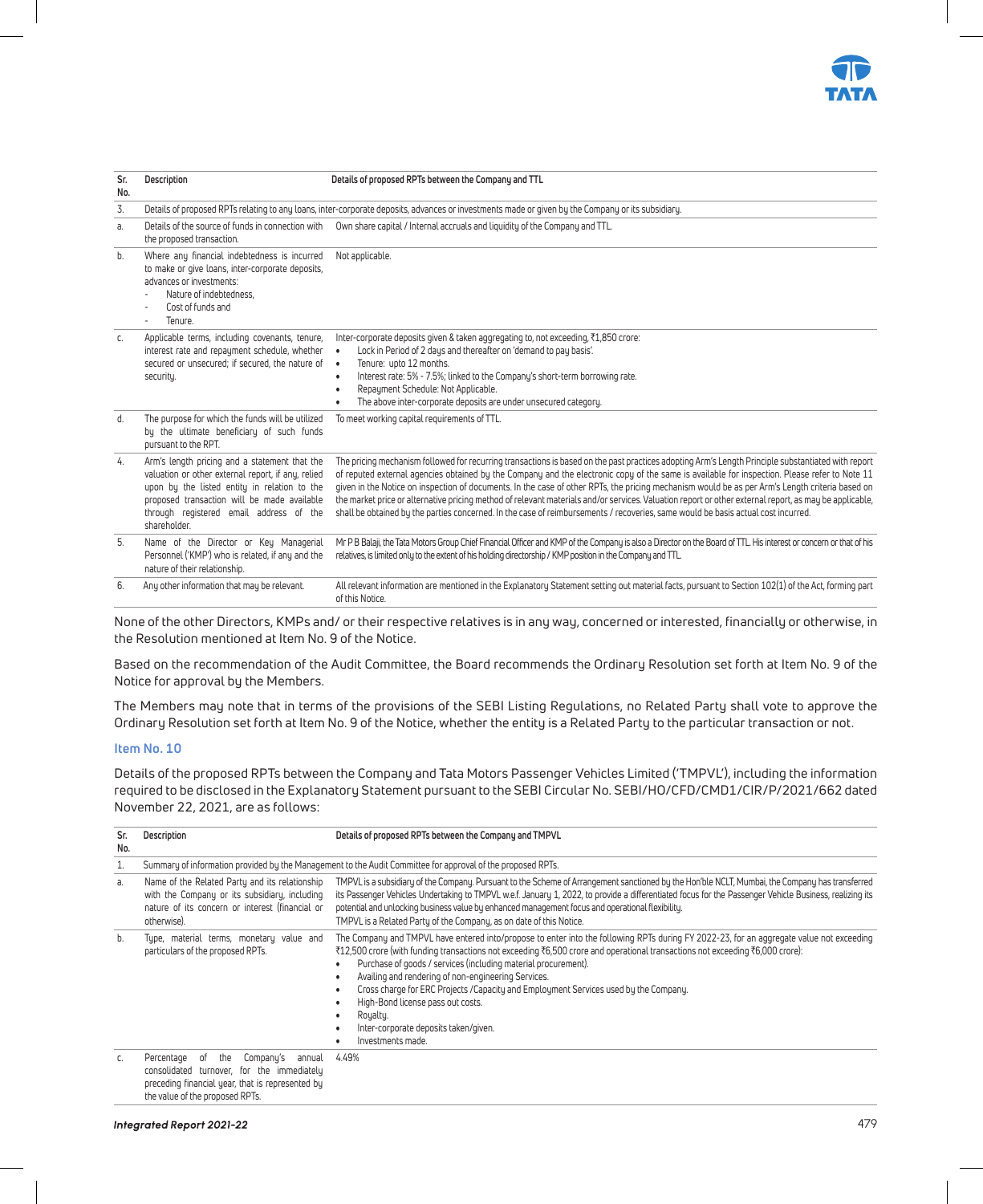

| Sr.<br>No. | Description                                                                                                                                                                                                                                                   | Details of proposed RPTs between the Company and TTL                                                                                                                                                                                                                                                                                                                                                                                                                                                                                                                                                                                                                                                                                                  |
|------------|---------------------------------------------------------------------------------------------------------------------------------------------------------------------------------------------------------------------------------------------------------------|-------------------------------------------------------------------------------------------------------------------------------------------------------------------------------------------------------------------------------------------------------------------------------------------------------------------------------------------------------------------------------------------------------------------------------------------------------------------------------------------------------------------------------------------------------------------------------------------------------------------------------------------------------------------------------------------------------------------------------------------------------|
| 3.         |                                                                                                                                                                                                                                                               | Details of proposed RPTs relating to any loans, inter-corporate deposits, advances or investments made or given by the Company or its subsidiary.                                                                                                                                                                                                                                                                                                                                                                                                                                                                                                                                                                                                     |
| a.         | Details of the source of funds in connection with<br>the proposed transaction.                                                                                                                                                                                | Own share capital / Internal accruals and liquidity of the Company and TTL.                                                                                                                                                                                                                                                                                                                                                                                                                                                                                                                                                                                                                                                                           |
| b.         | Where any financial indebtedness is incurred<br>to make or give loans, inter-corporate deposits,<br>advances or investments:<br>Nature of indebtedness.<br>Cost of funds and<br>Tenure.<br>$\overline{\phantom{a}}$                                           | Not applicable.                                                                                                                                                                                                                                                                                                                                                                                                                                                                                                                                                                                                                                                                                                                                       |
| C.         | Applicable terms, including covenants, tenure,<br>interest rate and repayment schedule, whether<br>secured or unsecured: if secured, the nature of •<br>security.                                                                                             | Inter-corporate deposits given & taken aggregating to, not exceeding, ₹1,850 crore:<br>Lock in Period of 2 days and thereafter on 'demand to pay basis'.<br>$\bullet$<br>Tenure: upto 12 months.<br>Interest rate: 5% - 7.5%; linked to the Company's short-term borrowing rate.<br>$\bullet$<br>Repayment Schedule: Not Applicable.<br>The above inter-corporate deposits are under unsecured category.                                                                                                                                                                                                                                                                                                                                              |
| d.         | The purpose for which the funds will be utilized<br>by the ultimate beneficiary of such funds<br>pursuant to the RPT.                                                                                                                                         | To meet working capital requirements of TTL.                                                                                                                                                                                                                                                                                                                                                                                                                                                                                                                                                                                                                                                                                                          |
| 4.         | Arm's length pricing and a statement that the<br>valuation or other external report, if any, relied<br>upon by the listed entity in relation to the<br>proposed transaction will be made available<br>through registered email address of the<br>shareholder. | The pricing mechanism followed for recurring transactions is based on the past practices adopting Arm's Length Principle substantiated with report<br>of reputed external agencies obtained by the Company and the electronic copy of the same is available for inspection. Please refer to Note 11<br>given in the Notice on inspection of documents. In the case of other RPTs, the pricing mechanism would be as per Arm's Length criteria based on<br>the market price or alternative pricing method of relevant materials and/or services. Valuation report or other external report, as may be applicable,<br>shall be obtained bu the parties concerned. In the case of reimbursements / recoveries, same would be basis actual cost incurred. |
| 5.         | Name of the Director or Key Managerial<br>Personnel ('KMP') who is related, if any and the<br>nature of their relationship.                                                                                                                                   | Mr P B Balaji, the Tata Motors Group Chief Financial Officer and KMP of the Company is also a Director on the Board of TTL His interest or concern or that of his<br>relatives, is limited only to the extent of his holding directorship / KMP position in the Company and TTL.                                                                                                                                                                                                                                                                                                                                                                                                                                                                      |
| 6.         | Any other information that may be relevant.                                                                                                                                                                                                                   | All relevant information are mentioned in the Explanatory Statement setting out material facts, pursuant to Section 102(1) of the Act, forming part<br>of this Notice.                                                                                                                                                                                                                                                                                                                                                                                                                                                                                                                                                                                |

None of the other Directors, KMPs and/ or their respective relatives is in any way, concerned or interested, financially or otherwise, in the Resolution mentioned at Item No. 9 of the Notice.

Based on the recommendation of the Audit Committee, the Board recommends the Ordinary Resolution set forth at Item No. 9 of the Notice for approval by the Members.

The Members may note that in terms of the provisions of the SEBI Listing Regulations, no Related Party shall vote to approve the Ordinary Resolution set forth at Item No. 9 of the Notice, whether the entity is a Related Party to the particular transaction or not.

#### **Item No. 10**

Details of the proposed RPTs between the Company and Tata Motors Passenger Vehicles Limited ('TMPVL'), including the information required to be disclosed in the Explanatory Statement pursuant to the SEBI Circular No. SEBI/HO/CFD/CMD1/CIR/P/2021/662 dated November 22, 2021, are as follows:

| Sr.<br>No. | Description                                                                                                                                                                         | Details of proposed RPTs between the Company and TMPVL                                                                                                                                                                                                                                                                                                                                                                                                                                                                                                                                                     |
|------------|-------------------------------------------------------------------------------------------------------------------------------------------------------------------------------------|------------------------------------------------------------------------------------------------------------------------------------------------------------------------------------------------------------------------------------------------------------------------------------------------------------------------------------------------------------------------------------------------------------------------------------------------------------------------------------------------------------------------------------------------------------------------------------------------------------|
| 1.         |                                                                                                                                                                                     | Summary of information provided by the Management to the Audit Committee for approval of the proposed RPTs.                                                                                                                                                                                                                                                                                                                                                                                                                                                                                                |
| a.         | Name of the Related Party and its relationship<br>with the Company or its subsidiary, including<br>nature of its concern or interest (financial or<br>otherwise).                   | TMPVL is a subsidiary of the Company. Pursuant to the Scheme of Arrangement sanctioned by the Hon'ble NCLT, Mumbai, the Company has transferred<br>its Passenger Vehicles Undertaking to TMPVL w.e.f. January 1, 2022, to provide a differentiated focus for the Passenger Vehicle Business, realizing its<br>potential and unlocking business value by enhanced management focus and operational flexibility.<br>TMPVL is a Related Party of the Company, as on date of this Notice.                                                                                                                      |
| b.         | Type, material terms, monetary value and<br>particulars of the proposed RPTs.                                                                                                       | The Company and TMPVL have entered into/propose to enter into the following RPTs during FY 2022-23, for an aggregate value not exceeding<br>₹12,500 crore (with funding transactions not exceeding ₹6,500 crore and operational transactions not exceeding ₹6,000 crore):<br>Purchase of goods / services (including material procurement).<br>Availing and rendering of non-engineering Services.<br>Cross charge for ERC Projects / Capacity and Employment Services used by the Company.<br>High-Bond license pass out costs.<br>Royalty.<br>Inter-corporate deposits taken/given.<br>Investments made. |
| C.         | Company's<br>the<br>Percentage<br>of<br>annual<br>consolidated turnover, for the immediately<br>preceding financial year, that is represented by<br>the value of the proposed RPTs. | 4.49%                                                                                                                                                                                                                                                                                                                                                                                                                                                                                                                                                                                                      |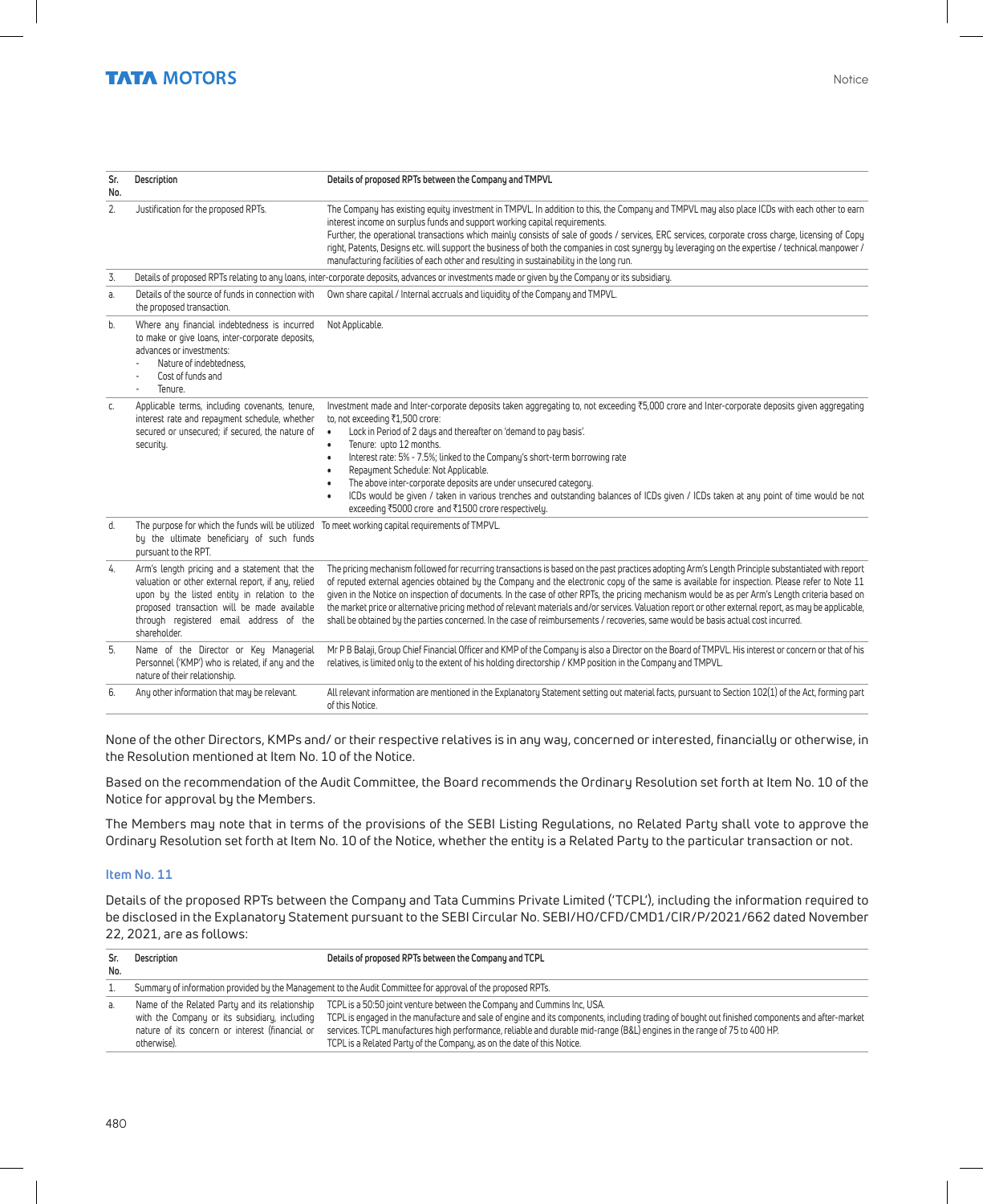| Sr.<br>No. | Description                                                                                                                                                                                                                                                   | Details of proposed RPTs between the Company and TMPVL                                                                                                                                                                                                                                                                                                                                                                                                                                                                                                                                                                                                                                                                                                  |
|------------|---------------------------------------------------------------------------------------------------------------------------------------------------------------------------------------------------------------------------------------------------------------|---------------------------------------------------------------------------------------------------------------------------------------------------------------------------------------------------------------------------------------------------------------------------------------------------------------------------------------------------------------------------------------------------------------------------------------------------------------------------------------------------------------------------------------------------------------------------------------------------------------------------------------------------------------------------------------------------------------------------------------------------------|
| 2.         | Justification for the proposed RPTs.                                                                                                                                                                                                                          | The Company has existing equity investment in TMPVL. In addition to this, the Company and TMPVL may also place ICDs with each other to earn<br>interest income on surplus funds and support working capital requirements.<br>Further, the operational transactions which mainly consists of sale of goods / services, ERC services, corporate cross charge, licensing of Copy<br>right, Patents, Designs etc. will support the business of both the companies in cost sunergy by leveraging on the expertise / technical manpower /<br>manufacturing facilities of each other and resulting in sustainability in the long run.                                                                                                                          |
| 3.         |                                                                                                                                                                                                                                                               | Details of proposed RPTs relating to any loans, inter-corporate deposits, advances or investments made or given by the Company or its subsidiary.                                                                                                                                                                                                                                                                                                                                                                                                                                                                                                                                                                                                       |
| a          | Details of the source of funds in connection with<br>the proposed transaction.                                                                                                                                                                                | Own share capital / Internal accruals and liquidity of the Company and TMPVL.                                                                                                                                                                                                                                                                                                                                                                                                                                                                                                                                                                                                                                                                           |
| b.         | Where any financial indebtedness is incurred<br>to make or give loans, inter-corporate deposits,<br>advances or investments:<br>Nature of indebtedness.<br>Cost of funds and<br>$\overline{a}$<br>Tenure.                                                     | Not Applicable.                                                                                                                                                                                                                                                                                                                                                                                                                                                                                                                                                                                                                                                                                                                                         |
| C.         | Applicable terms, including covenants, tenure,<br>interest rate and repayment schedule, whether<br>secured or unsecured: if secured, the nature of<br>security.                                                                                               | Investment made and Inter-corporate deposits taken aggregating to, not exceeding ₹5,000 crore and Inter-corporate deposits given aggregating<br>to, not exceeding ₹1,500 crore:<br>Lock in Period of 2 days and thereafter on 'demand to pay basis'.<br>$\bullet$<br>Tenure: upto 12 months.<br>$\bullet$<br>Interest rate: 5% - 7.5%; linked to the Company's short-term borrowing rate<br>$\bullet$<br>Repayment Schedule: Not Applicable.<br>$\bullet$<br>The above inter-corporate deposits are under unsecured category.<br>$\bullet$<br>ICDs would be given / taken in various trenches and outstanding balances of ICDs given / ICDs taken at any point of time would be not<br>$\bullet$<br>exceeding ₹5000 crore and ₹1500 crore respectively. |
| d.         | The purpose for which the funds will be utilized To meet working capital requirements of TMPVL.<br>by the ultimate beneficiary of such funds<br>pursuant to the RPT.                                                                                          |                                                                                                                                                                                                                                                                                                                                                                                                                                                                                                                                                                                                                                                                                                                                                         |
| 4.         | Arm's length pricing and a statement that the<br>valuation or other external report, if any, relied<br>upon by the listed entity in relation to the<br>proposed transaction will be made available<br>through registered email address of the<br>shareholder. | The pricing mechanism followed for recurring transactions is based on the past practices adopting Arm's Length Principle substantiated with report<br>of reputed external agencies obtained by the Company and the electronic copy of the same is available for inspection. Please refer to Note 11<br>given in the Notice on inspection of documents. In the case of other RPTs, the pricing mechanism would be as per Arm's Length criteria based on<br>the market price or alternative pricing method of relevant materials and/or services. Valuation report or other external report, as may be applicable,<br>shall be obtained by the parties concerned. In the case of reimbursements / recoveries, same would be basis actual cost incurred.   |
| 5.         | Name of the Director or Key Managerial<br>Personnel ('KMP') who is related, if any and the<br>nature of their relationship.                                                                                                                                   | Mr P B Balaji, Group Chief Financial Officer and KMP of the Company is also a Director on the Board of TMPVL. His interest or concern or that of his<br>relatives, is limited only to the extent of his holding directorship / KMP position in the Company and TMPVL.                                                                                                                                                                                                                                                                                                                                                                                                                                                                                   |
| 6.         | Any other information that may be relevant.                                                                                                                                                                                                                   | All relevant information are mentioned in the Explanatory Statement setting out material facts, pursuant to Section 102(1) of the Act, forming part<br>of this Notice.                                                                                                                                                                                                                                                                                                                                                                                                                                                                                                                                                                                  |

None of the other Directors, KMPs and/ or their respective relatives is in any way, concerned or interested, financially or otherwise, in the Resolution mentioned at Item No. 10 of the Notice.

Based on the recommendation of the Audit Committee, the Board recommends the Ordinary Resolution set forth at Item No. 10 of the Notice for approval by the Members.

The Members may note that in terms of the provisions of the SEBI Listing Regulations, no Related Party shall vote to approve the Ordinary Resolution set forth at Item No. 10 of the Notice, whether the entity is a Related Party to the particular transaction or not.

#### **Item No. 11**

Details of the proposed RPTs between the Company and Tata Cummins Private Limited ('TCPL'), including the information required to be disclosed in the Explanatory Statement pursuant to the SEBI Circular No. SEBI/HO/CFD/CMD1/CIR/P/2021/662 dated November 22, 2021, are as follows:

| Sr.<br>No. | Description                                                                                                                                                       | Details of proposed RPTs between the Company and TCPL                                                                                                                                                                                                                                                                                                                                                                           |
|------------|-------------------------------------------------------------------------------------------------------------------------------------------------------------------|---------------------------------------------------------------------------------------------------------------------------------------------------------------------------------------------------------------------------------------------------------------------------------------------------------------------------------------------------------------------------------------------------------------------------------|
|            |                                                                                                                                                                   | Summary of information provided by the Management to the Audit Committee for approval of the proposed RPTs.                                                                                                                                                                                                                                                                                                                     |
| а.         | Name of the Related Party and its relationship<br>with the Company or its subsidiary, including<br>nature of its concern or interest (financial or<br>otherwise). | TCPL is a 50:50 joint venture between the Company and Cummins Inc, USA.<br>TCPL is engaged in the manufacture and sale of engine and its components, including trading of bought out finished components and after-market<br>services. TCPL manufactures high performance, reliable and durable mid-range (B&L) engines in the range of 75 to 400 HP.<br>TCPL is a Related Party of the Company, as on the date of this Notice. |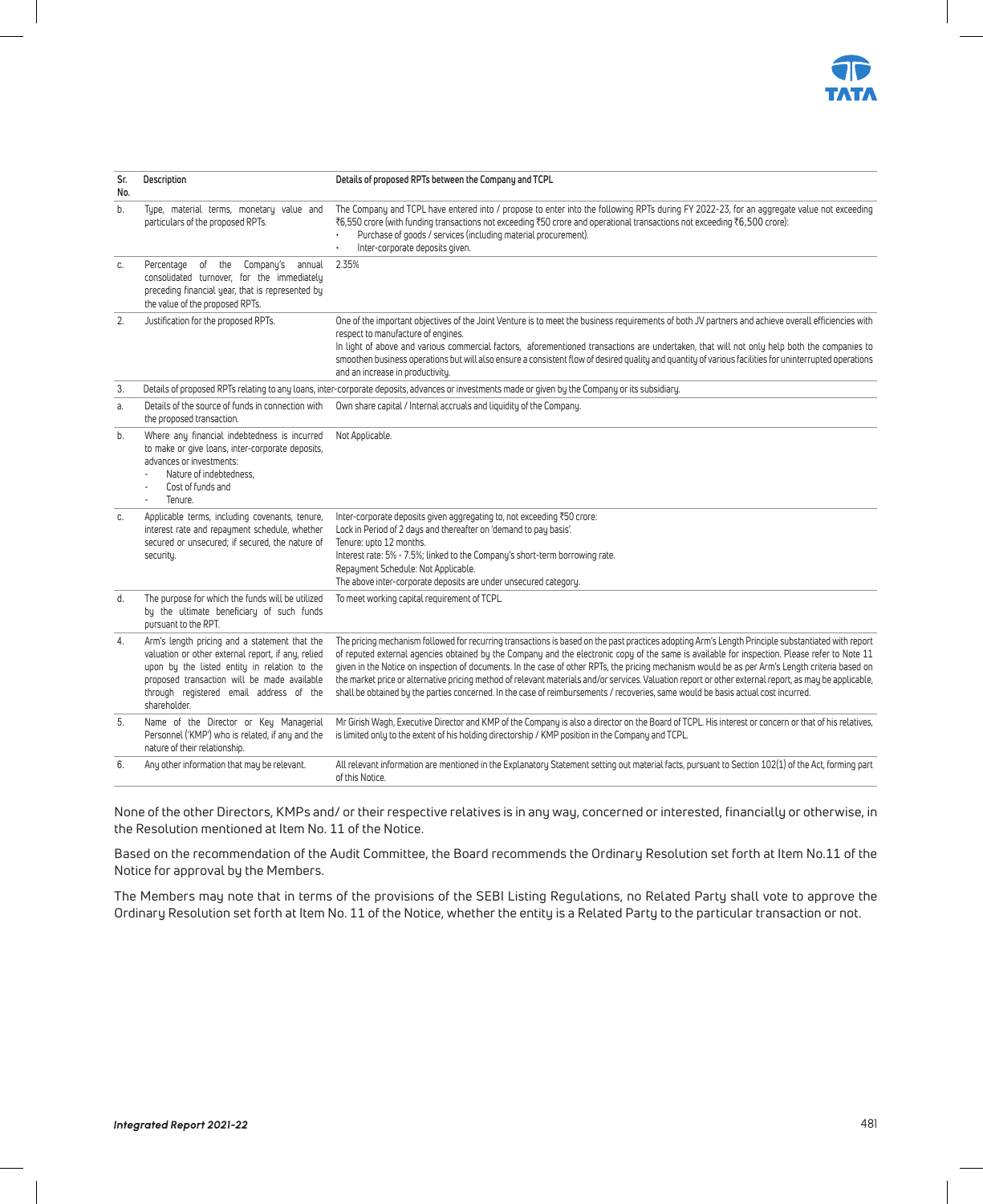

| Sr.<br>No. | Description                                                                                                                                                                                                                                                   | Details of proposed RPTs between the Company and TCPL                                                                                                                                                                                                                                                                                                                                                                                                                                                                                                                                                                                                                                                                                                 |
|------------|---------------------------------------------------------------------------------------------------------------------------------------------------------------------------------------------------------------------------------------------------------------|-------------------------------------------------------------------------------------------------------------------------------------------------------------------------------------------------------------------------------------------------------------------------------------------------------------------------------------------------------------------------------------------------------------------------------------------------------------------------------------------------------------------------------------------------------------------------------------------------------------------------------------------------------------------------------------------------------------------------------------------------------|
| b.         | Type, material terms, monetary value and<br>particulars of the proposed RPTs.                                                                                                                                                                                 | The Company and TCPL have entered into / propose to enter into the following RPTs during FY 2022-23, for an aggregate value not exceeding<br>₹6,550 crore (with funding transactions not exceeding ₹50 crore and operational transactions not exceeding ₹6,500 crore):<br>Purchase of goods / services (including material procurement).<br>$\ddot{\phantom{0}}$<br>Inter-corporate deposits given.                                                                                                                                                                                                                                                                                                                                                   |
| C.         | Percentage of the Company's<br>annual<br>consolidated turnover, for the immediately<br>preceding financial year, that is represented by<br>the value of the proposed RPTs.                                                                                    | 2.35%                                                                                                                                                                                                                                                                                                                                                                                                                                                                                                                                                                                                                                                                                                                                                 |
| 2.         | Justification for the proposed RPTs.                                                                                                                                                                                                                          | One of the important objectives of the Joint Venture is to meet the business requirements of both JV partners and achieve overall efficiencies with<br>respect to manufacture of engines.<br>In light of above and various commercial factors, aforementioned transactions are undertaken, that will not only help both the companies to<br>smoothen business operations but will also ensure a consistent flow of desired quality and quantity of various facilities for uninterrupted operations<br>and an increase in productivity.                                                                                                                                                                                                                |
| 3.         |                                                                                                                                                                                                                                                               | Details of proposed RPTs relating to any loans, inter-corporate deposits, advances or investments made or given by the Company or its subsidiary.                                                                                                                                                                                                                                                                                                                                                                                                                                                                                                                                                                                                     |
| a.         | Details of the source of funds in connection with<br>the proposed transaction.                                                                                                                                                                                | Own share capital / Internal accruals and liquidity of the Company.                                                                                                                                                                                                                                                                                                                                                                                                                                                                                                                                                                                                                                                                                   |
| b.         | Where any financial indebtedness is incurred<br>to make or give loans, inter-corporate deposits,<br>advances or investments:<br>Nature of indebtedness.<br>Cost of funds and<br>Tenure.<br>$\overline{a}$                                                     | Not Applicable.                                                                                                                                                                                                                                                                                                                                                                                                                                                                                                                                                                                                                                                                                                                                       |
| C.         | Applicable terms, including covenants, tenure,<br>interest rate and repayment schedule, whether<br>secured or unsecured: if secured, the nature of<br>security.                                                                                               | Inter-corporate deposits given aggregating to, not exceeding ₹50 crore:<br>Lock in Period of 2 days and thereafter on 'demand to pay basis'.<br>Tenure: upto 12 months.<br>Interest rate: 5% - 7.5%; linked to the Company's short-term borrowing rate.<br>Repayment Schedule: Not Applicable.<br>The above inter-corporate deposits are under unsecured category.                                                                                                                                                                                                                                                                                                                                                                                    |
| d.         | The purpose for which the funds will be utilized<br>by the ultimate beneficiary of such funds<br>pursuant to the RPT.                                                                                                                                         | To meet working capital requirement of TCPL.                                                                                                                                                                                                                                                                                                                                                                                                                                                                                                                                                                                                                                                                                                          |
| 4.         | Arm's length pricing and a statement that the<br>valuation or other external report, if any, relied<br>upon by the listed entity in relation to the<br>proposed transaction will be made available<br>through registered email address of the<br>shareholder. | The pricing mechanism followed for recurring transactions is based on the past practices adopting Arm's Length Principle substantiated with report<br>of reputed external agencies obtained by the Company and the electronic copy of the same is available for inspection. Please refer to Note 11<br>given in the Notice on inspection of documents. In the case of other RPTs, the pricing mechanism would be as per Arm's Length criteria based on<br>the market price or alternative pricing method of relevant materials and/or services. Valuation report or other external report, as may be applicable,<br>shall be obtained by the parties concerned. In the case of reimbursements / recoveries, same would be basis actual cost incurred. |
| 5.         | Name of the Director or Key Managerial<br>Personnel ('KMP') who is related, if any and the<br>nature of their relationship.                                                                                                                                   | Mr Girish Wagh, Executive Director and KMP of the Company is also a director on the Board of TCPL. His interest or concern or that of his relatives,<br>is limited only to the extent of his holding directorship / KMP position in the Company and TCPL.                                                                                                                                                                                                                                                                                                                                                                                                                                                                                             |
| 6.         | Any other information that may be relevant.                                                                                                                                                                                                                   | All relevant information are mentioned in the Explanatory Statement setting out material facts, pursuant to Section 102(1) of the Act, forming part<br>of this Notice.                                                                                                                                                                                                                                                                                                                                                                                                                                                                                                                                                                                |

None of the other Directors, KMPs and/ or their respective relatives is in any way, concerned or interested, financially or otherwise, in the Resolution mentioned at Item No. 11 of the Notice.

Based on the recommendation of the Audit Committee, the Board recommends the Ordinary Resolution set forth at Item No.11 of the Notice for approval by the Members.

The Members may note that in terms of the provisions of the SEBI Listing Regulations, no Related Party shall vote to approve the Ordinary Resolution set forth at Item No. 11 of the Notice, whether the entity is a Related Party to the particular transaction or not.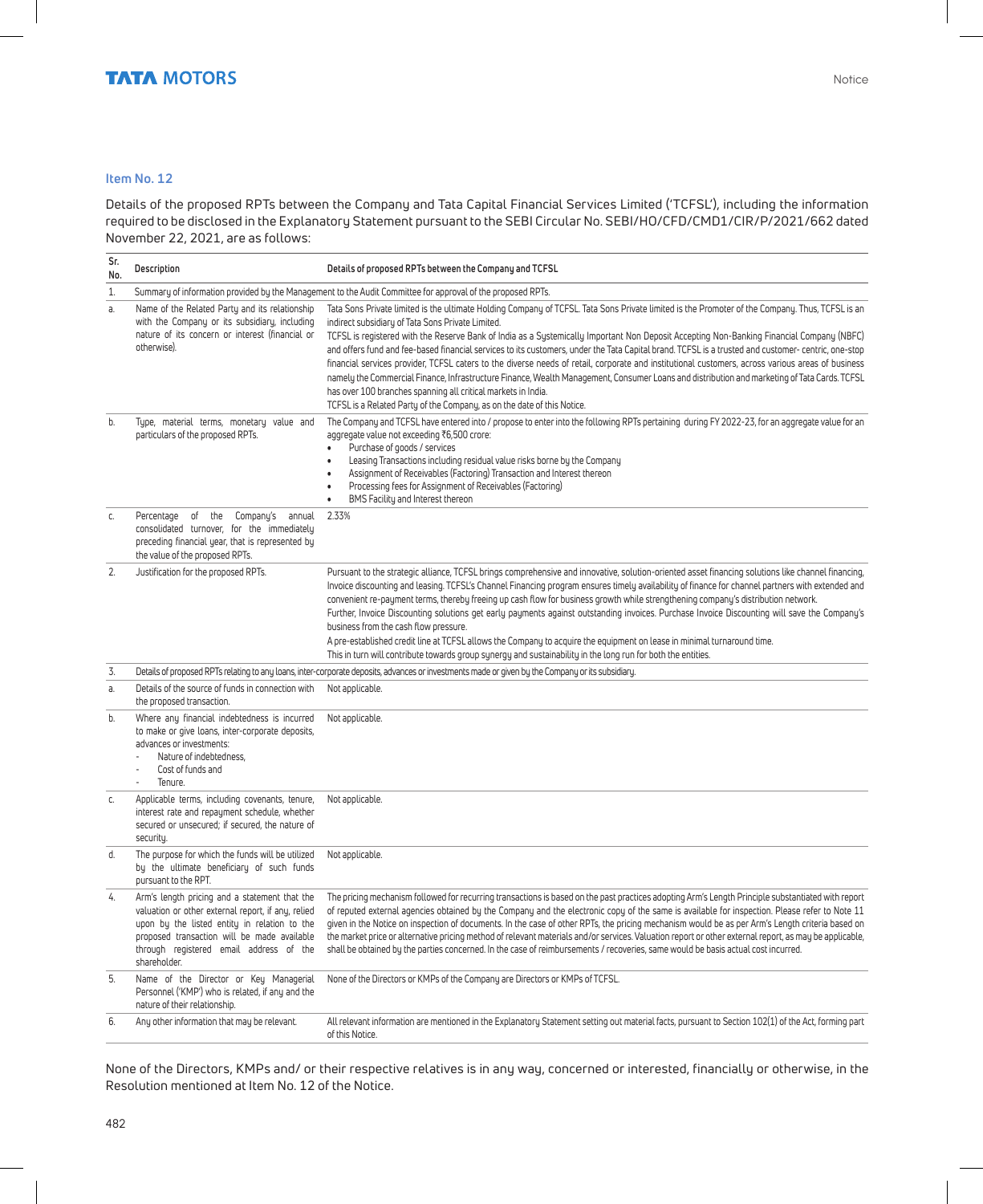#### **Item No. 12**

Details of the proposed RPTs between the Company and Tata Capital Financial Services Limited ('TCFSL'), including the information required to be disclosed in the Explanatory Statement pursuant to the SEBI Circular No. SEBI/HO/CFD/CMD1/CIR/P/2021/662 dated November 22, 2021, are as follows:

| Sr.<br>No. | Description<br>Details of proposed RPTs between the Company and TCFSL                                                                                                                                                                                         |                                                                                                                                                                                                                                                                                                                                                                                                                                                                                                                                                                                                                                                                                                                                                                                                                                                                                                                                                           |  |  |
|------------|---------------------------------------------------------------------------------------------------------------------------------------------------------------------------------------------------------------------------------------------------------------|-----------------------------------------------------------------------------------------------------------------------------------------------------------------------------------------------------------------------------------------------------------------------------------------------------------------------------------------------------------------------------------------------------------------------------------------------------------------------------------------------------------------------------------------------------------------------------------------------------------------------------------------------------------------------------------------------------------------------------------------------------------------------------------------------------------------------------------------------------------------------------------------------------------------------------------------------------------|--|--|
| $1.$       |                                                                                                                                                                                                                                                               | Summary of information provided by the Management to the Audit Committee for approval of the proposed RPTs.                                                                                                                                                                                                                                                                                                                                                                                                                                                                                                                                                                                                                                                                                                                                                                                                                                               |  |  |
| а.         | Name of the Related Party and its relationship<br>with the Company or its subsidiary, including<br>nature of its concern or interest (financial or<br>otherwise).                                                                                             | Tata Sons Private limited is the ultimate Holding Company of TCFSL. Tata Sons Private limited is the Promoter of the Company. Thus, TCFSL is an<br>indirect subsidiary of Tata Sons Private Limited.<br>TCFSL is registered with the Reserve Bank of India as a Systemically Important Non Deposit Accepting Non-Banking Financial Company (NBFC)<br>and offers fund and fee-based financial services to its customers, under the Tata Capital brand. TCFSL is a trusted and customer- centric, one-stop<br>financial services provider, TCFSL caters to the diverse needs of retail, corporate and institutional customers, across various areas of business<br>namely the Commercial Finance, Infrastructure Finance, Wealth Management, Consumer Loans and distribution and marketing of Tata Cards. TCFSL<br>has over 100 branches spanning all critical markets in India.<br>TCFSL is a Related Party of the Company, as on the date of this Notice. |  |  |
| b.         | Type, material terms, monetary value and<br>particulars of the proposed RPTs.                                                                                                                                                                                 | The Company and TCFSL have entered into / propose to enter into the following RPTs pertaining during FY 2022-23, for an aggregate value for an<br>aggregate value not exceeding ₹6,500 crore:<br>$\bullet$<br>Purchase of goods / services<br>Leasing Transactions including residual value risks borne by the Company<br>$\bullet$<br>Assignment of Receivables (Factoring) Transaction and Interest thereon<br>$\bullet$<br>Processing fees for Assignment of Receivables (Factoring)<br>$\bullet$<br>BMS Facility and Interest thereon<br>$\bullet$                                                                                                                                                                                                                                                                                                                                                                                                    |  |  |
| C.         | Percentage of the Company's annual<br>consolidated turnover, for the immediately<br>preceding financial year, that is represented by<br>the value of the proposed RPTs.                                                                                       | 2.33%                                                                                                                                                                                                                                                                                                                                                                                                                                                                                                                                                                                                                                                                                                                                                                                                                                                                                                                                                     |  |  |
| 2.         | Justification for the proposed RPTs.                                                                                                                                                                                                                          | Pursuant to the strategic alliance, TCFSL brings comprehensive and innovative, solution-oriented asset financing solutions like channel financing,<br>Invoice discounting and leasing. TCFSL's Channel Financing program ensures timely availability of finance for channel partners with extended and<br>convenient re-payment terms, thereby freeing up cash flow for business growth while strengthening company's distribution network.<br>Further, Invoice Discounting solutions get early payments against outstanding invoices. Purchase Invoice Discounting will save the Company's<br>business from the cash flow pressure.<br>A pre-established credit line at TCFSL allows the Company to acquire the equipment on lease in minimal turnaround time.<br>This in turn will contribute towards group synergy and sustainability in the long run for both the entities.                                                                           |  |  |
| 3.         |                                                                                                                                                                                                                                                               | Details of proposed RPTs relating to any loans, inter-corporate deposits, advances or investments made or given by the Company or its subsidiary.                                                                                                                                                                                                                                                                                                                                                                                                                                                                                                                                                                                                                                                                                                                                                                                                         |  |  |
| a          | Details of the source of funds in connection with<br>the proposed transaction.                                                                                                                                                                                | Not applicable.                                                                                                                                                                                                                                                                                                                                                                                                                                                                                                                                                                                                                                                                                                                                                                                                                                                                                                                                           |  |  |
| b.         | Where any financial indebtedness is incurred<br>to make or give loans, inter-corporate deposits,<br>advances or investments:<br>Nature of indebtedness.<br>$\overline{a}$<br>Cost of funds and<br>Tenure.                                                     | Not applicable.                                                                                                                                                                                                                                                                                                                                                                                                                                                                                                                                                                                                                                                                                                                                                                                                                                                                                                                                           |  |  |
| C.         | Applicable terms, including covenants, tenure,<br>interest rate and repayment schedule, whether<br>secured or unsecured; if secured, the nature of<br>security.                                                                                               | Not applicable.                                                                                                                                                                                                                                                                                                                                                                                                                                                                                                                                                                                                                                                                                                                                                                                                                                                                                                                                           |  |  |
| d.         | The purpose for which the funds will be utilized<br>by the ultimate beneficiary of such funds<br>pursuant to the RPT.                                                                                                                                         | Not applicable.                                                                                                                                                                                                                                                                                                                                                                                                                                                                                                                                                                                                                                                                                                                                                                                                                                                                                                                                           |  |  |
| 4.         | Arm's length pricing and a statement that the<br>valuation or other external report, if any, relied<br>upon by the listed entity in relation to the<br>proposed transaction will be made available<br>through registered email address of the<br>shareholder. | The pricing mechanism followed for recurring transactions is based on the past practices adopting Arm's Length Principle substantiated with report<br>of reputed external agencies obtained by the Company and the electronic copy of the same is available for inspection. Please refer to Note 11<br>given in the Notice on inspection of documents. In the case of other RPTs, the pricing mechanism would be as per Arm's Length criteria based on<br>the market price or alternative pricing method of relevant materials and/or services. Valuation report or other external report, as may be applicable,<br>shall be obtained by the parties concerned. In the case of reimbursements / recoveries, same would be basis actual cost incurred.                                                                                                                                                                                                     |  |  |
| 5.         | Name of the Director or Key Managerial<br>Personnel ('KMP') who is related, if any and the<br>nature of their relationship.                                                                                                                                   | None of the Directors or KMPs of the Company are Directors or KMPs of TCFSL.                                                                                                                                                                                                                                                                                                                                                                                                                                                                                                                                                                                                                                                                                                                                                                                                                                                                              |  |  |
| 6.         | Any other information that may be relevant.                                                                                                                                                                                                                   | All relevant information are mentioned in the Explanatory Statement setting out material facts, pursuant to Section 102(1) of the Act, forming part<br>of this Notice.                                                                                                                                                                                                                                                                                                                                                                                                                                                                                                                                                                                                                                                                                                                                                                                    |  |  |

None of the Directors, KMPs and/ or their respective relatives is in any way, concerned or interested, financially or otherwise, in the Resolution mentioned at Item No. 12 of the Notice.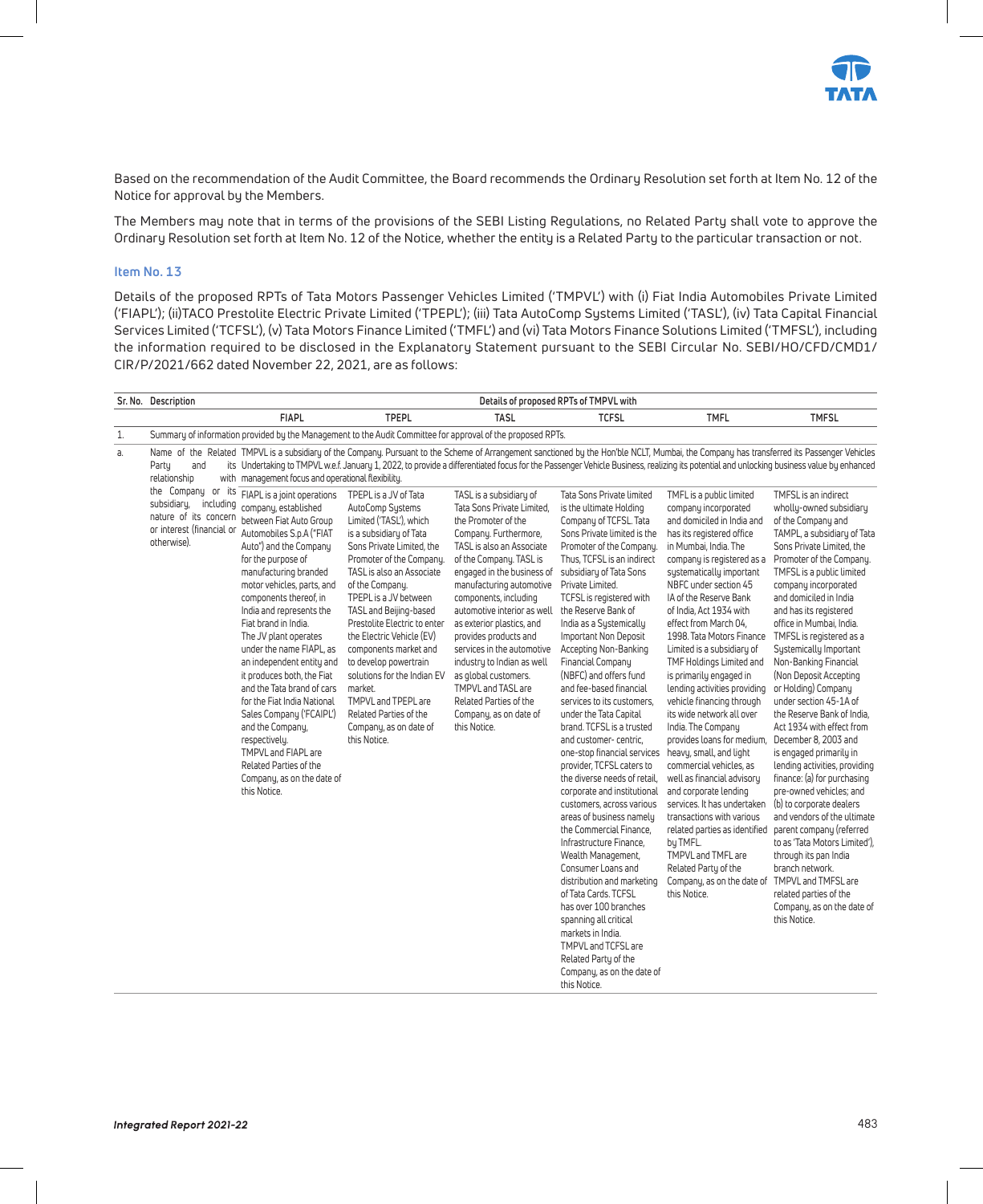

Based on the recommendation of the Audit Committee, the Board recommends the Ordinary Resolution set forth at Item No. 12 of the Notice for approval by the Members.

The Members may note that in terms of the provisions of the SEBI Listing Regulations, no Related Party shall vote to approve the Ordinary Resolution set forth at Item No. 12 of the Notice, whether the entity is a Related Party to the particular transaction or not.

#### **Item No. 13**

Details of the proposed RPTs of Tata Motors Passenger Vehicles Limited ('TMPVL') with (i) Fiat India Automobiles Private Limited ('FIAPL'); (ii)TACO Prestolite Electric Private Limited ('TPEPL'); (iii) Tata AutoComp Systems Limited ('TASL'), (iv) Tata Capital Financial Services Limited ('TCFSL'), (v) Tata Motors Finance Limited ('TMFL') and (vi) Tata Motors Finance Solutions Limited ('TMFSL'), including the information required to be disclosed in the Explanatory Statement pursuant to the SEBI Circular No. SEBI/HO/CFD/CMD1/ CIR/P/2021/662 dated November 22, 2021, are as follows:

|    | Sr. No. Description                                                                                                 | Details of proposed RPTs of TMPVL with                                                                                                                                                                                                                                                                                                                                                                                                                                                                                                                                                                                                       |                                                                                                                                                                                                                                                                                                                                                                                                                                                                                                                 |                                                                                                                                                                                                                                                                                                                                                                                                                                                                                                                     |                                                                                                                                                                                                                                                                                                                                                                                                                                                                                                                                                                                                                                                                                                                                                                                                                                                                                                                                                                                                                                                                |                                                                                                                                                                                                                                                                                                                                                                                                                                                                                                                                                                                                                                                                                                                                                                                                                                                                                         |                                                                                                                                                                                                                                                                                                                                                                                                                                                                                                                                                                                                                                                                                                                                                                                                                                                                                                                                          |
|----|---------------------------------------------------------------------------------------------------------------------|----------------------------------------------------------------------------------------------------------------------------------------------------------------------------------------------------------------------------------------------------------------------------------------------------------------------------------------------------------------------------------------------------------------------------------------------------------------------------------------------------------------------------------------------------------------------------------------------------------------------------------------------|-----------------------------------------------------------------------------------------------------------------------------------------------------------------------------------------------------------------------------------------------------------------------------------------------------------------------------------------------------------------------------------------------------------------------------------------------------------------------------------------------------------------|---------------------------------------------------------------------------------------------------------------------------------------------------------------------------------------------------------------------------------------------------------------------------------------------------------------------------------------------------------------------------------------------------------------------------------------------------------------------------------------------------------------------|----------------------------------------------------------------------------------------------------------------------------------------------------------------------------------------------------------------------------------------------------------------------------------------------------------------------------------------------------------------------------------------------------------------------------------------------------------------------------------------------------------------------------------------------------------------------------------------------------------------------------------------------------------------------------------------------------------------------------------------------------------------------------------------------------------------------------------------------------------------------------------------------------------------------------------------------------------------------------------------------------------------------------------------------------------------|-----------------------------------------------------------------------------------------------------------------------------------------------------------------------------------------------------------------------------------------------------------------------------------------------------------------------------------------------------------------------------------------------------------------------------------------------------------------------------------------------------------------------------------------------------------------------------------------------------------------------------------------------------------------------------------------------------------------------------------------------------------------------------------------------------------------------------------------------------------------------------------------|------------------------------------------------------------------------------------------------------------------------------------------------------------------------------------------------------------------------------------------------------------------------------------------------------------------------------------------------------------------------------------------------------------------------------------------------------------------------------------------------------------------------------------------------------------------------------------------------------------------------------------------------------------------------------------------------------------------------------------------------------------------------------------------------------------------------------------------------------------------------------------------------------------------------------------------|
|    |                                                                                                                     | <b>FIAPL</b>                                                                                                                                                                                                                                                                                                                                                                                                                                                                                                                                                                                                                                 | <b>TPEPL</b>                                                                                                                                                                                                                                                                                                                                                                                                                                                                                                    | <b>TASL</b>                                                                                                                                                                                                                                                                                                                                                                                                                                                                                                         | <b>TCFSL</b>                                                                                                                                                                                                                                                                                                                                                                                                                                                                                                                                                                                                                                                                                                                                                                                                                                                                                                                                                                                                                                                   | <b>TMFL</b>                                                                                                                                                                                                                                                                                                                                                                                                                                                                                                                                                                                                                                                                                                                                                                                                                                                                             | <b>TMFSL</b>                                                                                                                                                                                                                                                                                                                                                                                                                                                                                                                                                                                                                                                                                                                                                                                                                                                                                                                             |
| 1. |                                                                                                                     |                                                                                                                                                                                                                                                                                                                                                                                                                                                                                                                                                                                                                                              |                                                                                                                                                                                                                                                                                                                                                                                                                                                                                                                 | Summary of information provided by the Management to the Audit Committee for approval of the proposed RPTs.                                                                                                                                                                                                                                                                                                                                                                                                         |                                                                                                                                                                                                                                                                                                                                                                                                                                                                                                                                                                                                                                                                                                                                                                                                                                                                                                                                                                                                                                                                |                                                                                                                                                                                                                                                                                                                                                                                                                                                                                                                                                                                                                                                                                                                                                                                                                                                                                         |                                                                                                                                                                                                                                                                                                                                                                                                                                                                                                                                                                                                                                                                                                                                                                                                                                                                                                                                          |
| a. | Party<br>and<br>relationship                                                                                        | with management focus and operational flexibility.                                                                                                                                                                                                                                                                                                                                                                                                                                                                                                                                                                                           |                                                                                                                                                                                                                                                                                                                                                                                                                                                                                                                 |                                                                                                                                                                                                                                                                                                                                                                                                                                                                                                                     |                                                                                                                                                                                                                                                                                                                                                                                                                                                                                                                                                                                                                                                                                                                                                                                                                                                                                                                                                                                                                                                                |                                                                                                                                                                                                                                                                                                                                                                                                                                                                                                                                                                                                                                                                                                                                                                                                                                                                                         | Name of the Related TMPVL is a subsidiary of the Company. Pursuant to the Scheme of Arrangement sanctioned by the Hon'ble NCLT, Mumbai, the Company has transferred its Passenger Vehicles<br>its Undertaking to TMPVL w.e.f. January 1, 2022, to provide a differentiated focus for the Passenger Vehicle Business, realizing its potential and unlocking business value by enhanced                                                                                                                                                                                                                                                                                                                                                                                                                                                                                                                                                    |
|    | the Company or its<br>subsidiary,<br>including<br>nature of its concern<br>or interest (financial or<br>otherwise). | FIAPL is a joint operations<br>company, established<br>between Fiat Auto Group<br>Automobiles S.p.A ("FIAT<br>Auto") and the Company<br>for the purpose of<br>manufacturing branded<br>motor vehicles, parts, and<br>components thereof, in<br>India and represents the<br>Fiat brand in India.<br>The JV plant operates<br>under the name FIAPL, as<br>an independent entity and<br>it produces both, the Fiat<br>and the Tata brand of cars<br>for the Fiat India National<br>Sales Company ('FCAIPL')<br>and the Company,<br>respectively.<br>TMPVL and FIAPL are<br>Related Parties of the<br>Company, as on the date of<br>this Notice. | TPEPL is a JV of Tata<br>AutoComp Systems<br>Limited ('TASL'), which<br>is a subsidiary of Tata<br>Sons Private Limited, the<br>Promoter of the Company.<br>TASL is also an Associate<br>of the Company.<br>TPEPL is a JV between<br>TASL and Beijing-based<br>Prestolite Electric to enter<br>the Electric Vehicle (EV)<br>components market and<br>to develop powertrain<br>solutions for the Indian EV<br>market.<br>TMPVL and TPEPL are<br>Related Parties of the<br>Company, as on date of<br>this Notice. | TASL is a subsidiary of<br>Tata Sons Private Limited,<br>the Promoter of the<br>Company. Furthermore,<br>TASL is also an Associate<br>of the Company. TASL is<br>engaged in the business of<br>manufacturing automotive<br>components, including<br>automotive interior as well<br>as exterior plastics, and<br>provides products and<br>services in the automotive<br>industry to Indian as well<br>as global customers.<br>TMPVL and TASL are<br>Related Parties of the<br>Company, as on date of<br>this Notice. | Tata Sons Private limited<br>is the ultimate Holding<br>Company of TCFSL. Tata<br>Sons Private limited is the<br>Promoter of the Company.<br>Thus, TCFSL is an indirect<br>subsidiary of Tata Sons<br>Private Limited.<br>TCFSL is registered with<br>the Reserve Bank of<br>India as a Systemically<br>Important Non Deposit<br>Accepting Non-Banking<br>Financial Company<br>(NBFC) and offers fund<br>and fee-based financial<br>services to its customers.<br>under the Tata Capital<br>brand. TCFSL is a trusted<br>and customer-centric,<br>one-stop financial services<br>provider, TCFSL caters to<br>the diverse needs of retail.<br>corporate and institutional<br>customers, across various<br>areas of business namely<br>the Commercial Finance,<br>Infrastructure Finance.<br>Wealth Management,<br>Consumer Loans and<br>distribution and marketing<br>of Tata Cards. TCFSL<br>has over 100 branches<br>spanning all critical<br>markets in India.<br>TMPVL and TCFSL are<br>Related Party of the<br>Company, as on the date of<br>this Notice. | TMFL is a public limited<br>company incorporated<br>and domiciled in India and<br>has its registered office<br>in Mumbai, India. The<br>company is registered as a<br>systematically important<br>NBFC under section 45<br>IA of the Reserve Bank<br>of India, Act 1934 with<br>effect from March 04.<br>1998. Tata Motors Finance<br>Limited is a subsidiary of<br>TMF Holdings Limited and<br>is primarily engaged in<br>lending activities providing<br>vehicle financing through<br>its wide network all over<br>India. The Company<br>provides loans for medium,<br>heavy, small, and light<br>commercial vehicles, as<br>well as financial advisory<br>and corporate lending<br>services. It has undertaken<br>transactions with various<br>related parties as identified<br>by TMFL.<br>TMPVL and TMFL are<br>Related Party of the<br>Company, as on the date of<br>this Notice. | TMFSL is an indirect<br>wholly-owned subsidiary<br>of the Company and<br>TAMPL, a subsidiary of Tata<br>Sons Private Limited, the<br>Promoter of the Company.<br>TMFSL is a public limited<br>company incorporated<br>and domiciled in India<br>and has its registered<br>office in Mumbai, India.<br>TMFSL is registered as a<br>Systemically Important<br>Non-Banking Financial<br>(Non Deposit Accepting<br>or Holding) Company<br>under section 45-1A of<br>the Reserve Bank of India.<br>Act 1934 with effect from<br>December 8, 2003 and<br>is engaged primarily in<br>lending activities, providing<br>finance: (a) for purchasing<br>pre-owned vehicles: and<br>(b) to corporate dealers<br>and vendors of the ultimate<br>parent company (referred<br>to as 'Tata Motors Limited').<br>through its pan India<br>branch network.<br>TMPVL and TMFSL are<br>related parties of the<br>Company, as on the date of<br>this Notice. |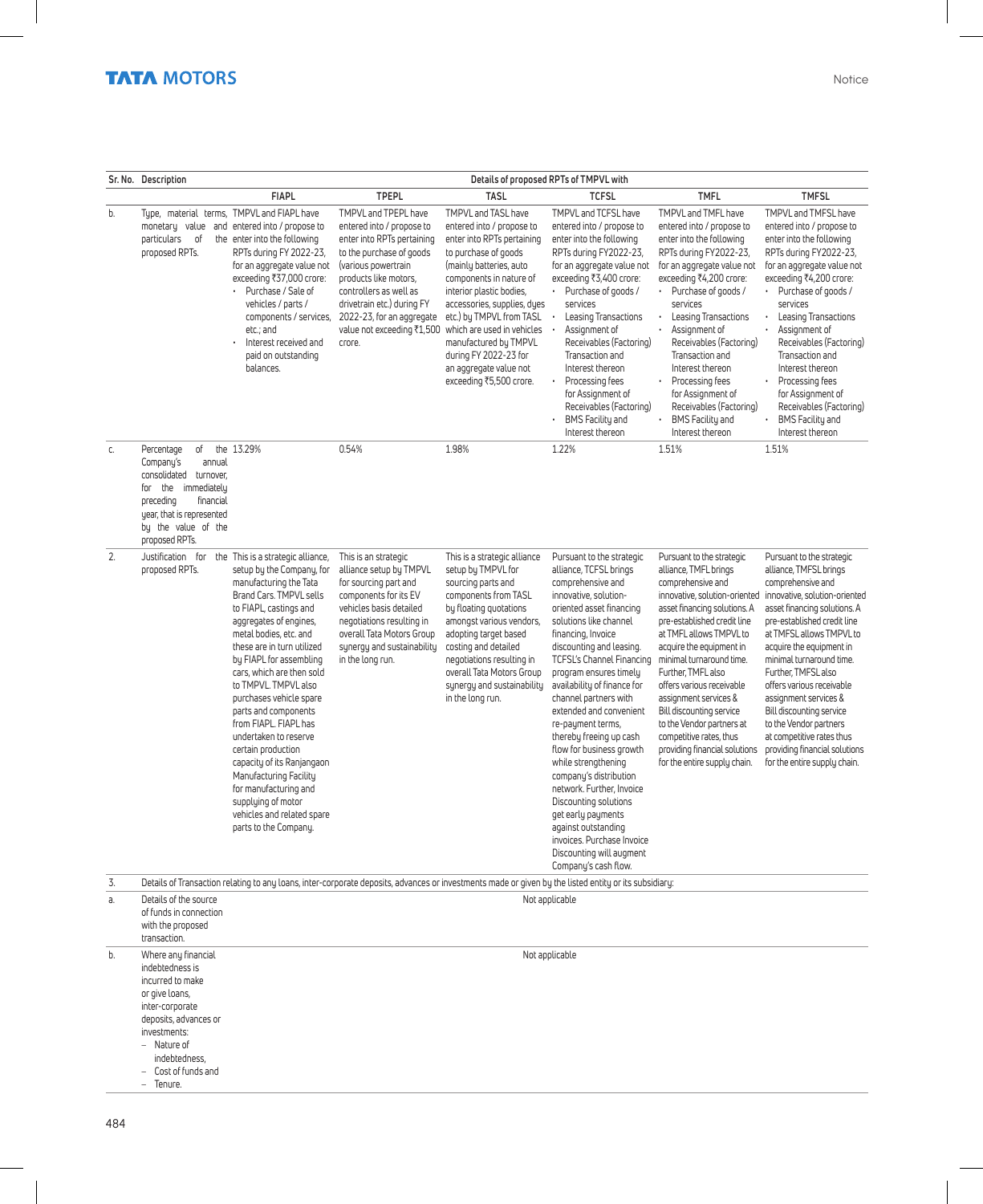|    | Sr. No. Description                                                                                                                                                                                      | Details of proposed RPTs of TMPVL with                                                                                                                                                                                                                                                                                                                                                                                                                                                                                                                                                                   |                                                                                                                                                                                                                                                                                          |                                                                                                                                                                                                                                                                                                                                                                                          |                                                                                                                                                                                                                                                                                                                                                                                                                                                                                                                                                                                                                                                                              |                                                                                                                                                                                                                                                                                                                                                                                                                                                                                             |                                                                                                                                                                                                                                                                                                                                                                                                                                                                                               |
|----|----------------------------------------------------------------------------------------------------------------------------------------------------------------------------------------------------------|----------------------------------------------------------------------------------------------------------------------------------------------------------------------------------------------------------------------------------------------------------------------------------------------------------------------------------------------------------------------------------------------------------------------------------------------------------------------------------------------------------------------------------------------------------------------------------------------------------|------------------------------------------------------------------------------------------------------------------------------------------------------------------------------------------------------------------------------------------------------------------------------------------|------------------------------------------------------------------------------------------------------------------------------------------------------------------------------------------------------------------------------------------------------------------------------------------------------------------------------------------------------------------------------------------|------------------------------------------------------------------------------------------------------------------------------------------------------------------------------------------------------------------------------------------------------------------------------------------------------------------------------------------------------------------------------------------------------------------------------------------------------------------------------------------------------------------------------------------------------------------------------------------------------------------------------------------------------------------------------|---------------------------------------------------------------------------------------------------------------------------------------------------------------------------------------------------------------------------------------------------------------------------------------------------------------------------------------------------------------------------------------------------------------------------------------------------------------------------------------------|-----------------------------------------------------------------------------------------------------------------------------------------------------------------------------------------------------------------------------------------------------------------------------------------------------------------------------------------------------------------------------------------------------------------------------------------------------------------------------------------------|
|    |                                                                                                                                                                                                          | <b>FIAPL</b>                                                                                                                                                                                                                                                                                                                                                                                                                                                                                                                                                                                             | <b>TPEPL</b>                                                                                                                                                                                                                                                                             | <b>TASL</b>                                                                                                                                                                                                                                                                                                                                                                              | <b>TCFSL</b>                                                                                                                                                                                                                                                                                                                                                                                                                                                                                                                                                                                                                                                                 | <b>TMFL</b>                                                                                                                                                                                                                                                                                                                                                                                                                                                                                 | <b>TMFSL</b>                                                                                                                                                                                                                                                                                                                                                                                                                                                                                  |
| b. | monetary value<br>particulars<br>оf<br>proposed RPTs.                                                                                                                                                    | Type, material terms, TMPVL and FIAPL have<br>and entered into / propose to<br>the enter into the following<br>RPTs during FY 2022-23,<br>for an aggregate value not<br>exceeding ₹37,000 crore:<br>Purchase / Sale of<br>vehicles / parts /<br>components / services,<br>etc.; and<br>Interest received and<br>paid on outstanding<br>balances.                                                                                                                                                                                                                                                         | TMPVL and TPEPL have<br>entered into / propose to<br>enter into RPTs pertaining<br>to the purchase of goods<br>(various powertrain<br>products like motors,<br>controllers as well as<br>drivetrain etc.) during FY<br>2022-23, for an aggregate<br>value not exceeding ₹1,500<br>crore. | TMPVL and TASL have<br>entered into / propose to<br>enter into RPTs pertaining<br>to purchase of goods<br>(mainly batteries, auto<br>components in nature of<br>interior plastic bodies,<br>accessories, supplies, dyes<br>etc.) by TMPVL from TASL<br>which are used in vehicles<br>manufactured by TMPVL<br>during FY 2022-23 for<br>an aggregate value not<br>exceeding ₹5,500 crore. | TMPVL and TCFSL have<br>entered into / propose to<br>enter into the following<br>RPTs during FY2022-23,<br>for an aggregate value not<br>exceeding ₹3,400 crore:<br>• Purchase of goods /<br>services<br>Leasing Transactions<br>$\bullet$<br>Assignment of<br>Receivables (Factoring)<br>Transaction and<br>Interest thereon<br>Processing fees<br>for Assignment of<br>Receivables (Factoring)<br><b>BMS Facility and</b><br>Interest thereon                                                                                                                                                                                                                              | TMPVL and TMFL have<br>entered into / propose to<br>enter into the following<br>RPTs during FY2022-23,<br>for an aggregate value not<br>exceeding ₹4,200 crore:<br>Purchase of goods /<br>$\bullet$<br>services<br>Leasing Transactions<br>Assignment of<br>$\bullet$<br>Receivables (Factoring)<br>Transaction and<br>Interest thereon<br>Processing fees<br>for Assignment of<br>Receivables (Factoring)<br><b>BMS Facility and</b><br>$\ddot{\phantom{0}}$<br>Interest thereon           | TMPVL and TMFSL have<br>entered into / propose to<br>enter into the following<br>RPTs during FY2022-23,<br>for an aggregate value not<br>exceeding ₹4,200 crore:<br>• Purchase of goods /<br>services<br>Leasing Transactions<br>$\bullet$<br>Assignment of<br>$\bullet$<br>Receivables (Factoring)<br>Transaction and<br>Interest thereon<br>Processing fees<br>$\bullet$<br>for Assignment of<br>Receivables (Factoring)<br><b>BMS Facility and</b><br>Interest thereon                     |
| C. | оf<br>Percentage<br>Company's<br>annual<br>consolidated turnover.<br>for the immediately<br>preceding<br>financial<br>year, that is represented<br>by the value of the<br>proposed RPTs.                 | the 13.29%                                                                                                                                                                                                                                                                                                                                                                                                                                                                                                                                                                                               | 0.54%                                                                                                                                                                                                                                                                                    | 1.98%                                                                                                                                                                                                                                                                                                                                                                                    | 1.22%                                                                                                                                                                                                                                                                                                                                                                                                                                                                                                                                                                                                                                                                        | 1.51%                                                                                                                                                                                                                                                                                                                                                                                                                                                                                       | 1.51%                                                                                                                                                                                                                                                                                                                                                                                                                                                                                         |
| 2. | Justification for<br>proposed RPTs.                                                                                                                                                                      | the This is a strategic alliance,<br>setup by the Company, for<br>manufacturing the Tata<br>Brand Cars. TMPVL sells<br>to FIAPL, castings and<br>aggregates of engines,<br>metal bodies, etc. and<br>these are in turn utilized<br>by FIAPL for assembling<br>cars, which are then sold<br>to TMPVL. TMPVL also<br>purchases vehicle spare<br>parts and components<br>from FIAPL. FIAPL has<br>undertaken to reserve<br>certain production<br>capacity of its Ranjangaon<br>Manufacturing Facility<br>for manufacturing and<br>supplying of motor<br>vehicles and related spare<br>parts to the Company. | This is an strategic<br>alliance setup by TMPVL<br>for sourcing part and<br>components for its EV<br>vehicles basis detailed<br>negotiations resulting in<br>overall Tata Motors Group<br>synergy and sustainability<br>in the long run.                                                 | This is a strategic alliance<br>setup by TMPVL for<br>sourcing parts and<br>components from TASL<br>by floating quotations<br>amongst various vendors,<br>adopting target based<br>costing and detailed<br>negotiations resulting in<br>overall Tata Motors Group<br>synergy and sustainability<br>in the long run.                                                                      | Pursuant to the strategic<br>alliance, TCFSL brings<br>comprehensive and<br>innovative, solution-<br>oriented asset financing<br>solutions like channel<br>financing, Invoice<br>discounting and leasing.<br><b>TCFSL's Channel Financing</b><br>program ensures timely<br>availability of finance for<br>channel partners with<br>extended and convenient<br>re-payment terms,<br>thereby freeing up cash<br>flow for business growth<br>while strengthening<br>company's distribution<br>network. Further, Invoice<br>Discounting solutions<br>get early payments<br>against outstanding<br>invoices. Purchase Invoice<br>Discounting will augment<br>Company's cash flow. | Pursuant to the strategic<br>alliance, TMFL brings<br>comprehensive and<br>innovative, solution-oriented<br>asset financing solutions. A<br>pre-established credit line<br>at TMFL allows TMPVL to<br>acquire the equipment in<br>minimal turnaround time.<br>Further, TMFL also<br>offers various receivable<br>assignment services &<br>Bill discounting service<br>to the Vendor partners at<br>competitive rates, thus<br>providing financial solutions<br>for the entire supply chain. | Pursuant to the strategic<br>alliance, TMFSL brings<br>comprehensive and<br>innovative, solution-oriented<br>asset financing solutions. A<br>pre-established credit line<br>at TMFSL allows TMPVL to<br>acquire the equipment in<br>minimal turnaround time.<br>Further, TMFSL also<br>offers various receivable<br>assignment services &<br>Bill discounting service<br>to the Vendor partners<br>at competitive rates thus<br>providing financial solutions<br>for the entire supply chain. |
| 3. |                                                                                                                                                                                                          |                                                                                                                                                                                                                                                                                                                                                                                                                                                                                                                                                                                                          | Details of Transaction relating to any loans, inter-corporate deposits, advances or investments made or given by the listed entity or its subsidiary:                                                                                                                                    |                                                                                                                                                                                                                                                                                                                                                                                          |                                                                                                                                                                                                                                                                                                                                                                                                                                                                                                                                                                                                                                                                              |                                                                                                                                                                                                                                                                                                                                                                                                                                                                                             |                                                                                                                                                                                                                                                                                                                                                                                                                                                                                               |
| а. | Details of the source<br>of funds in connection<br>with the proposed<br>transaction.                                                                                                                     |                                                                                                                                                                                                                                                                                                                                                                                                                                                                                                                                                                                                          |                                                                                                                                                                                                                                                                                          |                                                                                                                                                                                                                                                                                                                                                                                          | Not applicable                                                                                                                                                                                                                                                                                                                                                                                                                                                                                                                                                                                                                                                               |                                                                                                                                                                                                                                                                                                                                                                                                                                                                                             |                                                                                                                                                                                                                                                                                                                                                                                                                                                                                               |
| b. | Where any financial<br>indebtedness is<br>incurred to make<br>or give loans,<br>inter-corporate<br>deposits, advances or<br>investments:<br>- Nature of<br>indebtedness,<br>Cost of funds and<br>Tenure. |                                                                                                                                                                                                                                                                                                                                                                                                                                                                                                                                                                                                          |                                                                                                                                                                                                                                                                                          |                                                                                                                                                                                                                                                                                                                                                                                          | Not applicable                                                                                                                                                                                                                                                                                                                                                                                                                                                                                                                                                                                                                                                               |                                                                                                                                                                                                                                                                                                                                                                                                                                                                                             |                                                                                                                                                                                                                                                                                                                                                                                                                                                                                               |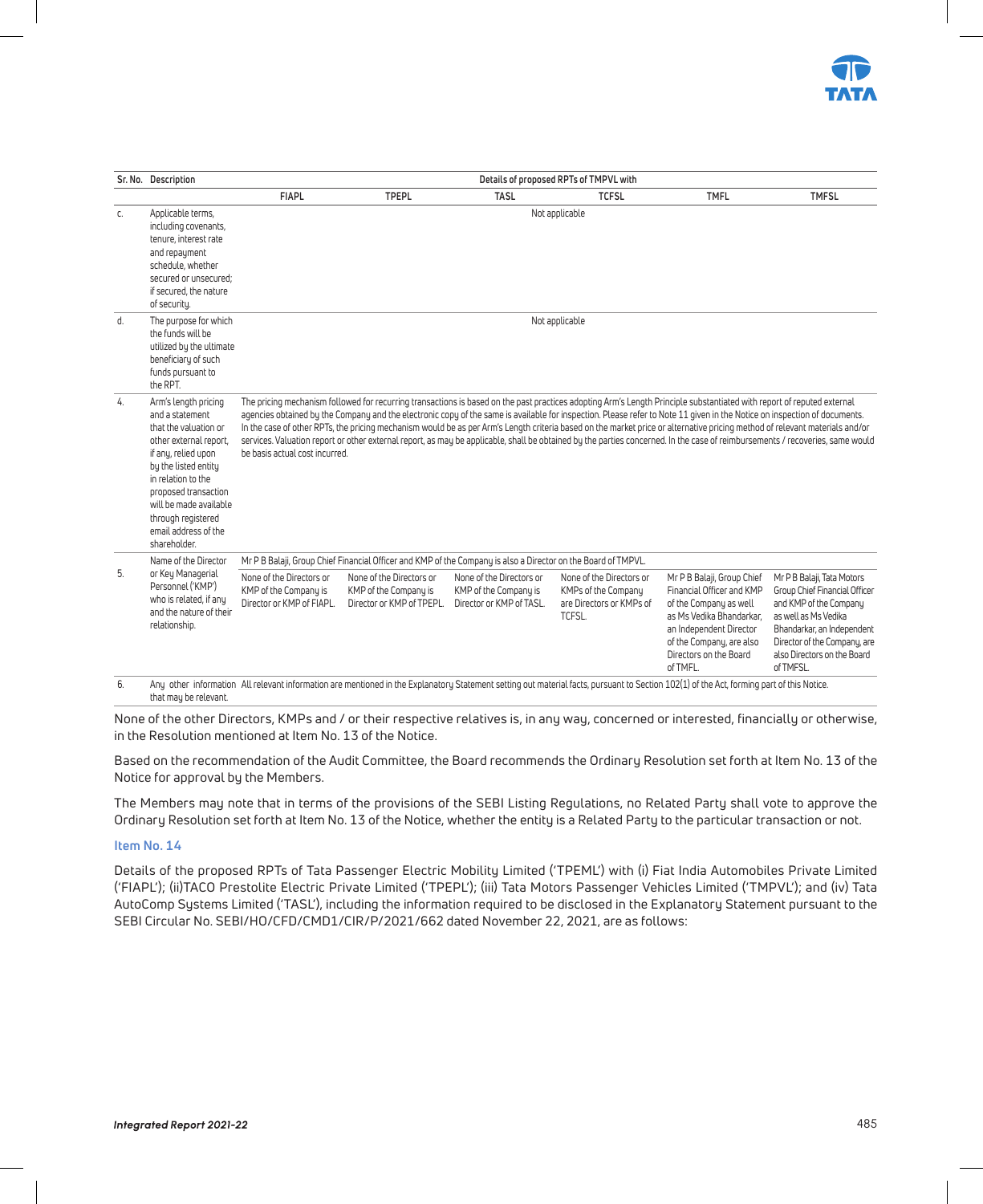

|    | Sr. No. Description                                                                                                                                                                                                                                                             |                                                                                |                                                                                                               |                                                                               | Details of proposed RPTs of TMPVL with                                                |                                                                                                                                                                                                                                                                                                                                                                                                                                                                                                                                                                                                                                                                                                                     |                                                                                                                                                                                                                        |
|----|---------------------------------------------------------------------------------------------------------------------------------------------------------------------------------------------------------------------------------------------------------------------------------|--------------------------------------------------------------------------------|---------------------------------------------------------------------------------------------------------------|-------------------------------------------------------------------------------|---------------------------------------------------------------------------------------|---------------------------------------------------------------------------------------------------------------------------------------------------------------------------------------------------------------------------------------------------------------------------------------------------------------------------------------------------------------------------------------------------------------------------------------------------------------------------------------------------------------------------------------------------------------------------------------------------------------------------------------------------------------------------------------------------------------------|------------------------------------------------------------------------------------------------------------------------------------------------------------------------------------------------------------------------|
|    |                                                                                                                                                                                                                                                                                 | <b>FIAPL</b>                                                                   | <b>TPEPL</b>                                                                                                  | <b>TASL</b>                                                                   | <b>TCFSL</b>                                                                          | <b>TMFL</b>                                                                                                                                                                                                                                                                                                                                                                                                                                                                                                                                                                                                                                                                                                         | <b>TMFSL</b>                                                                                                                                                                                                           |
| C. | Applicable terms,<br>including covenants,<br>tenure, interest rate<br>and repayment<br>schedule, whether<br>secured or unsecured:<br>if secured, the nature<br>of security.                                                                                                     |                                                                                |                                                                                                               |                                                                               | Not applicable                                                                        |                                                                                                                                                                                                                                                                                                                                                                                                                                                                                                                                                                                                                                                                                                                     |                                                                                                                                                                                                                        |
| d. | The purpose for which<br>the funds will be<br>utilized by the ultimate<br>beneficiary of such<br>funds pursuant to<br>the RPT.                                                                                                                                                  |                                                                                |                                                                                                               |                                                                               | Not applicable                                                                        |                                                                                                                                                                                                                                                                                                                                                                                                                                                                                                                                                                                                                                                                                                                     |                                                                                                                                                                                                                        |
| 4. | Arm's length pricing<br>and a statement<br>that the valuation or<br>other external report.<br>if any, relied upon<br>by the listed entity<br>in relation to the<br>proposed transaction<br>will be made available<br>through registered<br>email address of the<br>shareholder. | be basis actual cost incurred.                                                 |                                                                                                               |                                                                               |                                                                                       | The pricing mechanism followed for recurring transactions is based on the past practices adopting Arm's Length Principle substantiated with report of reputed external<br>agencies obtained by the Company and the electronic copy of the same is available for inspection. Please refer to Note 11 given in the Notice on inspection of documents.<br>In the case of other RPTs, the pricing mechanism would be as per Arm's Length criteria based on the market price or alternative pricing method of relevant materials and/or<br>services. Valuation report or other external report, as may be applicable, shall be obtained by the parties concerned. In the case of reimbursements / recoveries, same would |                                                                                                                                                                                                                        |
|    | Name of the Director                                                                                                                                                                                                                                                            |                                                                                | Mr P B Balaji, Group Chief Financial Officer and KMP of the Company is also a Director on the Board of TMPVL. |                                                                               |                                                                                       |                                                                                                                                                                                                                                                                                                                                                                                                                                                                                                                                                                                                                                                                                                                     |                                                                                                                                                                                                                        |
| 5. | or Key Managerial<br>Personnel ('KMP')<br>who is related, if any<br>and the nature of their<br>relationship.                                                                                                                                                                    | None of the Directors or<br>KMP of the Company is<br>Director or KMP of FIAPL. | None of the Directors or<br>KMP of the Company is<br>Director or KMP of TPEPL.                                | None of the Directors or<br>KMP of the Company is<br>Director or KMP of TASL. | None of the Directors or<br>KMPs of the Company<br>are Directors or KMPs of<br>TCFSL. | Mr P B Balaji, Group Chief<br>Financial Officer and KMP<br>of the Company as well<br>as Ms Vedika Bhandarkar.<br>an Independent Director<br>of the Company, are also<br>Directors on the Board<br>of TMFL.                                                                                                                                                                                                                                                                                                                                                                                                                                                                                                          | Mr P B Balaji, Tata Motors<br>Group Chief Financial Officer<br>and KMP of the Company<br>as well as Ms Vedika<br>Bhandarkar, an Independent<br>Director of the Company, are<br>also Directors on the Board<br>of TMFSL |

that may be relevant. None of the other Directors, KMPs and / or their respective relatives is, in any way, concerned or interested, financially or otherwise,

in the Resolution mentioned at Item No. 13 of the Notice.

Based on the recommendation of the Audit Committee, the Board recommends the Ordinary Resolution set forth at Item No. 13 of the Notice for approval by the Members.

The Members may note that in terms of the provisions of the SEBI Listing Regulations, no Related Party shall vote to approve the Ordinary Resolution set forth at Item No. 13 of the Notice, whether the entity is a Related Party to the particular transaction or not.

#### **Item No. 14**

Details of the proposed RPTs of Tata Passenger Electric Mobility Limited ('TPEML') with (i) Fiat India Automobiles Private Limited ('FIAPL'); (ii)TACO Prestolite Electric Private Limited ('TPEPL'); (iii) Tata Motors Passenger Vehicles Limited ('TMPVL'); and (iv) Tata AutoComp Systems Limited ('TASL'), including the information required to be disclosed in the Explanatory Statement pursuant to the SEBI Circular No. SEBI/HO/CFD/CMD1/CIR/P/2021/662 dated November 22, 2021, are as follows: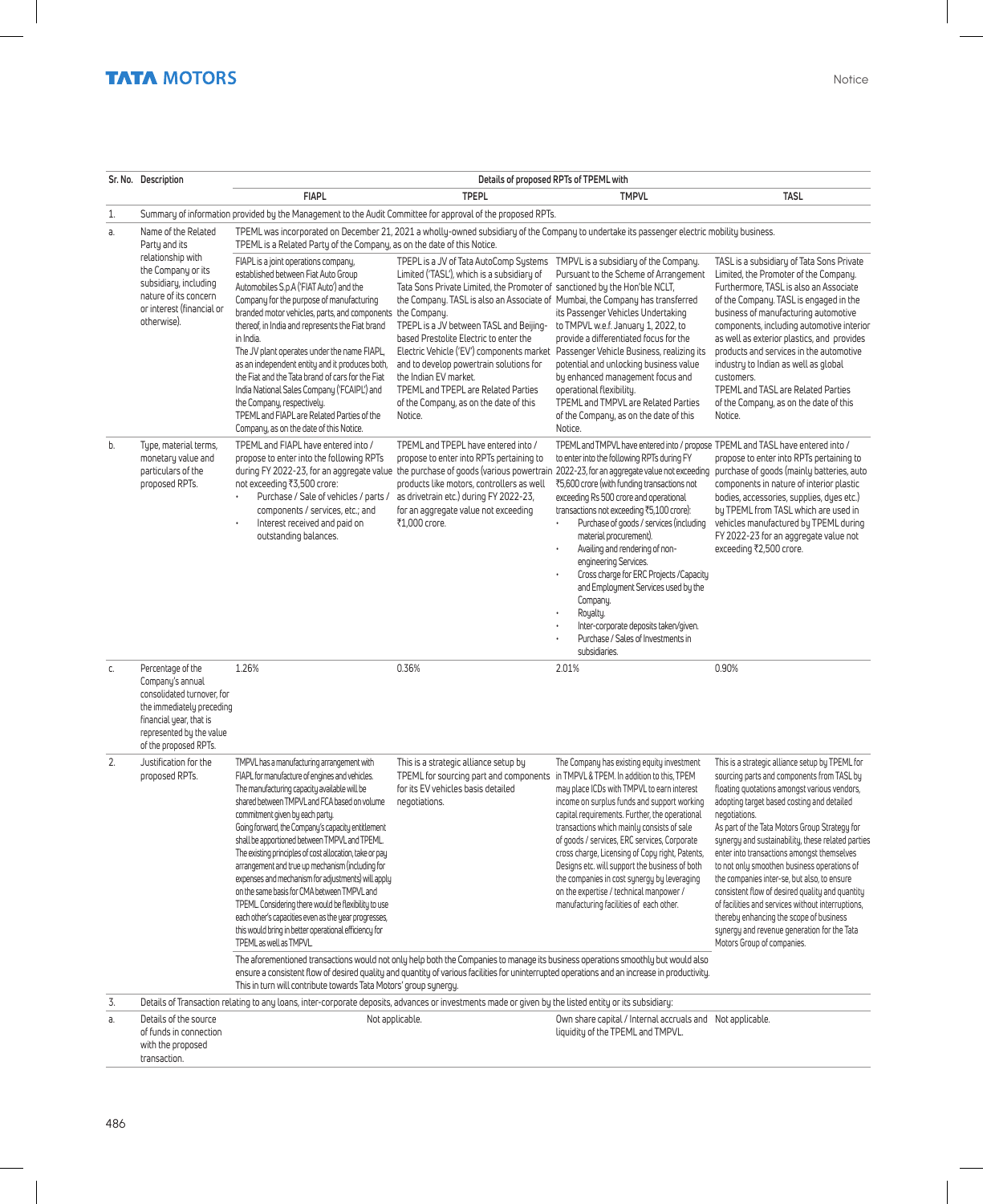|    | Sr. No. Description                                                                                                                                                              |                                                                                                                                                                                                                                                                                                                                                                                                                                                                                                                                                                                                                                                                                                                                                                                                                                                                                                  |                                                                                                                                                                                                                                                                                                                                                                                                                                                                                                                                                                                                             | Details of proposed RPTs of TPEML with                                                                                                                                                                                                                                                                                                                                                                                                                                                                                                                                                                                                                                                                                                                                                                                            |                                                                                                                                                                                                                                                                                                                                                                                                                                                                                                                                                                                                                                                                                                |
|----|----------------------------------------------------------------------------------------------------------------------------------------------------------------------------------|--------------------------------------------------------------------------------------------------------------------------------------------------------------------------------------------------------------------------------------------------------------------------------------------------------------------------------------------------------------------------------------------------------------------------------------------------------------------------------------------------------------------------------------------------------------------------------------------------------------------------------------------------------------------------------------------------------------------------------------------------------------------------------------------------------------------------------------------------------------------------------------------------|-------------------------------------------------------------------------------------------------------------------------------------------------------------------------------------------------------------------------------------------------------------------------------------------------------------------------------------------------------------------------------------------------------------------------------------------------------------------------------------------------------------------------------------------------------------------------------------------------------------|-----------------------------------------------------------------------------------------------------------------------------------------------------------------------------------------------------------------------------------------------------------------------------------------------------------------------------------------------------------------------------------------------------------------------------------------------------------------------------------------------------------------------------------------------------------------------------------------------------------------------------------------------------------------------------------------------------------------------------------------------------------------------------------------------------------------------------------|------------------------------------------------------------------------------------------------------------------------------------------------------------------------------------------------------------------------------------------------------------------------------------------------------------------------------------------------------------------------------------------------------------------------------------------------------------------------------------------------------------------------------------------------------------------------------------------------------------------------------------------------------------------------------------------------|
|    |                                                                                                                                                                                  | <b>FIAPL</b>                                                                                                                                                                                                                                                                                                                                                                                                                                                                                                                                                                                                                                                                                                                                                                                                                                                                                     | <b>TPEPL</b>                                                                                                                                                                                                                                                                                                                                                                                                                                                                                                                                                                                                | <b>TMPVL</b>                                                                                                                                                                                                                                                                                                                                                                                                                                                                                                                                                                                                                                                                                                                                                                                                                      | <b>TASL</b>                                                                                                                                                                                                                                                                                                                                                                                                                                                                                                                                                                                                                                                                                    |
| 1. |                                                                                                                                                                                  | Summary of information provided by the Management to the Audit Committee for approval of the proposed RPTs.                                                                                                                                                                                                                                                                                                                                                                                                                                                                                                                                                                                                                                                                                                                                                                                      |                                                                                                                                                                                                                                                                                                                                                                                                                                                                                                                                                                                                             |                                                                                                                                                                                                                                                                                                                                                                                                                                                                                                                                                                                                                                                                                                                                                                                                                                   |                                                                                                                                                                                                                                                                                                                                                                                                                                                                                                                                                                                                                                                                                                |
| a. | Name of the Related<br>Party and its                                                                                                                                             | TPEML is a Related Party of the Company, as on the date of this Notice.                                                                                                                                                                                                                                                                                                                                                                                                                                                                                                                                                                                                                                                                                                                                                                                                                          |                                                                                                                                                                                                                                                                                                                                                                                                                                                                                                                                                                                                             | TPEML was incorporated on December 21, 2021 a wholly-owned subsidiary of the Company to undertake its passenger electric mobility business.                                                                                                                                                                                                                                                                                                                                                                                                                                                                                                                                                                                                                                                                                       |                                                                                                                                                                                                                                                                                                                                                                                                                                                                                                                                                                                                                                                                                                |
|    | relationship with<br>the Company or its<br>subsidiary, including<br>nature of its concern<br>or interest (financial or<br>otherwise).                                            | FIAPL is a joint operations company,<br>established between Fiat Auto Group<br>Automobiles S.p.A ('FIAT Auto') and the<br>Company for the purpose of manufacturing<br>branded motor vehicles, parts, and components<br>thereof, in India and represents the Fiat brand<br>in India.<br>The JV plant operates under the name FIAPL,<br>as an independent entity and it produces both,<br>the Fiat and the Tata brand of cars for the Fiat<br>India National Sales Company ('FCAIPL') and<br>the Company, respectively.<br>TPEML and FIAPL are Related Parties of the<br>Company, as on the date of this Notice.                                                                                                                                                                                                                                                                                   | TPEPL is a JV of Tata AutoComp Systems TMPVL is a subsidiary of the Company.<br>Limited ('TASL'), which is a subsidiary of<br>Tata Sons Private Limited, the Promoter of sanctioned by the Hon'ble NCLT,<br>the Company. TASL is also an Associate of Mumbai, the Company has transferred<br>the Company.<br>TPEPL is a JV between TASL and Beijing-<br>based Prestolite Electric to enter the<br>Electric Vehicle ('EV') components market<br>and to develop powertrain solutions for<br>the Indian EV market.<br>TPEML and TPEPL are Related Parties<br>of the Company, as on the date of this<br>Notice. | Pursuant to the Scheme of Arrangement<br>its Passenger Vehicles Undertaking<br>to TMPVL w.e.f. January 1, 2022, to<br>provide a differentiated focus for the<br>Passenger Vehicle Business, realizing its<br>potential and unlocking business value<br>by enhanced management focus and<br>operational flexibility.<br>TPEML and TMPVL are Related Parties<br>of the Company, as on the date of this<br>Notice.                                                                                                                                                                                                                                                                                                                                                                                                                   | TASL is a subsidiary of Tata Sons Private<br>Limited, the Promoter of the Company.<br>Furthermore, TASL is also an Associate<br>of the Company. TASL is engaged in the<br>business of manufacturing automotive<br>components, including automotive interior<br>as well as exterior plastics, and provides<br>products and services in the automotive<br>industry to Indian as well as global<br>customers.<br><b>TPEML and TASL are Related Parties</b><br>of the Company, as on the date of this<br>Notice.                                                                                                                                                                                   |
| b. | Type, material terms,<br>monetary value and<br>particulars of the<br>proposed RPTs.                                                                                              | TPEML and FIAPL have entered into /<br>propose to enter into the following RPTs<br>not exceeding ₹3,500 crore:<br>Purchase / Sale of vehicles / parts /<br>components / services, etc.; and<br>Interest received and paid on<br>$\bullet$<br>outstanding balances.                                                                                                                                                                                                                                                                                                                                                                                                                                                                                                                                                                                                                               | TPEML and TPEPL have entered into /<br>propose to enter into RPTs pertaining to<br>products like motors, controllers as well<br>as drivetrain etc.) during FY 2022-23,<br>for an aggregate value not exceeding<br>₹1,000 crore.                                                                                                                                                                                                                                                                                                                                                                             | TPEML and TMPVL have entered into / propose TPEML and TASL have entered into /<br>to enter into the following RPTs during FY<br>during FY 2022-23, for an aggregate value the purchase of goods (various powertrain 2022-23, for an aggregate value not exceeding purchase of goods (mainly batteries, auto<br>₹5,600 crore (with funding transactions not<br>exceeding Rs 500 crore and operational<br>transactions not exceeding ₹5,100 crore):<br>Purchase of goods / services (including<br>$\ddot{\phantom{0}}$<br>material procurement).<br>Availing and rendering of non-<br>$\bullet$<br>engineering Services.<br>Cross charge for ERC Projects / Capacity<br>and Employment Services used by the<br>Company.<br>Royalty.<br>Inter-corporate deposits taken/given.<br>Purchase / Sales of Investments in<br>subsidiaries. | propose to enter into RPTs pertaining to<br>components in nature of interior plastic<br>bodies, accessories, supplies, dues etc.)<br>by TPEML from TASL which are used in<br>vehicles manufactured by TPEML during<br>FY 2022-23 for an aggregate value not<br>exceeding ₹2,500 crore.                                                                                                                                                                                                                                                                                                                                                                                                         |
| C. | Percentage of the<br>Company's annual<br>consolidated turnover, for<br>the immediately preceding<br>financial year, that is<br>represented by the value<br>of the proposed RPTs. | 1.26%                                                                                                                                                                                                                                                                                                                                                                                                                                                                                                                                                                                                                                                                                                                                                                                                                                                                                            | 0.36%                                                                                                                                                                                                                                                                                                                                                                                                                                                                                                                                                                                                       | 2.01%                                                                                                                                                                                                                                                                                                                                                                                                                                                                                                                                                                                                                                                                                                                                                                                                                             | 0.90%                                                                                                                                                                                                                                                                                                                                                                                                                                                                                                                                                                                                                                                                                          |
| 2. | Justification for the<br>proposed RPTs.                                                                                                                                          | TMPVL has a manufacturing arrangement with<br>FIAPL for manufacture of engines and vehicles.<br>The manufacturing capacity available will be<br>shared between TMPVL and FCA based on volume<br>commitment given by each party.<br>Going forward, the Company's capacity entitlement<br>shall be apportioned between TMPVL and TPEML.<br>The existing principles of cost allocation, take or pay<br>arrangement and true up mechanism (including for<br>expenses and mechanism for adjustments) will apply<br>on the same basis for CMA between TMPVL and<br>TPEML. Considering there would be flexibility to use<br>each other's capacities even as the year progresses,<br>this would bring in better operational efficiency for<br>TPEML as well as TMPVL<br>The aforementioned transactions would not only help both the Companies to manage its business operations smoothly but would also | This is a strategic alliance setup by<br>TPEML for sourcing part and components in TMPVL & TPEM. In addition to this, TPEM<br>for its EV vehicles basis detailed<br>negotiations.                                                                                                                                                                                                                                                                                                                                                                                                                           | The Company has existing equity investment<br>may place ICDs with TMPVL to earn interest<br>income on surplus funds and support working<br>capital requirements. Further, the operational<br>transactions which mainly consists of sale<br>of goods / services, ERC services, Corporate<br>cross charge, Licensing of Copy right, Patents,<br>Designs etc. will support the business of both<br>the companies in cost synergy by leveraging<br>on the expertise / technical manpower /<br>manufacturing facilities of each other.<br>ensure a consistent flow of desired quality and quantity of various facilities for uninterrupted operations and an increase in productivity.                                                                                                                                                 | This is a strategic alliance setup by TPEML for<br>sourcing parts and components from TASL by<br>floating quotations amongst various vendors,<br>adopting target based costing and detailed<br>negotiations.<br>As part of the Tata Motors Group Strategy for<br>synergy and sustainability, these related parties<br>enter into transactions amongst themselves<br>to not only smoothen business operations of<br>the companies inter-se, but also, to ensure<br>consistent flow of desired quality and quantity<br>of facilities and services without interruptions,<br>thereby enhancing the scope of business<br>synergy and revenue generation for the Tata<br>Motors Group of companies. |
|    |                                                                                                                                                                                  | This in turn will contribute towards Tata Motors' group synergy.                                                                                                                                                                                                                                                                                                                                                                                                                                                                                                                                                                                                                                                                                                                                                                                                                                 |                                                                                                                                                                                                                                                                                                                                                                                                                                                                                                                                                                                                             |                                                                                                                                                                                                                                                                                                                                                                                                                                                                                                                                                                                                                                                                                                                                                                                                                                   |                                                                                                                                                                                                                                                                                                                                                                                                                                                                                                                                                                                                                                                                                                |
| 3. |                                                                                                                                                                                  | Details of Transaction relating to any loans, inter-corporate deposits, advances or investments made or given by the listed entity or its subsidiary:                                                                                                                                                                                                                                                                                                                                                                                                                                                                                                                                                                                                                                                                                                                                            |                                                                                                                                                                                                                                                                                                                                                                                                                                                                                                                                                                                                             |                                                                                                                                                                                                                                                                                                                                                                                                                                                                                                                                                                                                                                                                                                                                                                                                                                   |                                                                                                                                                                                                                                                                                                                                                                                                                                                                                                                                                                                                                                                                                                |
| а. | Details of the source<br>of funds in connection<br>with the proposed<br>transaction.                                                                                             |                                                                                                                                                                                                                                                                                                                                                                                                                                                                                                                                                                                                                                                                                                                                                                                                                                                                                                  | Not applicable.                                                                                                                                                                                                                                                                                                                                                                                                                                                                                                                                                                                             | Own share capital / Internal accruals and Not applicable.<br>liquidity of the TPEML and TMPVL.                                                                                                                                                                                                                                                                                                                                                                                                                                                                                                                                                                                                                                                                                                                                    |                                                                                                                                                                                                                                                                                                                                                                                                                                                                                                                                                                                                                                                                                                |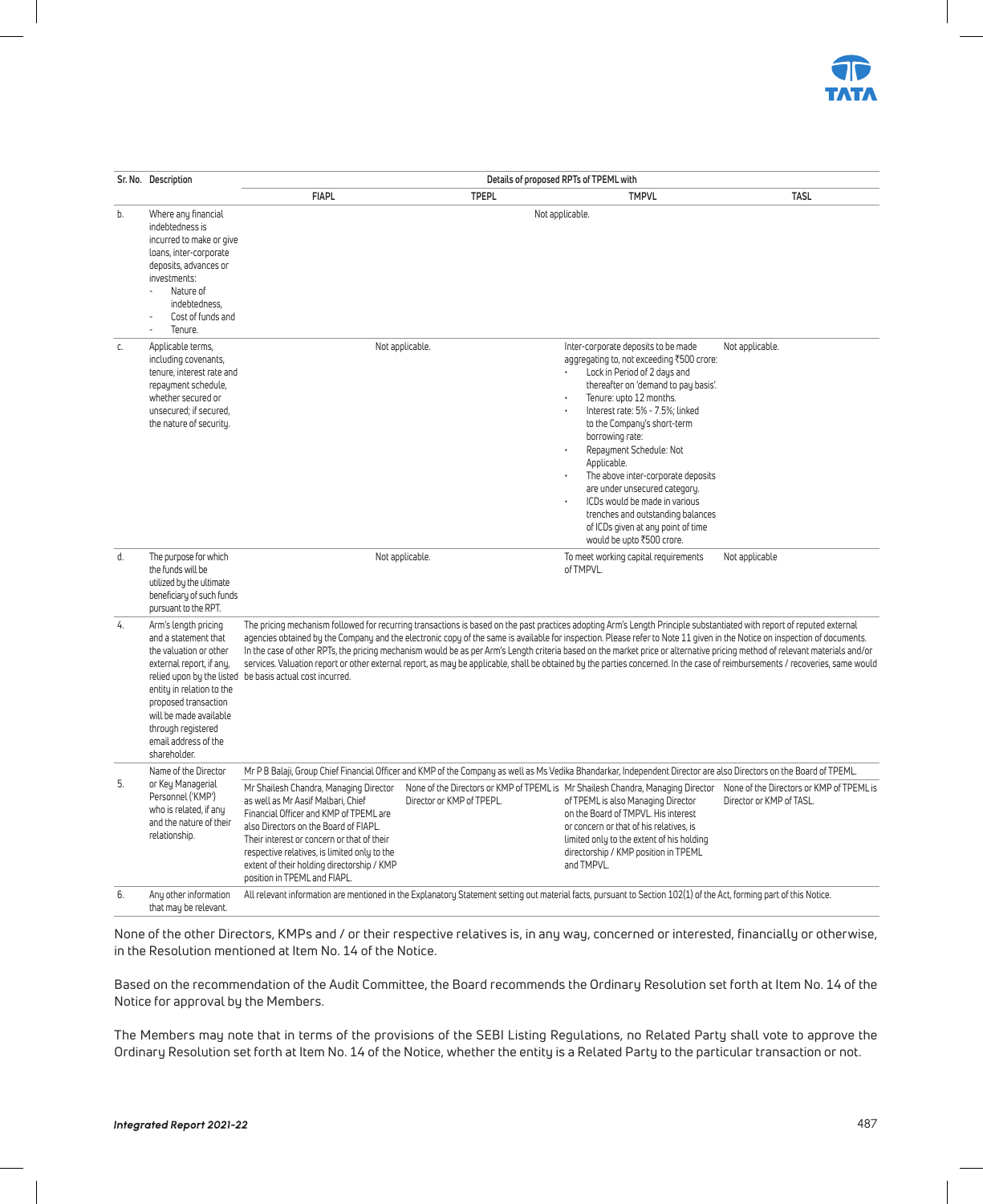

|    | Sr. No. Description                                                                                                                                                                                                                                                          |                                                                                                                                                                                                                                                                                                                                             |                           | Details of proposed RPTs of TPEML with                                                                                                                                                                                                                                                                                                                                                                                                                                                                                                                                                                                                                                                                              |                                                                      |
|----|------------------------------------------------------------------------------------------------------------------------------------------------------------------------------------------------------------------------------------------------------------------------------|---------------------------------------------------------------------------------------------------------------------------------------------------------------------------------------------------------------------------------------------------------------------------------------------------------------------------------------------|---------------------------|---------------------------------------------------------------------------------------------------------------------------------------------------------------------------------------------------------------------------------------------------------------------------------------------------------------------------------------------------------------------------------------------------------------------------------------------------------------------------------------------------------------------------------------------------------------------------------------------------------------------------------------------------------------------------------------------------------------------|----------------------------------------------------------------------|
|    |                                                                                                                                                                                                                                                                              | <b>FIAPL</b>                                                                                                                                                                                                                                                                                                                                | <b>TPEPL</b>              | <b>TMPVL</b>                                                                                                                                                                                                                                                                                                                                                                                                                                                                                                                                                                                                                                                                                                        | <b>TASL</b>                                                          |
| b. | Where any financial<br>indebtedness is<br>incurred to make or give<br>loans, inter-corporate<br>deposits, advances or<br>investments:<br>Nature of<br>indebtedness.<br>Cost of funds and<br>Tenure.                                                                          |                                                                                                                                                                                                                                                                                                                                             |                           | Not applicable.                                                                                                                                                                                                                                                                                                                                                                                                                                                                                                                                                                                                                                                                                                     |                                                                      |
| C. | Applicable terms,<br>including covenants,<br>tenure, interest rate and<br>repayment schedule,<br>whether secured or<br>unsecured: if secured.<br>the nature of security.                                                                                                     |                                                                                                                                                                                                                                                                                                                                             | Not applicable.           | Inter-corporate deposits to be made<br>aggregating to, not exceeding ₹500 crore:<br>Lock in Period of 2 days and<br>thereafter on 'demand to pay basis'.<br>Tenure: upto 12 months.<br>Interest rate: 5% - 7.5%; linked<br>to the Company's short-term<br>borrowing rate:<br>Repayment Schedule: Not<br>Applicable.<br>The above inter-corporate deposits<br>are under unsecured category.<br>ICDs would be made in various<br>trenches and outstanding balances<br>of ICDs given at any point of time<br>would be upto ₹500 crore.                                                                                                                                                                                 | Not applicable.                                                      |
| d. | The purpose for which<br>the funds will be<br>utilized by the ultimate<br>beneficiary of such funds<br>pursuant to the RPT.                                                                                                                                                  |                                                                                                                                                                                                                                                                                                                                             | Not applicable.           | To meet working capital requirements<br>of TMPVL.                                                                                                                                                                                                                                                                                                                                                                                                                                                                                                                                                                                                                                                                   | Not applicable                                                       |
| 4. | Arm's length pricing<br>and a statement that<br>the valuation or other<br>external report, if any,<br>relied upon by the listed<br>entity in relation to the<br>proposed transaction<br>will be made available<br>through registered<br>email address of the<br>shareholder. | be basis actual cost incurred.                                                                                                                                                                                                                                                                                                              |                           | The pricing mechanism followed for recurring transactions is based on the past practices adopting Arm's Length Principle substantiated with report of reputed external<br>agencies obtained by the Company and the electronic copy of the same is available for inspection. Please refer to Note 11 given in the Notice on inspection of documents.<br>In the case of other RPTs, the pricing mechanism would be as per Arm's Length criteria based on the market price or alternative pricing method of relevant materials and/or<br>services. Valuation report or other external report, as may be applicable, shall be obtained by the parties concerned. In the case of reimbursements / recoveries, same would |                                                                      |
|    | Name of the Director                                                                                                                                                                                                                                                         |                                                                                                                                                                                                                                                                                                                                             |                           | Mr P B Balaji, Group Chief Financial Officer and KMP of the Company as well as Ms Vedika Bhandarkar, Independent Director are also Directors on the Board of TPEML.                                                                                                                                                                                                                                                                                                                                                                                                                                                                                                                                                 |                                                                      |
| 5. | or Key Managerial<br>Personnel ('KMP')<br>who is related, if any<br>and the nature of their<br>relationship.                                                                                                                                                                 | Mr Shailesh Chandra, Managing Director<br>as well as Mr Aasif Malbari. Chief<br>Financial Officer and KMP of TPEML are<br>also Directors on the Board of FIAPL.<br>Their interest or concern or that of their<br>respective relatives, is limited only to the<br>extent of their holding directorship / KMP<br>position in TPEML and FIAPL. | Director or KMP of TPEPL. | None of the Directors or KMP of TPEML is Mr Shailesh Chandra, Managing Director<br>of TPEML is also Managing Director<br>on the Board of TMPVL. His interest<br>or concern or that of his relatives, is<br>limited only to the extent of his holding<br>directorship / KMP position in TPEML<br>and TMPVL.                                                                                                                                                                                                                                                                                                                                                                                                          | None of the Directors or KMP of TPEML is<br>Director or KMP of TASL. |
| 6. | Any other information<br>that may be relevant.                                                                                                                                                                                                                               |                                                                                                                                                                                                                                                                                                                                             |                           | All relevant information are mentioned in the Explanatory Statement setting out material facts, pursuant to Section 102(1) of the Act, forming part of this Notice.                                                                                                                                                                                                                                                                                                                                                                                                                                                                                                                                                 |                                                                      |

None of the other Directors, KMPs and / or their respective relatives is, in any way, concerned or interested, financially or otherwise, in the Resolution mentioned at Item No. 14 of the Notice.

Based on the recommendation of the Audit Committee, the Board recommends the Ordinary Resolution set forth at Item No. 14 of the Notice for approval by the Members.

The Members may note that in terms of the provisions of the SEBI Listing Regulations, no Related Party shall vote to approve the Ordinary Resolution set forth at Item No. 14 of the Notice, whether the entity is a Related Party to the particular transaction or not.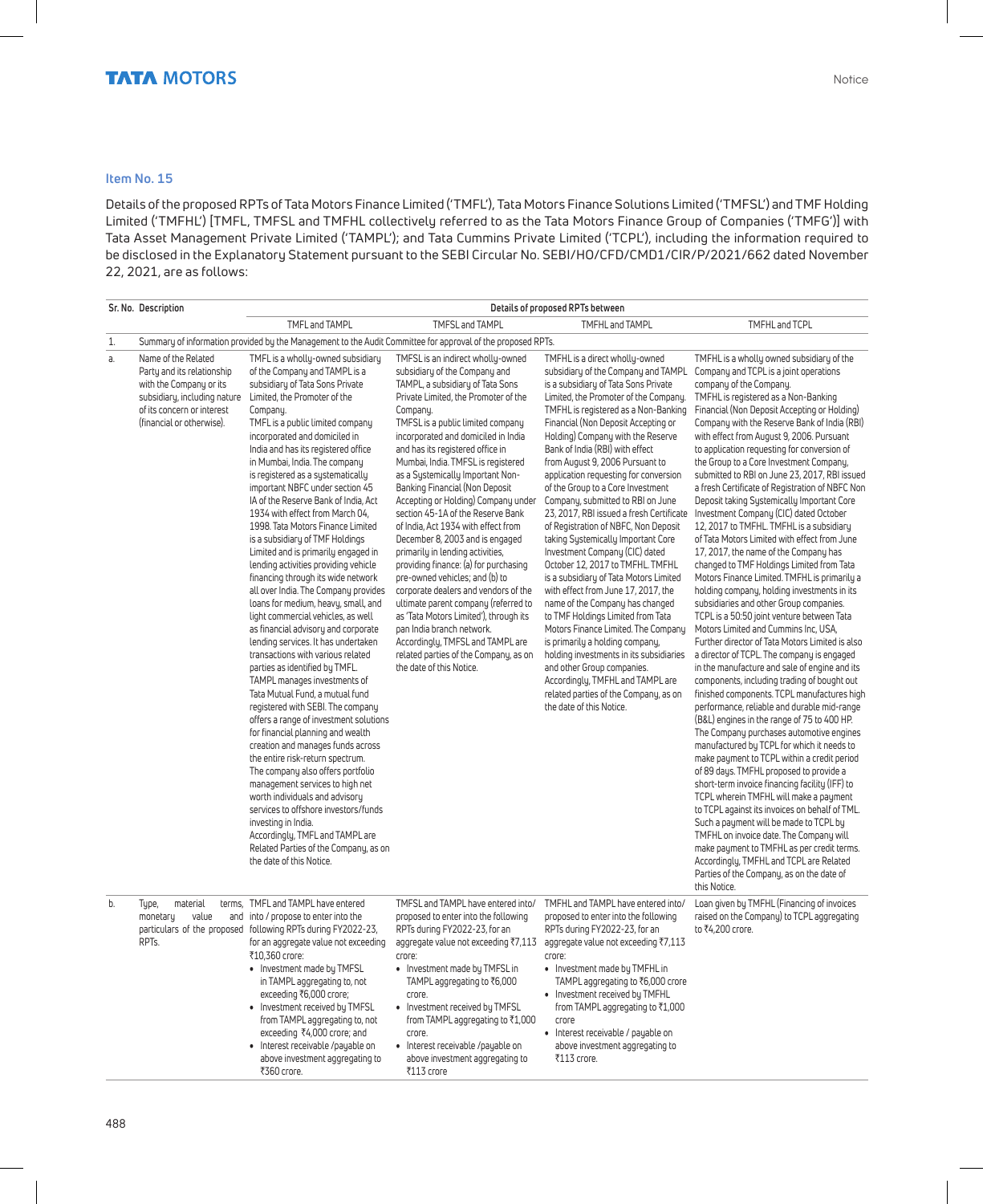#### **Item No. 15**

Details of the proposed RPTs of Tata Motors Finance Limited ('TMFL'), Tata Motors Finance Solutions Limited ('TMFSL') and TMF Holding Limited ('TMFHL') [TMFL, TMFSL and TMFHL collectively referred to as the Tata Motors Finance Group of Companies ('TMFG')] with Tata Asset Management Private Limited ('TAMPL'); and Tata Cummins Private Limited ('TCPL'), including the information required to be disclosed in the Explanatory Statement pursuant to the SEBI Circular No. SEBI/HO/CFD/CMD1/CIR/P/2021/662 dated November 22, 2021, are as follows:

|    | Sr. No. Description                                                                                                                                                     |                                                                                                                                                                                                                                                                                                                                                                                                                                                                                                                                                                                                                                                                                                                                                                                                                                                                                                                                                                                                                                                                                                                                                                                                                                                                                                                                                                                                                                                                           |                                                                                                                                                                                                                                                                                                                                                                                                                                                                                                                                                                                                                                                                                                                                                                                                                                                                                                                             | Details of proposed RPTs between                                                                                                                                                                                                                                                                                                                                                                                                                                                                                                                                                                                                                                                                                                                                                                                                                                                                                                                                                                                                                                                         |                                                                                                                                                                                                                                                                                                                                                                                                                                                                                                                                                                                                                                                                                                                                                                                                                                                                                                                                                                                                                                                                                                                                                                                                                                                                                                                                                                                                                                                                                                                                                                                                                                                                                                                                                                                                                                                                                                                                        |
|----|-------------------------------------------------------------------------------------------------------------------------------------------------------------------------|---------------------------------------------------------------------------------------------------------------------------------------------------------------------------------------------------------------------------------------------------------------------------------------------------------------------------------------------------------------------------------------------------------------------------------------------------------------------------------------------------------------------------------------------------------------------------------------------------------------------------------------------------------------------------------------------------------------------------------------------------------------------------------------------------------------------------------------------------------------------------------------------------------------------------------------------------------------------------------------------------------------------------------------------------------------------------------------------------------------------------------------------------------------------------------------------------------------------------------------------------------------------------------------------------------------------------------------------------------------------------------------------------------------------------------------------------------------------------|-----------------------------------------------------------------------------------------------------------------------------------------------------------------------------------------------------------------------------------------------------------------------------------------------------------------------------------------------------------------------------------------------------------------------------------------------------------------------------------------------------------------------------------------------------------------------------------------------------------------------------------------------------------------------------------------------------------------------------------------------------------------------------------------------------------------------------------------------------------------------------------------------------------------------------|------------------------------------------------------------------------------------------------------------------------------------------------------------------------------------------------------------------------------------------------------------------------------------------------------------------------------------------------------------------------------------------------------------------------------------------------------------------------------------------------------------------------------------------------------------------------------------------------------------------------------------------------------------------------------------------------------------------------------------------------------------------------------------------------------------------------------------------------------------------------------------------------------------------------------------------------------------------------------------------------------------------------------------------------------------------------------------------|----------------------------------------------------------------------------------------------------------------------------------------------------------------------------------------------------------------------------------------------------------------------------------------------------------------------------------------------------------------------------------------------------------------------------------------------------------------------------------------------------------------------------------------------------------------------------------------------------------------------------------------------------------------------------------------------------------------------------------------------------------------------------------------------------------------------------------------------------------------------------------------------------------------------------------------------------------------------------------------------------------------------------------------------------------------------------------------------------------------------------------------------------------------------------------------------------------------------------------------------------------------------------------------------------------------------------------------------------------------------------------------------------------------------------------------------------------------------------------------------------------------------------------------------------------------------------------------------------------------------------------------------------------------------------------------------------------------------------------------------------------------------------------------------------------------------------------------------------------------------------------------------------------------------------------------|
|    |                                                                                                                                                                         | TMFL and TAMPL                                                                                                                                                                                                                                                                                                                                                                                                                                                                                                                                                                                                                                                                                                                                                                                                                                                                                                                                                                                                                                                                                                                                                                                                                                                                                                                                                                                                                                                            | TMFSL and TAMPL                                                                                                                                                                                                                                                                                                                                                                                                                                                                                                                                                                                                                                                                                                                                                                                                                                                                                                             | TMFHL and TAMPL                                                                                                                                                                                                                                                                                                                                                                                                                                                                                                                                                                                                                                                                                                                                                                                                                                                                                                                                                                                                                                                                          | TMFHL and TCPL                                                                                                                                                                                                                                                                                                                                                                                                                                                                                                                                                                                                                                                                                                                                                                                                                                                                                                                                                                                                                                                                                                                                                                                                                                                                                                                                                                                                                                                                                                                                                                                                                                                                                                                                                                                                                                                                                                                         |
| 1. |                                                                                                                                                                         |                                                                                                                                                                                                                                                                                                                                                                                                                                                                                                                                                                                                                                                                                                                                                                                                                                                                                                                                                                                                                                                                                                                                                                                                                                                                                                                                                                                                                                                                           | Summary of information provided by the Management to the Audit Committee for approval of the proposed RPTs.                                                                                                                                                                                                                                                                                                                                                                                                                                                                                                                                                                                                                                                                                                                                                                                                                 |                                                                                                                                                                                                                                                                                                                                                                                                                                                                                                                                                                                                                                                                                                                                                                                                                                                                                                                                                                                                                                                                                          |                                                                                                                                                                                                                                                                                                                                                                                                                                                                                                                                                                                                                                                                                                                                                                                                                                                                                                                                                                                                                                                                                                                                                                                                                                                                                                                                                                                                                                                                                                                                                                                                                                                                                                                                                                                                                                                                                                                                        |
| a. | Name of the Related<br>Party and its relationship<br>with the Company or its<br>subsidiary, including nature<br>of its concern or interest<br>(financial or otherwise). | TMFL is a wholly-owned subsidiary<br>of the Company and TAMPL is a<br>subsidiary of Tata Sons Private<br>Limited, the Promoter of the<br>Company.<br>TMFL is a public limited company<br>incorporated and domiciled in<br>India and has its registered office<br>in Mumbai, India. The company<br>is registered as a systematically<br>important NBFC under section 45<br>IA of the Reserve Bank of India, Act<br>1934 with effect from March 04,<br>1998. Tata Motors Finance Limited<br>is a subsidiary of TMF Holdings<br>Limited and is primarily engaged in<br>lending activities providing vehicle<br>financing through its wide network<br>all over India. The Company provides<br>loans for medium, heavy, small, and<br>light commercial vehicles, as well<br>as financial advisory and corporate<br>lending services. It has undertaken<br>transactions with various related<br>parties as identified by TMFL.<br>TAMPL manages investments of<br>Tata Mutual Fund, a mutual fund<br>registered with SEBI. The company<br>offers a range of investment solutions<br>for financial planning and wealth<br>creation and manages funds across<br>the entire risk-return spectrum.<br>The company also offers portfolio<br>management services to high net<br>worth individuals and advisory<br>services to offshore investors/funds<br>investing in India.<br>Accordingly, TMFL and TAMPL are<br>Related Parties of the Company, as on<br>the date of this Notice. | TMFSL is an indirect wholly-owned<br>subsidiary of the Company and<br>TAMPL, a subsidiary of Tata Sons<br>Private Limited, the Promoter of the<br>Company.<br>TMFSL is a public limited company<br>incorporated and domiciled in India<br>and has its registered office in<br>Mumbai, India. TMFSL is registered<br>as a Systemically Important Non-<br>Banking Financial (Non Deposit<br>Accepting or Holding) Company under<br>section 45-1A of the Reserve Bank<br>of India, Act 1934 with effect from<br>December 8, 2003 and is engaged<br>primarily in lending activities,<br>providing finance: (a) for purchasing<br>pre-owned vehicles; and (b) to<br>corporate dealers and vendors of the<br>ultimate parent company (referred to<br>as 'Tata Motors Limited'), through its<br>pan India branch network.<br>Accordingly, TMFSL and TAMPL are<br>related parties of the Company, as on<br>the date of this Notice. | TMFHL is a direct wholly-owned<br>subsidiary of the Company and TAMPL<br>is a subsidiary of Tata Sons Private<br>Limited, the Promoter of the Company.<br>TMFHL is registered as a Non-Banking<br>Financial (Non Deposit Accepting or<br>Holding) Company with the Reserve<br>Bank of India (RBI) with effect<br>from August 9, 2006 Pursuant to<br>application requesting for conversion<br>of the Group to a Core Investment<br>Company, submitted to RBI on June<br>23, 2017, RBI issued a fresh Certificate<br>of Registration of NBFC, Non Deposit<br>taking Systemically Important Core<br>Investment Company (CIC) dated<br>October 12, 2017 to TMFHL. TMFHL<br>is a subsidiary of Tata Motors Limited<br>with effect from June 17, 2017, the<br>name of the Company has changed<br>to TMF Holdings Limited from Tata<br>Motors Finance Limited. The Company<br>is primarily a holding company,<br>holding investments in its subsidiaries<br>and other Group companies.<br>Accordingly, TMFHL and TAMPL are<br>related parties of the Company, as on<br>the date of this Notice. | TMFHL is a wholly owned subsidiary of the<br>Company and TCPL is a joint operations<br>company of the Company.<br>TMFHL is registered as a Non-Banking<br>Financial (Non Deposit Accepting or Holding)<br>Company with the Reserve Bank of India (RBI)<br>with effect from August 9, 2006. Pursuant<br>to application requesting for conversion of<br>the Group to a Core Investment Company,<br>submitted to RBI on June 23, 2017, RBI issued<br>a fresh Certificate of Registration of NBFC Non<br>Deposit taking Systemically Important Core<br>Investment Company (CIC) dated October<br>12, 2017 to TMFHL. TMFHL is a subsidiary<br>of Tata Motors Limited with effect from June<br>17, 2017, the name of the Company has<br>changed to TMF Holdings Limited from Tata<br>Motors Finance Limited. TMFHL is primarily a<br>holding company, holding investments in its<br>subsidiaries and other Group companies.<br>TCPL is a 50:50 joint venture between Tata<br>Motors Limited and Cummins Inc, USA,<br>Further director of Tata Motors Limited is also<br>a director of TCPL. The company is engaged<br>in the manufacture and sale of engine and its<br>components, including trading of bought out<br>finished components. TCPL manufactures high<br>performance, reliable and durable mid-range<br>(B&L) engines in the range of 75 to 400 HP.<br>The Company purchases automotive engines<br>manufactured by TCPL for which it needs to<br>make payment to TCPL within a credit period<br>of 89 days. TMFHL proposed to provide a<br>short-term invoice financing facility (IFF) to<br>TCPL wherein TMFHL will make a payment<br>to TCPL against its invoices on behalf of TML.<br>Such a payment will be made to TCPL by<br>TMFHL on invoice date. The Company will<br>make payment to TMFHL as per credit terms.<br>Accordingly, TMFHL and TCPL are Related<br>Parties of the Company, as on the date of<br>this Notice. |
| b. | material<br>Type,<br>value<br>monetary<br>RPT <sub>s</sub>                                                                                                              | terms, TMFL and TAMPL have entered<br>and into / propose to enter into the<br>particulars of the proposed following RPTs during FY2022-23,<br>for an aggregate value not exceeding<br>₹10,360 crore:<br>• Investment made by TMFSL<br>in TAMPL aggregating to, not<br>exceeding ₹6,000 crore;<br>• Investment received by TMFSL<br>from TAMPL aggregating to, not<br>exceeding ₹4,000 crore; and<br>Interest receivable /payable on<br>above investment aggregating to<br>₹360 crore.                                                                                                                                                                                                                                                                                                                                                                                                                                                                                                                                                                                                                                                                                                                                                                                                                                                                                                                                                                                     | TMFSL and TAMPL have entered into/<br>proposed to enter into the following<br>RPTs during FY2022-23, for an<br>crore:<br>• Investment made by TMFSL in<br>TAMPL aggregating to ₹6,000<br>crore.<br>• Investment received by TMFSL<br>from TAMPL aggregating to ₹1,000<br>crore.<br>· Interest receivable /payable on<br>above investment aggregating to<br>₹113 crore                                                                                                                                                                                                                                                                                                                                                                                                                                                                                                                                                       | TMFHL and TAMPL have entered into/<br>proposed to enter into the following<br>RPTs during FY2022-23, for an<br>aggregate value not exceeding ₹7,113 aggregate value not exceeding ₹7,113<br>crore:<br>• Investment made by TMFHL in<br>TAMPL aggregating to ₹6,000 crore<br>• Investment received by TMFHL<br>from TAMPL aggregating to ₹1,000<br>crore<br>• Interest receivable / payable on<br>above investment aggregating to<br>₹113 crore.                                                                                                                                                                                                                                                                                                                                                                                                                                                                                                                                                                                                                                          | Loan given by TMFHL (Financing of invoices<br>raised on the Company) to TCPL aggregating<br>to ₹4,200 crore.                                                                                                                                                                                                                                                                                                                                                                                                                                                                                                                                                                                                                                                                                                                                                                                                                                                                                                                                                                                                                                                                                                                                                                                                                                                                                                                                                                                                                                                                                                                                                                                                                                                                                                                                                                                                                           |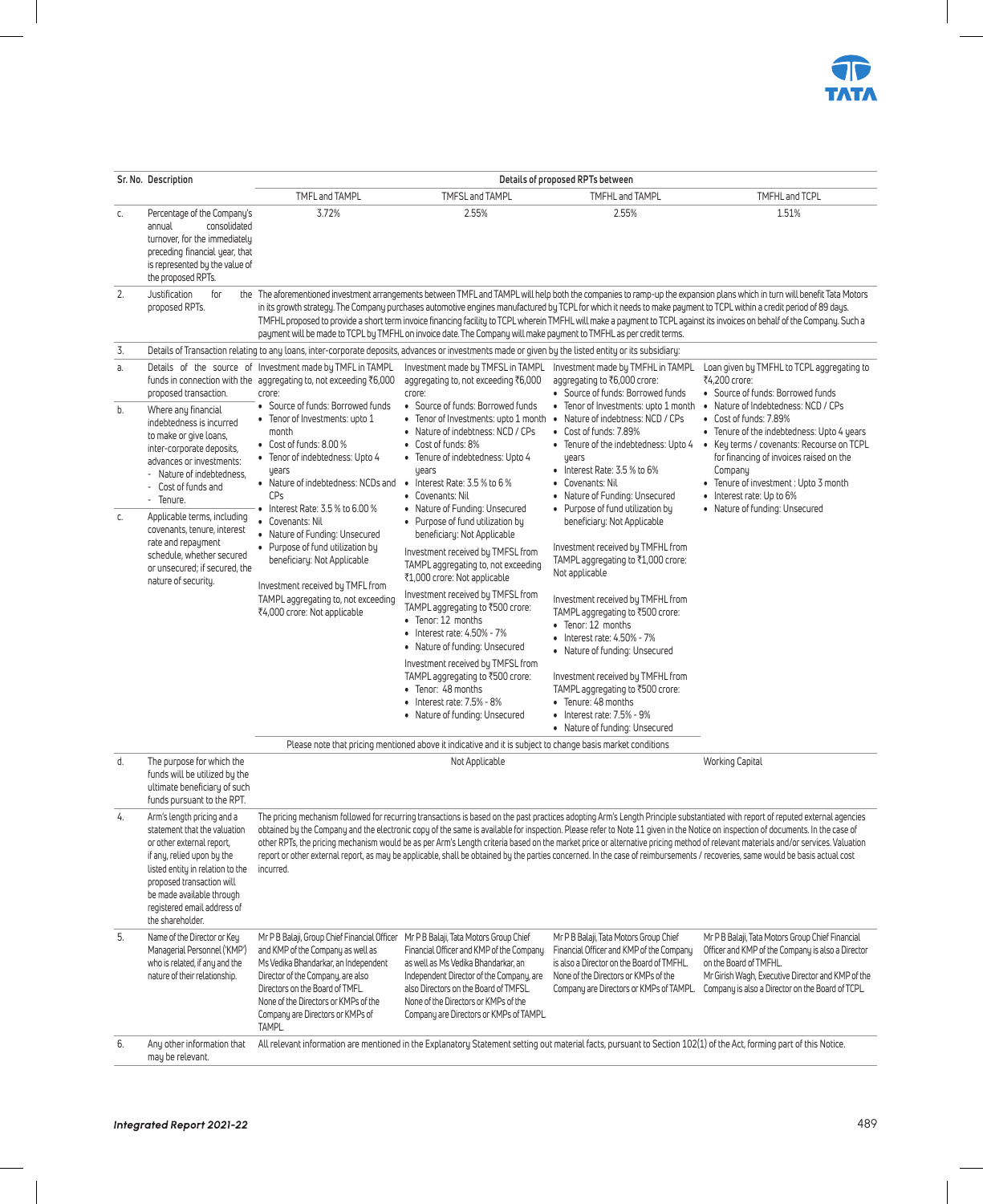

|    | Sr. No. Description                                                                                                                                                                                                                                                    |                                                                                                                                                                                                                                                                                         |                                                                                                                                                                                                                                                                                                                                                                                                                                                                                                                                  | Details of proposed RPTs between                                                                                                                                                                                                                                                                                                                                                                                                                                       |                                                                                                                                                                                                                                                                                                                                                                                                                                                                                                                                                                                                                                                                                                                                          |
|----|------------------------------------------------------------------------------------------------------------------------------------------------------------------------------------------------------------------------------------------------------------------------|-----------------------------------------------------------------------------------------------------------------------------------------------------------------------------------------------------------------------------------------------------------------------------------------|----------------------------------------------------------------------------------------------------------------------------------------------------------------------------------------------------------------------------------------------------------------------------------------------------------------------------------------------------------------------------------------------------------------------------------------------------------------------------------------------------------------------------------|------------------------------------------------------------------------------------------------------------------------------------------------------------------------------------------------------------------------------------------------------------------------------------------------------------------------------------------------------------------------------------------------------------------------------------------------------------------------|------------------------------------------------------------------------------------------------------------------------------------------------------------------------------------------------------------------------------------------------------------------------------------------------------------------------------------------------------------------------------------------------------------------------------------------------------------------------------------------------------------------------------------------------------------------------------------------------------------------------------------------------------------------------------------------------------------------------------------------|
|    |                                                                                                                                                                                                                                                                        | TMFL and TAMPL                                                                                                                                                                                                                                                                          | TMFSL and TAMPL                                                                                                                                                                                                                                                                                                                                                                                                                                                                                                                  | TMFHL and TAMPL                                                                                                                                                                                                                                                                                                                                                                                                                                                        | TMFHL and TCPL                                                                                                                                                                                                                                                                                                                                                                                                                                                                                                                                                                                                                                                                                                                           |
| C. | Percentage of the Company's<br>annual<br>consolidated<br>turnover, for the immediately<br>preceding financial year, that<br>is represented by the value of<br>the proposed RPTs.                                                                                       | 3.72%                                                                                                                                                                                                                                                                                   | 2.55%                                                                                                                                                                                                                                                                                                                                                                                                                                                                                                                            | 2.55%                                                                                                                                                                                                                                                                                                                                                                                                                                                                  | 1.51%                                                                                                                                                                                                                                                                                                                                                                                                                                                                                                                                                                                                                                                                                                                                    |
| 2. | Justification<br>for<br>proposed RPTs.                                                                                                                                                                                                                                 |                                                                                                                                                                                                                                                                                         | payment will be made to TCPL by TMFHL on invoice date. The Company will make payment to TMFHL as per credit terms.                                                                                                                                                                                                                                                                                                                                                                                                               |                                                                                                                                                                                                                                                                                                                                                                                                                                                                        | the The aforementioned investment arrangements between TMFL and TAMPL will help both the companies to ramp-up the expansion plans which in turn will benefit Tata Motors<br>in its growth strategy. The Company purchases automotive engines manufactured by TCPL for which it needs to make payment to TCPL within a credit period of 89 days.<br>TMFHL proposed to provide a short term invoice financing facility to TCPL wherein TMFHL will make a payment to TCPL against its invoices on behalf of the Company. Such a                                                                                                                                                                                                             |
| 3. |                                                                                                                                                                                                                                                                        |                                                                                                                                                                                                                                                                                         | Details of Transaction relating to any loans, inter-corporate deposits, advances or investments made or given by the listed entity or its subsidiary:                                                                                                                                                                                                                                                                                                                                                                            |                                                                                                                                                                                                                                                                                                                                                                                                                                                                        |                                                                                                                                                                                                                                                                                                                                                                                                                                                                                                                                                                                                                                                                                                                                          |
| а. | proposed transaction.                                                                                                                                                                                                                                                  | Details of the source of Investment made by TMFL in TAMPL<br>funds in connection with the aggregating to, not exceeding ₹6,000<br>crore:                                                                                                                                                | Investment made by TMFSL in TAMPL<br>aggregating to, not exceeding ₹6,000<br>crore:                                                                                                                                                                                                                                                                                                                                                                                                                                              | Investment made by TMFHL in TAMPL<br>aggregating to ₹6,000 crore:<br>• Source of funds: Borrowed funds                                                                                                                                                                                                                                                                                                                                                                 | Loan given by TMFHL to TCPL aggregating to<br>₹4.200 crore:<br>• Source of funds: Borrowed funds                                                                                                                                                                                                                                                                                                                                                                                                                                                                                                                                                                                                                                         |
| b. | Where any financial<br>indebtedness is incurred<br>to make or give loans,<br>inter-corporate deposits,<br>advances or investments:<br>- Nature of indebtedness,<br>- Cost of funds and<br>- Tenure.                                                                    | • Source of funds: Borrowed funds<br>• Tenor of Investments: upto 1<br>month<br>• Cost of funds: 8.00 %<br>• Tenor of indebtedness: Upto 4<br>years<br>• Nature of indebtedness: NCDs and<br>CPs<br>$\bullet$ Interest Rate: 3.5 % to 6.00 %                                            | • Source of funds: Borrowed funds<br>• Tenor of Investments: upto 1 month<br>• Nature of indebtness: NCD / CPs<br>• Cost of funds: 8%<br>Tenure of indebtedness: Upto 4<br>٠<br>years<br>• Interest Rate: $3.5\%$ to $6\%$<br>• Covenants: Nil<br>• Nature of Funding: Unsecured                                                                                                                                                                                                                                                 | • Tenor of Investments: upto 1 month<br>• Nature of indebtness: NCD / CPs<br>• Cost of funds: 7.89%<br>• Tenure of the indebtedness: Upto 4<br>years<br>$\bullet$ Interest Rate: 3.5 % to 6%<br>• Covenants: Nil<br>• Nature of Funding: Unsecured<br>• Purpose of fund utilization by                                                                                                                                                                                 | • Nature of Indebtedness: NCD / CPs<br>• Cost of funds: 7.89%<br>• Tenure of the indebtedness: Upto 4 years<br>• Key terms / covenants: Recourse on TCPL<br>for financing of invoices raised on the<br>Company<br>• Tenure of investment : Upto 3 month<br>Interest rate: Up to 6%<br>$\bullet$<br>• Nature of funding: Unsecured                                                                                                                                                                                                                                                                                                                                                                                                        |
| C. | Applicable terms, including<br>covenants, tenure, interest<br>rate and repayment<br>schedule, whether secured<br>or unsecured: if secured, the<br>nature of security.                                                                                                  | • Covenants: Nil<br>• Nature of Funding: Unsecured<br>• Purpose of fund utilization by<br>beneficiary: Not Applicable<br>Investment received by TMFL from<br>TAMPL aggregating to, not exceeding<br>₹4,000 crore: Not applicable                                                        | • Purpose of fund utilization by<br>beneficiary: Not Applicable<br>Investment received by TMFSL from<br>TAMPL aggregating to, not exceeding<br>₹1,000 crore: Not applicable<br>Investment received by TMFSL from<br>TAMPL aggregating to ₹500 crore:<br>• Tenor: 12 months<br>$\bullet$ Interest rate: 4.50% - 7%<br>• Nature of funding: Unsecured<br>Investment received by TMFSL from<br>TAMPL aggregating to ₹500 crore:<br>• Tenor: 48 months<br>$\bullet$ Interest rate: $7.5\%$ - $8\%$<br>• Nature of funding: Unsecured | beneficiary: Not Applicable<br>Investment received by TMFHL from<br>TAMPL aggregating to ₹1,000 crore:<br>Not applicable<br>Investment received by TMFHL from<br>TAMPL aggregating to ₹500 crore:<br>• Tenor: 12 months<br>• Interest rate: 4.50% - 7%<br>• Nature of funding: Unsecured<br>Investment received by TMFHL from<br>TAMPL aggregating to ₹500 crore:<br>• Tenure: 48 months<br>$\bullet$ Interest rate: $7.5\%$ - $9\%$<br>• Nature of funding: Unsecured |                                                                                                                                                                                                                                                                                                                                                                                                                                                                                                                                                                                                                                                                                                                                          |
| d. | The purpose for which the                                                                                                                                                                                                                                              |                                                                                                                                                                                                                                                                                         | Please note that pricing mentioned above it indicative and it is subject to change basis market conditions<br>Not Applicable                                                                                                                                                                                                                                                                                                                                                                                                     |                                                                                                                                                                                                                                                                                                                                                                                                                                                                        | Working Capital                                                                                                                                                                                                                                                                                                                                                                                                                                                                                                                                                                                                                                                                                                                          |
|    | funds will be utilized by the<br>ultimate beneficiary of such<br>funds pursuant to the RPT.                                                                                                                                                                            |                                                                                                                                                                                                                                                                                         |                                                                                                                                                                                                                                                                                                                                                                                                                                                                                                                                  |                                                                                                                                                                                                                                                                                                                                                                                                                                                                        |                                                                                                                                                                                                                                                                                                                                                                                                                                                                                                                                                                                                                                                                                                                                          |
| 4. | Arm's length pricing and a<br>statement that the valuation<br>or other external report.<br>if any, relied upon by the<br>listed entity in relation to the<br>proposed transaction will<br>be made available through<br>registered email address of<br>the shareholder. | incurred.                                                                                                                                                                                                                                                                               |                                                                                                                                                                                                                                                                                                                                                                                                                                                                                                                                  |                                                                                                                                                                                                                                                                                                                                                                                                                                                                        | The pricing mechanism followed for recurring transactions is based on the past practices adopting Arm's Length Principle substantiated with report of reputed external agencies<br>obtained by the Company and the electronic copy of the same is available for inspection. Please refer to Note 11 given in the Notice on inspection of documents. In the case of<br>other RPTs, the pricing mechanism would be as per Arm's Length criteria based on the market price or alternative pricing method of relevant materials and/or services. Valuation<br>report or other external report, as may be applicable, shall be obtained by the parties concerned. In the case of reimbursements / recoveries, same would be basis actual cost |
| 5. | Name of the Director or Key<br>Managerial Personnel ('KMP')<br>who is related, if any and the<br>nature of their relationship.                                                                                                                                         | Mr P B Balaji, Group Chief Financial Officer<br>and KMP of the Company as well as<br>Ms Vedika Bhandarkar, an Independent<br>Director of the Company, are also<br>Directors on the Board of TMFL.<br>None of the Directors or KMPs of the<br>Company are Directors or KMPs of<br>TAMPL. | Mr P B Balaji, Tata Motors Group Chief<br>Financial Officer and KMP of the Company<br>as well as Ms Vedika Bhandarkar, an<br>Independent Director of the Company, are<br>also Directors on the Board of TMFSL.<br>None of the Directors or KMPs of the<br>Company are Directors or KMPs of TAMPL.                                                                                                                                                                                                                                | Mr P B Balaji, Tata Motors Group Chief<br>Financial Officer and KMP of the Company<br>is also a Director on the Board of TMFHL.<br>None of the Directors or KMPs of the<br>Company are Directors or KMPs of TAMPL.                                                                                                                                                                                                                                                     | Mr P B Balaji, Tata Motors Group Chief Financial<br>Officer and KMP of the Company is also a Director<br>on the Board of TMFHL.<br>Mr Girish Wagh, Executive Director and KMP of the<br>Company is also a Director on the Board of TCPL.                                                                                                                                                                                                                                                                                                                                                                                                                                                                                                 |
| 6. | Any other information that<br>may be relevant.                                                                                                                                                                                                                         |                                                                                                                                                                                                                                                                                         | All relevant information are mentioned in the Explanatory Statement setting out material facts, pursuant to Section 102(1) of the Act, forming part of this Notice.                                                                                                                                                                                                                                                                                                                                                              |                                                                                                                                                                                                                                                                                                                                                                                                                                                                        |                                                                                                                                                                                                                                                                                                                                                                                                                                                                                                                                                                                                                                                                                                                                          |

 $\overline{\phantom{a}}$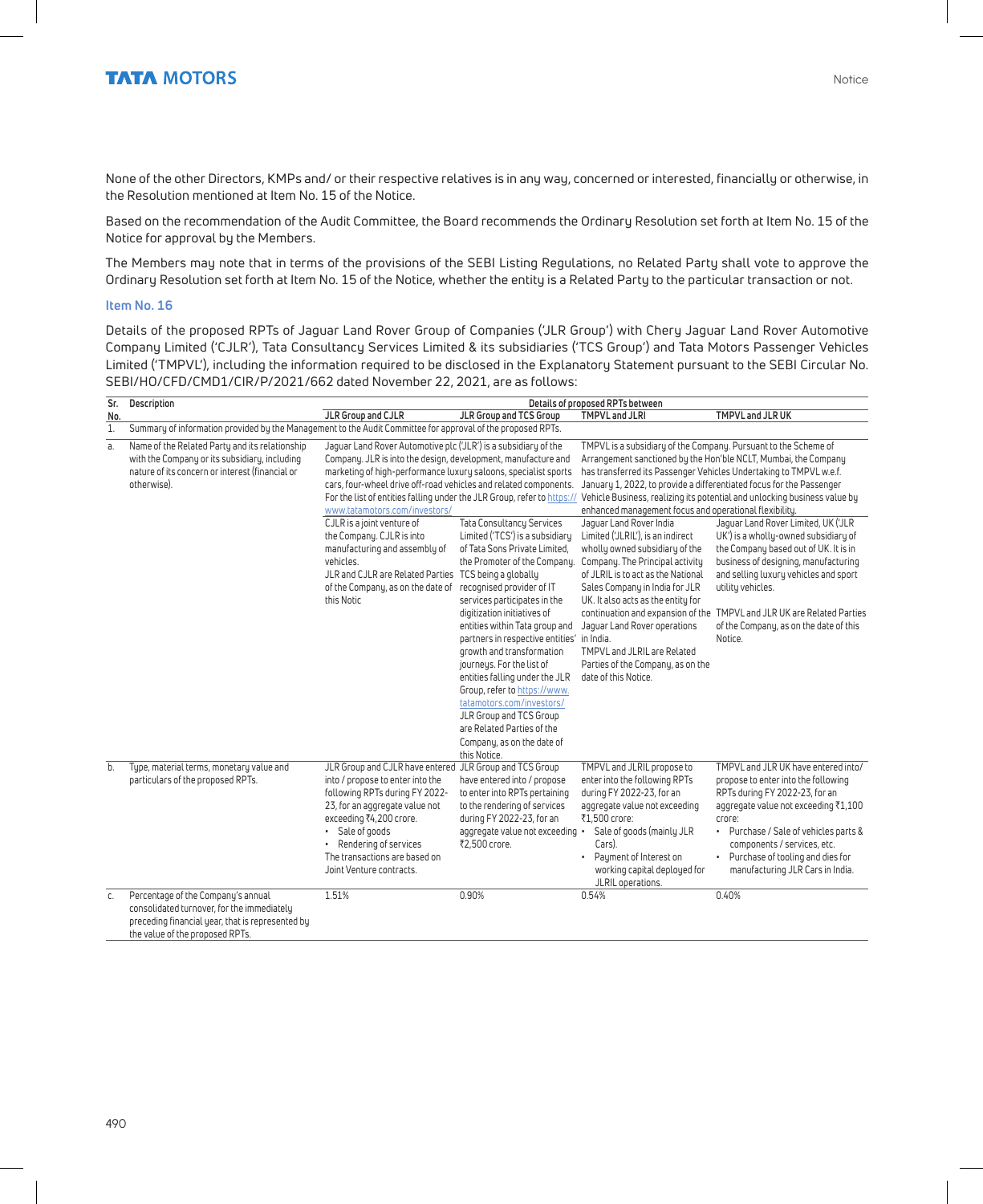None of the other Directors, KMPs and/ or their respective relatives is in any way, concerned or interested, financially or otherwise, in the Resolution mentioned at Item No. 15 of the Notice.

Based on the recommendation of the Audit Committee, the Board recommends the Ordinary Resolution set forth at Item No. 15 of the Notice for approval by the Members.

The Members may note that in terms of the provisions of the SEBI Listing Regulations, no Related Party shall vote to approve the Ordinary Resolution set forth at Item No. 15 of the Notice, whether the entity is a Related Party to the particular transaction or not.

#### **Item No. 16**

Details of the proposed RPTs of Jaguar Land Rover Group of Companies ('JLR Group') with Chery Jaguar Land Rover Automotive Company Limited ('CJLR'), Tata Consultancy Services Limited & its subsidiaries ('TCS Group') and Tata Motors Passenger Vehicles Limited ('TMPVL'), including the information required to be disclosed in the Explanatory Statement pursuant to the SEBI Circular No. SEBI/HO/CFD/CMD1/CIR/P/2021/662 dated November 22, 2021, are as follows:

| Sr. | Description                                                                                                                                                             |                                                                                                                                                                                                                                                                                                                                                                                     |                                                                                                                                                                                                                                                                                                                                              | Details of proposed RPTs between                                                                                                                                                                                                                                   |                                                                                                                                                                                                                                                                                                                  |
|-----|-------------------------------------------------------------------------------------------------------------------------------------------------------------------------|-------------------------------------------------------------------------------------------------------------------------------------------------------------------------------------------------------------------------------------------------------------------------------------------------------------------------------------------------------------------------------------|----------------------------------------------------------------------------------------------------------------------------------------------------------------------------------------------------------------------------------------------------------------------------------------------------------------------------------------------|--------------------------------------------------------------------------------------------------------------------------------------------------------------------------------------------------------------------------------------------------------------------|------------------------------------------------------------------------------------------------------------------------------------------------------------------------------------------------------------------------------------------------------------------------------------------------------------------|
| No. |                                                                                                                                                                         | JLR Group and CJLR                                                                                                                                                                                                                                                                                                                                                                  | JLR Group and TCS Group                                                                                                                                                                                                                                                                                                                      | <b>TMPVL and JLRI</b>                                                                                                                                                                                                                                              | TMPVL and JLR UK                                                                                                                                                                                                                                                                                                 |
| 1.  | Summary of information provided by the Management to the Audit Committee for approval of the proposed RPTs.                                                             |                                                                                                                                                                                                                                                                                                                                                                                     |                                                                                                                                                                                                                                                                                                                                              |                                                                                                                                                                                                                                                                    |                                                                                                                                                                                                                                                                                                                  |
| а.  | Name of the Related Party and its relationship<br>with the Company or its subsidiary, including<br>nature of its concern or interest (financial or<br>otherwise).       | Jaquar Land Rover Automotive plc ('JLR') is a subsidiary of the<br>Company. JLR is into the design, development, manufacture and<br>marketing of high-performance luxury saloons, specialist sports<br>cars, four-wheel drive off-road vehicles and related components.<br>For the list of entities falling under the JLR Group, refer to https://<br>www.tatamotors.com/investors/ |                                                                                                                                                                                                                                                                                                                                              | TMPVL is a subsidiary of the Company. Pursuant to the Scheme of<br>January 1, 2022, to provide a differentiated focus for the Passenger<br>enhanced management focus and operational flexibility.<br>Jaquar Land Rover India                                       | Arrangement sanctioned by the Hon'ble NCLT, Mumbai, the Company<br>has transferred its Passenger Vehicles Undertaking to TMPVL w.e.f.<br>Vehicle Business, realizing its potential and unlocking business value by<br>Jaquar Land Rover Limited, UK ('JLR                                                        |
|     |                                                                                                                                                                         | CJLR is a joint venture of<br>the Company. CJLR is into<br>manufacturing and assembly of<br>vehicles.<br>JLR and CJLR are Related Parties TCS being a globally<br>of the Company, as on the date of<br>this Notic                                                                                                                                                                   | <b>Tata Consultancy Services</b><br>Limited ('TCS') is a subsidiary<br>of Tata Sons Private Limited.<br>the Promoter of the Company.<br>recognised provider of IT<br>services participates in the<br>digitization initiatives of                                                                                                             | Limited ('JLRIL'), is an indirect<br>wholly owned subsidiary of the<br>Company. The Principal activity<br>of JLRIL is to act as the National<br>Sales Company in India for JLR<br>UK. It also acts as the entity for<br>continuation and expansion of the          | UK') is a wholly-owned subsidiary of<br>the Company based out of UK. It is in<br>business of designing, manufacturing<br>and selling luxury vehicles and sport<br>utility vehicles.<br>TMPVL and JLR UK are Related Parties                                                                                      |
|     |                                                                                                                                                                         |                                                                                                                                                                                                                                                                                                                                                                                     | entities within Tata group and<br>partners in respective entities' in India.<br>growth and transformation<br>journeys. For the list of<br>entities falling under the JLR<br>Group, refer to https://www.<br>tatamotors.com/investors/<br>JLR Group and TCS Group<br>are Related Parties of the<br>Company, as on the date of<br>this Notice. | Jaquar Land Rover operations<br>TMPVL and JLRIL are Related<br>Parties of the Company, as on the<br>date of this Notice.                                                                                                                                           | of the Company, as on the date of this<br>Notice.                                                                                                                                                                                                                                                                |
| b.  | Type, material terms, monetary value and<br>particulars of the proposed RPTs.                                                                                           | JLR Group and CJLR have entered JLR Group and TCS Group<br>into / propose to enter into the<br>following RPTs during FY 2022-<br>23, for an aggregate value not<br>exceeding ₹4,200 crore.<br>Sale of goods<br>Rendering of services<br>The transactions are based on<br>Joint Venture contracts.                                                                                   | have entered into / propose<br>to enter into RPTs pertaining<br>to the rendering of services<br>during FY 2022-23, for an<br>aggregate value not exceeding •<br>₹2,500 crore.                                                                                                                                                                | TMPVL and JLRIL propose to<br>enter into the following RPTs<br>during FY 2022-23, for an<br>aggregate value not exceeding<br>₹1,500 crore:<br>Sale of goods (mainly JLR<br>Cars).<br>• Payment of Interest on<br>working capital deployed for<br>JLRIL operations. | TMPVL and JLR UK have entered into/<br>propose to enter into the following<br>RPTs during FY 2022-23, for an<br>aggregate value not exceeding ₹1,100<br>crore:<br>· Purchase / Sale of vehicles parts &<br>components / services, etc.<br>• Purchase of tooling and dies for<br>manufacturing JLR Cars in India. |
| c.  | Percentage of the Company's annual<br>consolidated turnover, for the immediatelu<br>preceding financial year, that is represented by<br>the value of the proposed RPTs. | 1.51%                                                                                                                                                                                                                                                                                                                                                                               | 0.90%                                                                                                                                                                                                                                                                                                                                        | 0.54%                                                                                                                                                                                                                                                              | 0.40%                                                                                                                                                                                                                                                                                                            |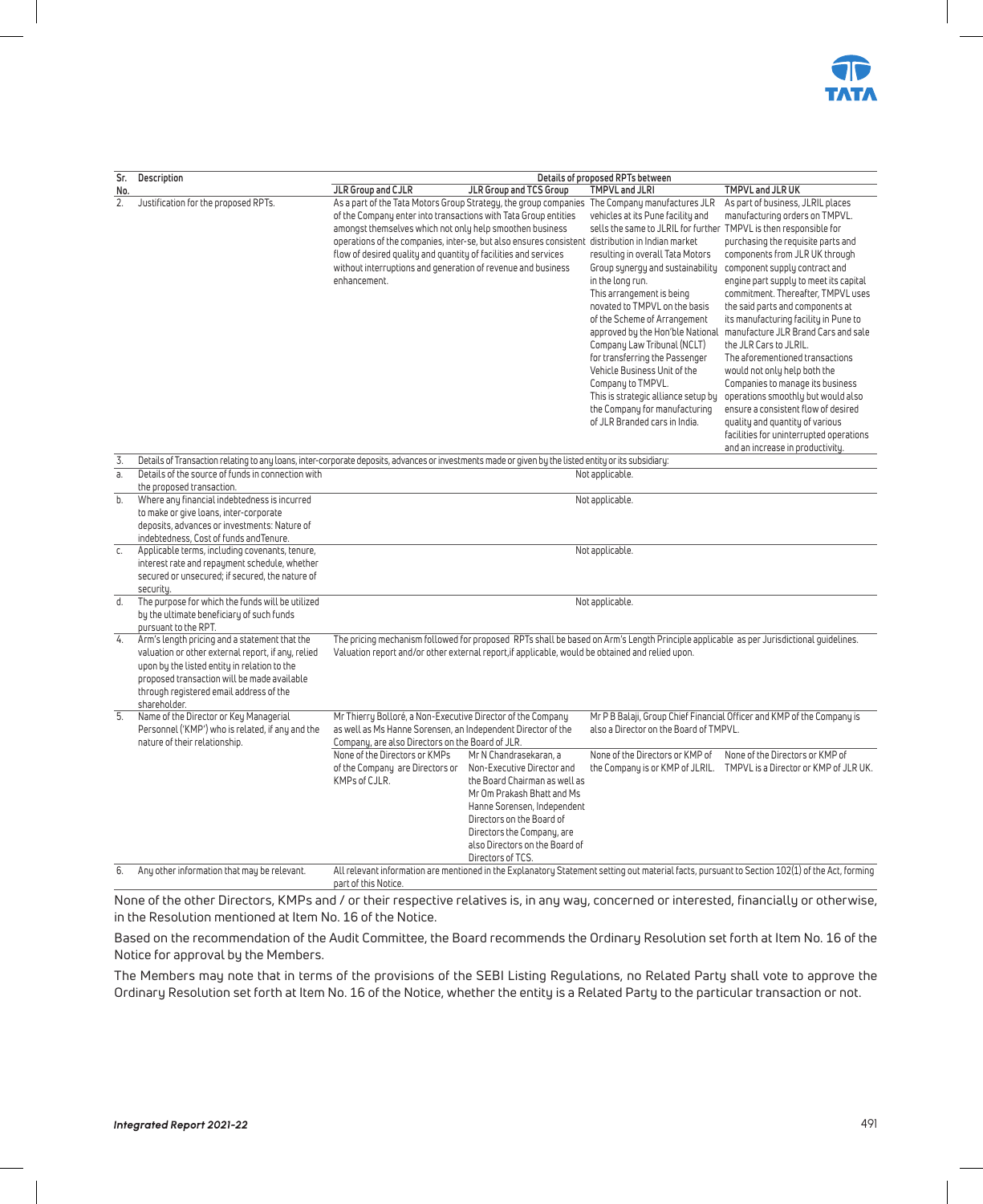

| Sr.              | Description                                                                                                                                                                                                                                                   | Details of proposed RPTs between                                                                                                                                                                                                                                                                                                                                                                                                                                                                                                                                                                                                                                                                                                                                                                                                                                                                                                                                                                                                                                                                                                                                                                                                                                                                                                                                                                                                                                                                                                                                                                                                                                                                                                              |
|------------------|---------------------------------------------------------------------------------------------------------------------------------------------------------------------------------------------------------------------------------------------------------------|-----------------------------------------------------------------------------------------------------------------------------------------------------------------------------------------------------------------------------------------------------------------------------------------------------------------------------------------------------------------------------------------------------------------------------------------------------------------------------------------------------------------------------------------------------------------------------------------------------------------------------------------------------------------------------------------------------------------------------------------------------------------------------------------------------------------------------------------------------------------------------------------------------------------------------------------------------------------------------------------------------------------------------------------------------------------------------------------------------------------------------------------------------------------------------------------------------------------------------------------------------------------------------------------------------------------------------------------------------------------------------------------------------------------------------------------------------------------------------------------------------------------------------------------------------------------------------------------------------------------------------------------------------------------------------------------------------------------------------------------------|
| No.              |                                                                                                                                                                                                                                                               | TMPVL and JLRI<br>TMPVL and JLR UK<br>JLR Group and CJLR<br>JLR Group and TCS Group                                                                                                                                                                                                                                                                                                                                                                                                                                                                                                                                                                                                                                                                                                                                                                                                                                                                                                                                                                                                                                                                                                                                                                                                                                                                                                                                                                                                                                                                                                                                                                                                                                                           |
| 2.               | Justification for the proposed RPTs.                                                                                                                                                                                                                          | As a part of the Tata Motors Group Strategy, the group companies The Company manufactures JLR<br>As part of business, JLRIL places<br>manufacturing orders on TMPVL.<br>of the Company enter into transactions with Tata Group entities<br>vehicles at its Pune facility and<br>amongst themselves which not only help smoothen business<br>sells the same to JLRIL for further TMPVL is then responsible for<br>operations of the companies, inter-se, but also ensures consistent<br>distribution in Indian market<br>purchasing the requisite parts and<br>flow of desired quality and quantity of facilities and services<br>resulting in overall Tata Motors<br>components from JLR UK through<br>without interruptions and generation of revenue and business<br>Group synergy and sustainability<br>component supply contract and<br>enhancement.<br>in the long run.<br>engine part supply to meet its capital<br>This arrangement is being<br>commitment. Thereafter, TMPVL uses<br>novated to TMPVL on the basis<br>the said parts and components at<br>of the Scheme of Arrangement<br>its manufacturing facility in Pune to<br>manufacture JLR Brand Cars and sale<br>approved by the Hon'ble National<br>Company Law Tribunal (NCLT)<br>the JLR Cars to JLRIL.<br>for transferring the Passenger<br>The aforementioned transactions<br>Vehicle Business Unit of the<br>would not only help both the<br>Company to TMPVL.<br>Companies to manage its business<br>This is strategic alliance setup by<br>operations smoothly but would also<br>the Company for manufacturing<br>ensure a consistent flow of desired<br>of JLR Branded cars in India.<br>quality and quantity of various<br>facilities for uninterrupted operations |
|                  |                                                                                                                                                                                                                                                               | and an increase in productivity.                                                                                                                                                                                                                                                                                                                                                                                                                                                                                                                                                                                                                                                                                                                                                                                                                                                                                                                                                                                                                                                                                                                                                                                                                                                                                                                                                                                                                                                                                                                                                                                                                                                                                                              |
| 3.               |                                                                                                                                                                                                                                                               | Details of Transaction relating to any loans, inter-corporate deposits, advances or investments made or given by the listed entity or its subsidiary:                                                                                                                                                                                                                                                                                                                                                                                                                                                                                                                                                                                                                                                                                                                                                                                                                                                                                                                                                                                                                                                                                                                                                                                                                                                                                                                                                                                                                                                                                                                                                                                         |
| a.               | Details of the source of funds in connection with                                                                                                                                                                                                             | Not applicable.                                                                                                                                                                                                                                                                                                                                                                                                                                                                                                                                                                                                                                                                                                                                                                                                                                                                                                                                                                                                                                                                                                                                                                                                                                                                                                                                                                                                                                                                                                                                                                                                                                                                                                                               |
|                  | the proposed transaction.                                                                                                                                                                                                                                     |                                                                                                                                                                                                                                                                                                                                                                                                                                                                                                                                                                                                                                                                                                                                                                                                                                                                                                                                                                                                                                                                                                                                                                                                                                                                                                                                                                                                                                                                                                                                                                                                                                                                                                                                               |
| b.               | Where any financial indebtedness is incurred<br>to make or give loans, inter-corporate                                                                                                                                                                        | Not applicable.                                                                                                                                                                                                                                                                                                                                                                                                                                                                                                                                                                                                                                                                                                                                                                                                                                                                                                                                                                                                                                                                                                                                                                                                                                                                                                                                                                                                                                                                                                                                                                                                                                                                                                                               |
|                  | deposits, advances or investments: Nature of                                                                                                                                                                                                                  |                                                                                                                                                                                                                                                                                                                                                                                                                                                                                                                                                                                                                                                                                                                                                                                                                                                                                                                                                                                                                                                                                                                                                                                                                                                                                                                                                                                                                                                                                                                                                                                                                                                                                                                                               |
|                  | indebtedness, Cost of funds and Tenure.                                                                                                                                                                                                                       |                                                                                                                                                                                                                                                                                                                                                                                                                                                                                                                                                                                                                                                                                                                                                                                                                                                                                                                                                                                                                                                                                                                                                                                                                                                                                                                                                                                                                                                                                                                                                                                                                                                                                                                                               |
| c.               | Applicable terms, including covenants, tenure,                                                                                                                                                                                                                | Not applicable.                                                                                                                                                                                                                                                                                                                                                                                                                                                                                                                                                                                                                                                                                                                                                                                                                                                                                                                                                                                                                                                                                                                                                                                                                                                                                                                                                                                                                                                                                                                                                                                                                                                                                                                               |
|                  | interest rate and repayment schedule, whether<br>secured or unsecured; if secured, the nature of<br>securitu.                                                                                                                                                 |                                                                                                                                                                                                                                                                                                                                                                                                                                                                                                                                                                                                                                                                                                                                                                                                                                                                                                                                                                                                                                                                                                                                                                                                                                                                                                                                                                                                                                                                                                                                                                                                                                                                                                                                               |
| d.               | The purpose for which the funds will be utilized                                                                                                                                                                                                              | Not applicable.                                                                                                                                                                                                                                                                                                                                                                                                                                                                                                                                                                                                                                                                                                                                                                                                                                                                                                                                                                                                                                                                                                                                                                                                                                                                                                                                                                                                                                                                                                                                                                                                                                                                                                                               |
|                  | by the ultimate beneficiary of such funds                                                                                                                                                                                                                     |                                                                                                                                                                                                                                                                                                                                                                                                                                                                                                                                                                                                                                                                                                                                                                                                                                                                                                                                                                                                                                                                                                                                                                                                                                                                                                                                                                                                                                                                                                                                                                                                                                                                                                                                               |
|                  | pursuant to the RPT.                                                                                                                                                                                                                                          |                                                                                                                                                                                                                                                                                                                                                                                                                                                                                                                                                                                                                                                                                                                                                                                                                                                                                                                                                                                                                                                                                                                                                                                                                                                                                                                                                                                                                                                                                                                                                                                                                                                                                                                                               |
| 4.               | Arm's length pricing and a statement that the<br>valuation or other external report, if any, relied<br>upon by the listed entity in relation to the<br>proposed transaction will be made available<br>through registered email address of the<br>shareholder. | The pricing mechanism followed for proposed RPTs shall be based on Arm's Length Principle applicable as per Jurisdictional quidelines.<br>Valuation report and/or other external report, if applicable, would be obtained and relied upon.                                                                                                                                                                                                                                                                                                                                                                                                                                                                                                                                                                                                                                                                                                                                                                                                                                                                                                                                                                                                                                                                                                                                                                                                                                                                                                                                                                                                                                                                                                    |
| $\overline{5}$ . | Name of the Director or Key Managerial                                                                                                                                                                                                                        | Mr Thierry Bolloré, a Non-Executive Director of the Company<br>Mr P B Balaji, Group Chief Financial Officer and KMP of the Company is                                                                                                                                                                                                                                                                                                                                                                                                                                                                                                                                                                                                                                                                                                                                                                                                                                                                                                                                                                                                                                                                                                                                                                                                                                                                                                                                                                                                                                                                                                                                                                                                         |
|                  | Personnel ('KMP') who is related, if any and the                                                                                                                                                                                                              | also a Director on the Board of TMPVL.<br>as well as Ms Hanne Sorensen, an Independent Director of the                                                                                                                                                                                                                                                                                                                                                                                                                                                                                                                                                                                                                                                                                                                                                                                                                                                                                                                                                                                                                                                                                                                                                                                                                                                                                                                                                                                                                                                                                                                                                                                                                                        |
|                  | nature of their relationship.                                                                                                                                                                                                                                 | Company, are also Directors on the Board of JLR.<br>None of the Directors or KMPs<br>None of the Directors or KMP of<br>None of the Directors or KMP of<br>Mr N Chandrasekaran, a                                                                                                                                                                                                                                                                                                                                                                                                                                                                                                                                                                                                                                                                                                                                                                                                                                                                                                                                                                                                                                                                                                                                                                                                                                                                                                                                                                                                                                                                                                                                                             |
|                  |                                                                                                                                                                                                                                                               | of the Company are Directors or<br>Non-Executive Director and<br>the Company is or KMP of JLRIL. TMPVL is a Director or KMP of JLR UK.                                                                                                                                                                                                                                                                                                                                                                                                                                                                                                                                                                                                                                                                                                                                                                                                                                                                                                                                                                                                                                                                                                                                                                                                                                                                                                                                                                                                                                                                                                                                                                                                        |
|                  |                                                                                                                                                                                                                                                               | KMPs of CJLR.<br>the Board Chairman as well as                                                                                                                                                                                                                                                                                                                                                                                                                                                                                                                                                                                                                                                                                                                                                                                                                                                                                                                                                                                                                                                                                                                                                                                                                                                                                                                                                                                                                                                                                                                                                                                                                                                                                                |
|                  |                                                                                                                                                                                                                                                               | Mr Om Prakash Bhatt and Ms                                                                                                                                                                                                                                                                                                                                                                                                                                                                                                                                                                                                                                                                                                                                                                                                                                                                                                                                                                                                                                                                                                                                                                                                                                                                                                                                                                                                                                                                                                                                                                                                                                                                                                                    |
|                  |                                                                                                                                                                                                                                                               | Hanne Sorensen, Independent                                                                                                                                                                                                                                                                                                                                                                                                                                                                                                                                                                                                                                                                                                                                                                                                                                                                                                                                                                                                                                                                                                                                                                                                                                                                                                                                                                                                                                                                                                                                                                                                                                                                                                                   |
|                  |                                                                                                                                                                                                                                                               | Directors on the Board of                                                                                                                                                                                                                                                                                                                                                                                                                                                                                                                                                                                                                                                                                                                                                                                                                                                                                                                                                                                                                                                                                                                                                                                                                                                                                                                                                                                                                                                                                                                                                                                                                                                                                                                     |
|                  |                                                                                                                                                                                                                                                               | Directors the Company, are                                                                                                                                                                                                                                                                                                                                                                                                                                                                                                                                                                                                                                                                                                                                                                                                                                                                                                                                                                                                                                                                                                                                                                                                                                                                                                                                                                                                                                                                                                                                                                                                                                                                                                                    |
|                  |                                                                                                                                                                                                                                                               | also Directors on the Board of                                                                                                                                                                                                                                                                                                                                                                                                                                                                                                                                                                                                                                                                                                                                                                                                                                                                                                                                                                                                                                                                                                                                                                                                                                                                                                                                                                                                                                                                                                                                                                                                                                                                                                                |
|                  |                                                                                                                                                                                                                                                               | Directors of TCS.                                                                                                                                                                                                                                                                                                                                                                                                                                                                                                                                                                                                                                                                                                                                                                                                                                                                                                                                                                                                                                                                                                                                                                                                                                                                                                                                                                                                                                                                                                                                                                                                                                                                                                                             |
| 6.               | Any other information that may be relevant.                                                                                                                                                                                                                   | All relevant information are mentioned in the Explanatory Statement setting out material facts, pursuant to Section 102(1) of the Act, forming<br>part of this Notice.                                                                                                                                                                                                                                                                                                                                                                                                                                                                                                                                                                                                                                                                                                                                                                                                                                                                                                                                                                                                                                                                                                                                                                                                                                                                                                                                                                                                                                                                                                                                                                        |

None of the other Directors, KMPs and / or their respective relatives is, in any way, concerned or interested, financially or otherwise, in the Resolution mentioned at Item No. 16 of the Notice.

Based on the recommendation of the Audit Committee, the Board recommends the Ordinary Resolution set forth at Item No. 16 of the Notice for approval by the Members.

The Members may note that in terms of the provisions of the SEBI Listing Regulations, no Related Party shall vote to approve the Ordinary Resolution set forth at Item No. 16 of the Notice, whether the entity is a Related Party to the particular transaction or not.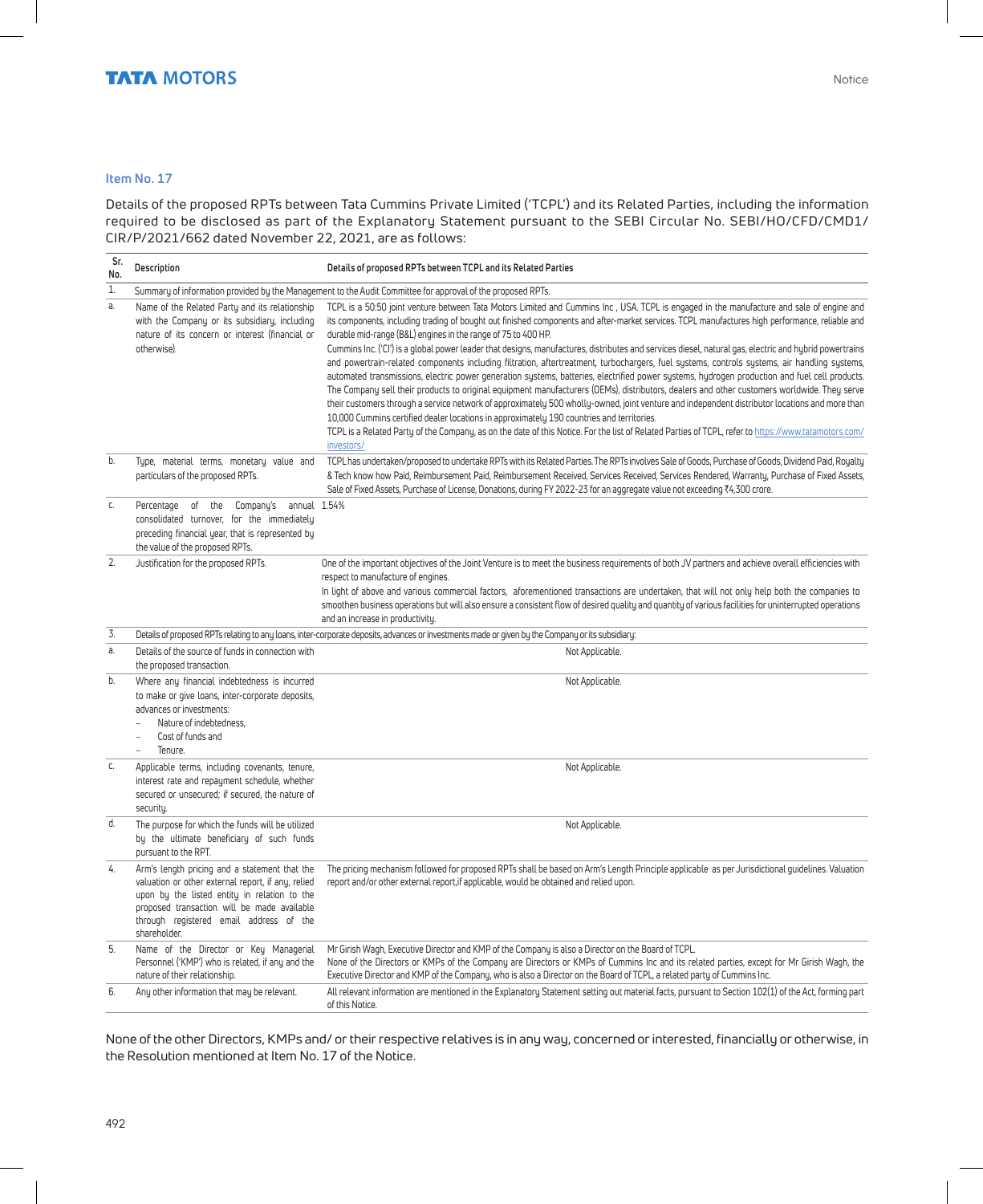#### **Item No. 17**

Details of the proposed RPTs between Tata Cummins Private Limited ('TCPL') and its Related Parties, including the information required to be disclosed as part of the Explanatory Statement pursuant to the SEBI Circular No. SEBI/HO/CFD/CMD1/ CIR/P/2021/662 dated November 22, 2021, are as follows:

| Sr.<br>No. | Description                                                                                                                                                                                                                                                   | Details of proposed RPTs between TCPL and its Related Parties                                                                                                                                                                                                                                                                                                                                                                                                                                                                                                                                                                                                                                                                                                                                                                                                                                                                                                                                                                                                                                                                                                                                                                                                                                                                                                                                 |
|------------|---------------------------------------------------------------------------------------------------------------------------------------------------------------------------------------------------------------------------------------------------------------|-----------------------------------------------------------------------------------------------------------------------------------------------------------------------------------------------------------------------------------------------------------------------------------------------------------------------------------------------------------------------------------------------------------------------------------------------------------------------------------------------------------------------------------------------------------------------------------------------------------------------------------------------------------------------------------------------------------------------------------------------------------------------------------------------------------------------------------------------------------------------------------------------------------------------------------------------------------------------------------------------------------------------------------------------------------------------------------------------------------------------------------------------------------------------------------------------------------------------------------------------------------------------------------------------------------------------------------------------------------------------------------------------|
| 1.         |                                                                                                                                                                                                                                                               | Summary of information provided by the Management to the Audit Committee for approval of the proposed RPTs.                                                                                                                                                                                                                                                                                                                                                                                                                                                                                                                                                                                                                                                                                                                                                                                                                                                                                                                                                                                                                                                                                                                                                                                                                                                                                   |
| a.         | Name of the Related Party and its relationship<br>with the Company or its subsidiary, including<br>nature of its concern or interest (financial or<br>otherwise).                                                                                             | TCPL is a 50:50 joint venture between Tata Motors Limited and Cummins Inc., USA. TCPL is engaged in the manufacture and sale of engine and<br>its components, including trading of bought out finished components and after-market services. TCPL manufactures high performance, reliable and<br>durable mid-range (B&L) engines in the range of 75 to 400 HP.<br>Cummins Inc. ('CI') is a global power leader that designs, manufactures, distributes and services diesel, natural gas, electric and hybrid powertrains<br>and powertrain-related components including filtration, aftertreatment, turbochargers, fuel systems, controls systems, air handling systems,<br>automated transmissions, electric power generation systems, batteries, electrified power systems, hydrogen production and fuel cell products.<br>The Company sell their products to original equipment manufacturers (OEMs), distributors, dealers and other customers worldwide. They serve<br>their customers through a service network of approximately 500 wholly-owned, joint venture and independent distributor locations and more than<br>10,000 Cummins certified dealer locations in approximately 190 countries and territories.<br>TCPL is a Related Party of the Company, as on the date of this Notice. For the list of Related Parties of TCPL, refer to https://www.tatamotors.com/<br>investors/ |
| b.         | Type, material terms, monetary value and<br>particulars of the proposed RPTs.                                                                                                                                                                                 | TCPL has undertaken/proposed to undertake RPTs with its Related Parties. The RPTs involves Sale of Goods, Purchase of Goods, Dividend Paid, Royalty<br>& Tech know how Paid, Reimbursement Paid, Reimbursement Received, Services Received, Services Rendered, Warranty, Purchase of Fixed Assets,<br>Sale of Fixed Assets, Purchase of License, Donations, during FY 2022-23 for an aggregate value not exceeding ₹4,300 crore.                                                                                                                                                                                                                                                                                                                                                                                                                                                                                                                                                                                                                                                                                                                                                                                                                                                                                                                                                              |
| C.         | Percentage of the Company's annual 1.54%<br>consolidated turnover, for the immediately<br>preceding financial year, that is represented by<br>the value of the proposed RPTs.                                                                                 |                                                                                                                                                                                                                                                                                                                                                                                                                                                                                                                                                                                                                                                                                                                                                                                                                                                                                                                                                                                                                                                                                                                                                                                                                                                                                                                                                                                               |
| 2.         | Justification for the proposed RPTs.                                                                                                                                                                                                                          | One of the important objectives of the Joint Venture is to meet the business requirements of both JV partners and achieve overall efficiencies with<br>respect to manufacture of engines.<br>In light of above and various commercial factors, aforementioned transactions are undertaken, that will not only help both the companies to<br>smoothen business operations but will also ensure a consistent flow of desired quality and quantity of various facilities for uninterrupted operations<br>and an increase in productivity.                                                                                                                                                                                                                                                                                                                                                                                                                                                                                                                                                                                                                                                                                                                                                                                                                                                        |
| 3.         |                                                                                                                                                                                                                                                               | Details of proposed RPTs relating to any loans, inter-corporate deposits, advances or investments made or given by the Company or its subsidiary:                                                                                                                                                                                                                                                                                                                                                                                                                                                                                                                                                                                                                                                                                                                                                                                                                                                                                                                                                                                                                                                                                                                                                                                                                                             |
| a.         | Details of the source of funds in connection with<br>the proposed transaction.                                                                                                                                                                                | Not Applicable.                                                                                                                                                                                                                                                                                                                                                                                                                                                                                                                                                                                                                                                                                                                                                                                                                                                                                                                                                                                                                                                                                                                                                                                                                                                                                                                                                                               |
| b.         | Where any financial indebtedness is incurred<br>to make or give loans, inter-corporate deposits,<br>advances or investments:<br>Nature of indebtedness,<br>Cost of funds and<br>$\overline{a}$<br>Tenure.                                                     | Not Applicable.                                                                                                                                                                                                                                                                                                                                                                                                                                                                                                                                                                                                                                                                                                                                                                                                                                                                                                                                                                                                                                                                                                                                                                                                                                                                                                                                                                               |
| C.         | Applicable terms, including covenants, tenure,<br>interest rate and repayment schedule, whether<br>secured or unsecured; if secured, the nature of<br>security.                                                                                               | Not Applicable.                                                                                                                                                                                                                                                                                                                                                                                                                                                                                                                                                                                                                                                                                                                                                                                                                                                                                                                                                                                                                                                                                                                                                                                                                                                                                                                                                                               |
| d.         | The purpose for which the funds will be utilized<br>by the ultimate beneficiary of such funds<br>pursuant to the RPT.                                                                                                                                         | Not Applicable.                                                                                                                                                                                                                                                                                                                                                                                                                                                                                                                                                                                                                                                                                                                                                                                                                                                                                                                                                                                                                                                                                                                                                                                                                                                                                                                                                                               |
| 4.         | Arm's length pricing and a statement that the<br>valuation or other external report, if any, relied<br>upon by the listed entity in relation to the<br>proposed transaction will be made available<br>through registered email address of the<br>shareholder. | The pricing mechanism followed for proposed RPTs shall be based on Arm's Length Principle applicable as per Jurisdictional guidelines. Valuation<br>report and/or other external report, if applicable, would be obtained and relied upon.                                                                                                                                                                                                                                                                                                                                                                                                                                                                                                                                                                                                                                                                                                                                                                                                                                                                                                                                                                                                                                                                                                                                                    |
| 5.         | Name of the Director or Key Managerial<br>Personnel ('KMP') who is related, if any and the<br>nature of their relationship.                                                                                                                                   | Mr Girish Wagh, Executive Director and KMP of the Company is also a Director on the Board of TCPL.<br>None of the Directors or KMPs of the Company are Directors or KMPs of Cummins Inc and its related parties, except for Mr Girish Wagh, the<br>Executive Director and KMP of the Company, who is also a Director on the Board of TCPL, a related party of Cummins Inc.                                                                                                                                                                                                                                                                                                                                                                                                                                                                                                                                                                                                                                                                                                                                                                                                                                                                                                                                                                                                                    |
| 6.         | Any other information that may be relevant.                                                                                                                                                                                                                   | All relevant information are mentioned in the Explanatory Statement setting out material facts, pursuant to Section 102(1) of the Act, forming part<br>of this Notice.                                                                                                                                                                                                                                                                                                                                                                                                                                                                                                                                                                                                                                                                                                                                                                                                                                                                                                                                                                                                                                                                                                                                                                                                                        |

None of the other Directors, KMPs and/ or their respective relatives is in any way, concerned or interested, financially or otherwise, in the Resolution mentioned at Item No. 17 of the Notice.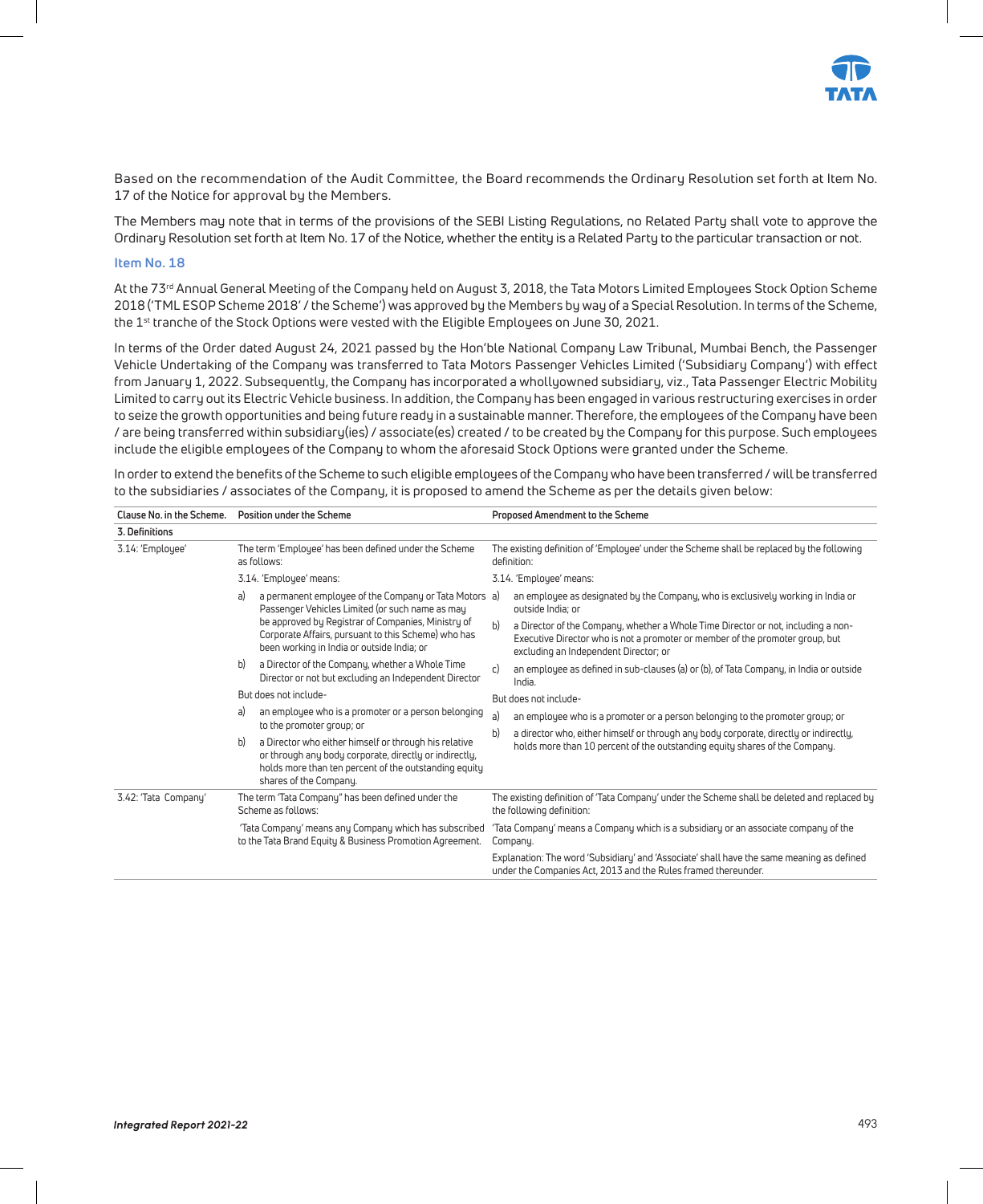

Based on the recommendation of the Audit Committee, the Board recommends the Ordinary Resolution set forth at Item No. 17 of the Notice for approval by the Members.

The Members may note that in terms of the provisions of the SEBI Listing Regulations, no Related Party shall vote to approve the Ordinary Resolution set forth at Item No. 17 of the Notice, whether the entity is a Related Party to the particular transaction or not.

#### **Item No. 18**

At the 73<sup>rd</sup> Annual General Meeting of the Company held on August 3, 2018, the Tata Motors Limited Employees Stock Option Scheme 2018 ('TML ESOP Scheme 2018' / the Scheme') was approved by the Members by way of a Special Resolution. In terms of the Scheme, the 1<sup>st</sup> tranche of the Stock Options were vested with the Eligible Employees on June 30, 2021.

In terms of the Order dated August 24, 2021 passed by the Hon'ble National Company Law Tribunal, Mumbai Bench, the Passenger Vehicle Undertaking of the Company was transferred to Tata Motors Passenger Vehicles Limited ('Subsidiary Company') with effect from January 1, 2022. Subsequently, the Company has incorporated a whollyowned subsidiary, viz., Tata Passenger Electric Mobility Limited to carry out its Electric Vehicle business. In addition, the Company has been engaged in various restructuring exercises in order to seize the growth opportunities and being future ready in a sustainable manner. Therefore, the employees of the Company have been / are being transferred within subsidiary(ies) / associate(es) created / to be created by the Company for this purpose. Such employees include the eligible employees of the Company to whom the aforesaid Stock Options were granted under the Scheme.

In order to extend the benefits of the Scheme to such eligible employees of the Company who have been transferred / will be transferred to the subsidiaries / associates of the Company, it is proposed to amend the Scheme as per the details given below:

| Clause No. in the Scheme. |    | Position under the Scheme                                                                                                                                                                          |    | Proposed Amendment to the Scheme                                                                                                                                                                            |
|---------------------------|----|----------------------------------------------------------------------------------------------------------------------------------------------------------------------------------------------------|----|-------------------------------------------------------------------------------------------------------------------------------------------------------------------------------------------------------------|
| 3. Definitions            |    |                                                                                                                                                                                                    |    |                                                                                                                                                                                                             |
| 3.14: 'Employee'          |    | The term 'Employee' has been defined under the Scheme<br>as follows:                                                                                                                               |    | The existing definition of 'Employee' under the Scheme shall be replaced by the following<br>definition:                                                                                                    |
|                           |    | 3.14. 'Employee' means:                                                                                                                                                                            |    | 3.14. 'Employee' means:                                                                                                                                                                                     |
|                           | a) | a permanent employee of the Company or Tata Motors a)<br>Passenger Vehicles Limited (or such name as may                                                                                           |    | an employee as designated by the Company, who is exclusively working in India or<br>outside India: or                                                                                                       |
|                           |    | be approved by Registrar of Companies, Ministry of<br>Corporate Affairs, pursuant to this Scheme) who has<br>been working in India or outside India; or                                            | b) | a Director of the Company, whether a Whole Time Director or not, including a non-<br>Executive Director who is not a promoter or member of the promoter group, but<br>excluding an Independent Director; or |
|                           | b) | a Director of the Company, whether a Whole Time<br>Director or not but excluding an Independent Director                                                                                           | c) | an employee as defined in sub-clauses (a) or (b), of Tata Company, in India or outside<br>India.                                                                                                            |
|                           |    | But does not include-                                                                                                                                                                              |    | But does not include-                                                                                                                                                                                       |
|                           | a) | an employee who is a promoter or a person belonging<br>to the promoter group; or                                                                                                                   | a) | an employee who is a promoter or a person belonging to the promoter group; or                                                                                                                               |
|                           | b) | a Director who either himself or through his relative<br>or through any body corporate, directly or indirectly,<br>holds more than ten percent of the outstanding equity<br>shares of the Company. | b) | a director who, either himself or through any body corporate, directly or indirectly,<br>holds more than 10 percent of the outstanding equity shares of the Company.                                        |
| 3.42: 'Tata Company'      |    | The term 'Tata Company" has been defined under the<br>Scheme as follows:                                                                                                                           |    | The existing definition of 'Tata Company' under the Scheme shall be deleted and replaced by<br>the following definition:                                                                                    |
|                           |    | 'Tata Company' means any Company which has subscribed<br>to the Tata Brand Equity & Business Promotion Agreement.                                                                                  |    | 'Tata Company' means a Company which is a subsidiary or an associate company of the<br>Company.                                                                                                             |
|                           |    |                                                                                                                                                                                                    |    | Explanation: The word 'Subsidiary' and 'Associate' shall have the same meaning as defined<br>under the Companies Act, 2013 and the Rules framed thereunder.                                                 |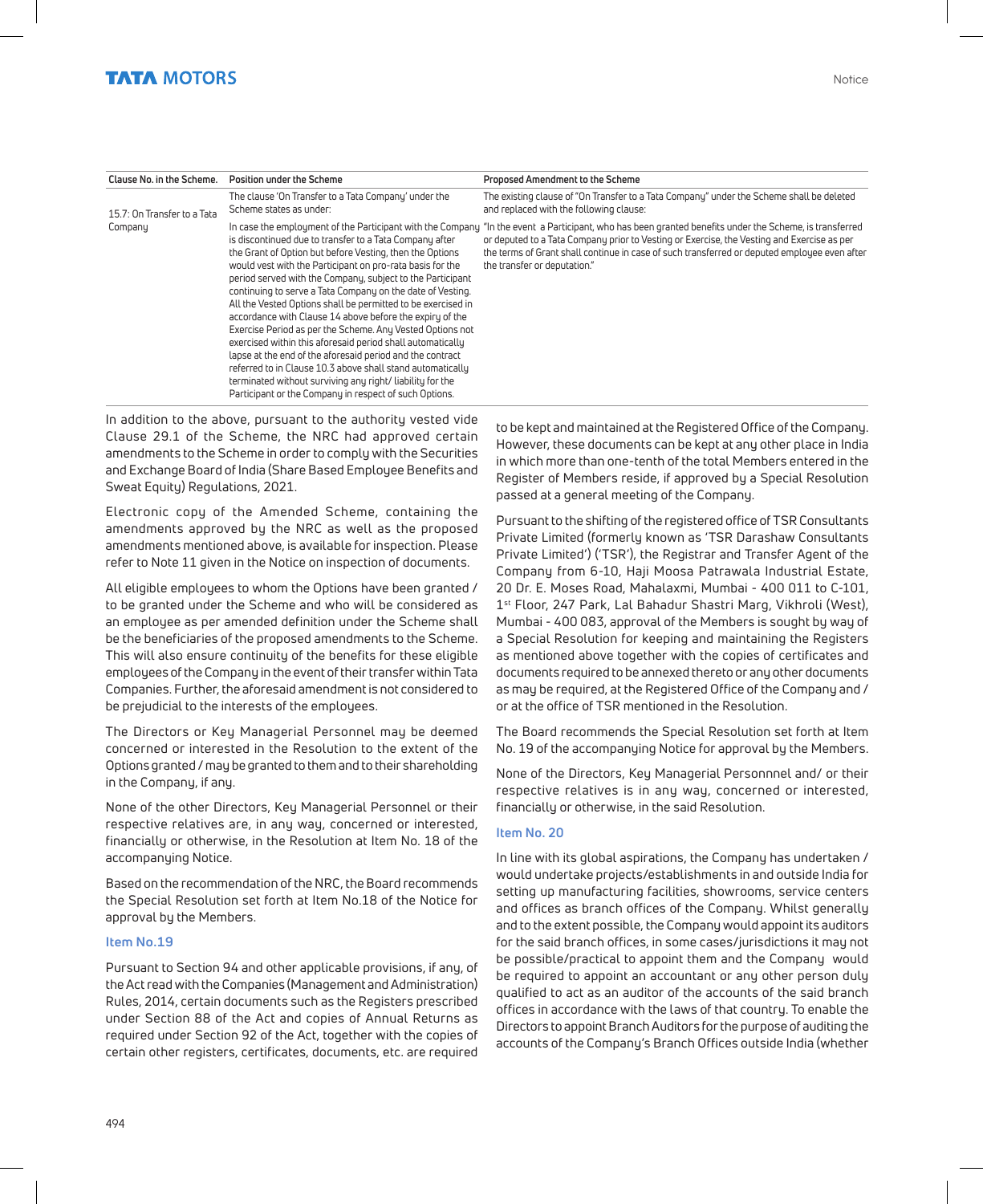| Clause No. in the Scheme.   | Position under the Scheme                                                                                                                                                                                                                                                                                                                                                                                                                                                                                                                                                                                                                                                                                                                                                                                             | Proposed Amendment to the Scheme                                                                                                                                                                                                                                                                                                                                                     |
|-----------------------------|-----------------------------------------------------------------------------------------------------------------------------------------------------------------------------------------------------------------------------------------------------------------------------------------------------------------------------------------------------------------------------------------------------------------------------------------------------------------------------------------------------------------------------------------------------------------------------------------------------------------------------------------------------------------------------------------------------------------------------------------------------------------------------------------------------------------------|--------------------------------------------------------------------------------------------------------------------------------------------------------------------------------------------------------------------------------------------------------------------------------------------------------------------------------------------------------------------------------------|
| 15.7: On Transfer to a Tata | The clause 'On Transfer to a Tata Company' under the<br>Scheme states as under:                                                                                                                                                                                                                                                                                                                                                                                                                                                                                                                                                                                                                                                                                                                                       | The existing clause of "On Transfer to a Tata Company" under the Scheme shall be deleted<br>and replaced with the following clause:                                                                                                                                                                                                                                                  |
| Company                     | is discontinued due to transfer to a Tata Company after<br>the Grant of Option but before Vesting, then the Options<br>would vest with the Participant on pro-rata basis for the<br>period served with the Company, subject to the Participant<br>continuing to serve a Tata Company on the date of Vesting.<br>All the Vested Options shall be permitted to be exercised in<br>accordance with Clause 14 above before the expiry of the<br>Exercise Period as per the Scheme. Any Vested Options not<br>exercised within this aforesaid period shall automatically<br>lapse at the end of the aforesaid period and the contract<br>referred to in Clause 10.3 above shall stand automatically<br>terminated without surviving any right/ liability for the<br>Participant or the Company in respect of such Options. | In case the employment of the Participant with the Company "In the event a Participant, who has been granted benefits under the Scheme, is transferred<br>or deputed to a Tata Company prior to Vesting or Exercise, the Vesting and Exercise as per<br>the terms of Grant shall continue in case of such transferred or deputed employee even after<br>the transfer or deputation." |

In addition to the above, pursuant to the authority vested vide Clause 29.1 of the Scheme, the NRC had approved certain amendments to the Scheme in order to comply with the Securities and Exchange Board of India (Share Based Employee Benefits and Sweat Equity) Regulations, 2021.

Electronic copy of the Amended Scheme, containing the amendments approved by the NRC as well as the proposed amendments mentioned above, is available for inspection. Please refer to Note 11 given in the Notice on inspection of documents.

All eligible employees to whom the Options have been granted / to be granted under the Scheme and who will be considered as an employee as per amended definition under the Scheme shall be the beneficiaries of the proposed amendments to the Scheme. This will also ensure continuity of the benefits for these eligible employees of the Company in the event of their transfer within Tata Companies. Further, the aforesaid amendment is not considered to be prejudicial to the interests of the employees.

The Directors or Key Managerial Personnel may be deemed concerned or interested in the Resolution to the extent of the Options granted / may be granted to them and to their shareholding in the Company, if any.

None of the other Directors, Key Managerial Personnel or their respective relatives are, in any way, concerned or interested, financially or otherwise, in the Resolution at Item No. 18 of the accompanying Notice.

Based on the recommendation of the NRC, the Board recommends the Special Resolution set forth at Item No.18 of the Notice for approval by the Members.

#### **Item No.19**

Pursuant to Section 94 and other applicable provisions, if any, of the Act read with the Companies (Management and Administration) Rules, 2014, certain documents such as the Registers prescribed under Section 88 of the Act and copies of Annual Returns as required under Section 92 of the Act, together with the copies of certain other registers, certificates, documents, etc. are required

to be kept and maintained at the Registered Office of the Company. However, these documents can be kept at any other place in India in which more than one-tenth of the total Members entered in the Register of Members reside, if approved by a Special Resolution passed at a general meeting of the Company.

Pursuant to the shifting of the registered office of TSR Consultants Private Limited (formerly known as 'TSR Darashaw Consultants Private Limited') ('TSR'), the Registrar and Transfer Agent of the Company from 6-10, Haji Moosa Patrawala Industrial Estate, 20 Dr. E. Moses Road, Mahalaxmi, Mumbai - 400 011 to C-101, 1st Floor, 247 Park, Lal Bahadur Shastri Marg, Vikhroli (West), Mumbai - 400 083, approval of the Members is sought by way of a Special Resolution for keeping and maintaining the Registers as mentioned above together with the copies of certificates and documents required to be annexed thereto or any other documents as may be required, at the Registered Office of the Company and / or at the office of TSR mentioned in the Resolution.

The Board recommends the Special Resolution set forth at Item No. 19 of the accompanying Notice for approval by the Members.

None of the Directors, Key Managerial Personnnel and/ or their respective relatives is in any way, concerned or interested, financially or otherwise, in the said Resolution.

#### **Item No. 20**

In line with its global aspirations, the Company has undertaken / would undertake projects/establishments in and outside India for setting up manufacturing facilities, showrooms, service centers and offices as branch offices of the Company. Whilst generally and to the extent possible, the Company would appoint its auditors for the said branch offices, in some cases/jurisdictions it may not be possible/practical to appoint them and the Company would be required to appoint an accountant or any other person duly qualified to act as an auditor of the accounts of the said branch offices in accordance with the laws of that country. To enable the Directors to appoint Branch Auditors for the purpose of auditing the accounts of the Company's Branch Offices outside India (whether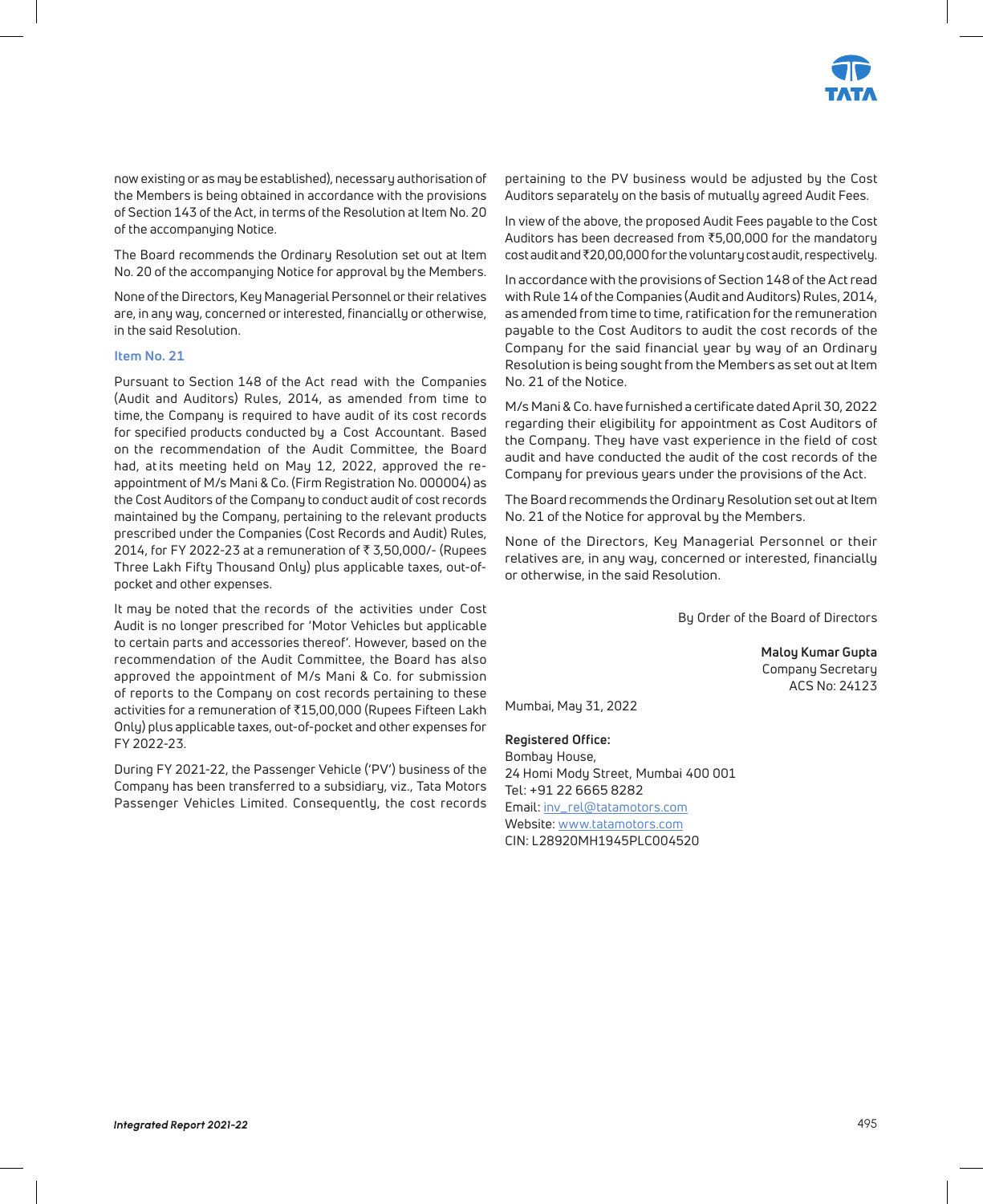

now existing or as may be established), necessary authorisation of the Members is being obtained in accordance with the provisions of Section 143 of the Act, in terms of the Resolution at Item No. 20 of the accompanying Notice.

The Board recommends the Ordinary Resolution set out at Item No. 20 of the accompanying Notice for approval by the Members.

None of the Directors, Key Managerial Personnel or their relatives are, in any way, concerned or interested, financially or otherwise, in the said Resolution.

#### **Item No. 21**

Pursuant to Section 148 of the Act read with the Companies (Audit and Auditors) Rules, 2014, as amended from time to time, the Company is required to have audit of its cost records for specified products conducted by a Cost Accountant. Based on the recommendation of the Audit Committee, the Board had, at its meeting held on May 12, 2022, approved the reappointment of M/s Mani & Co. (Firm Registration No. 000004) as the Cost Auditors of the Company to conduct audit of cost records maintained by the Company, pertaining to the relevant products prescribed under the Companies (Cost Records and Audit) Rules, 2014, for FY 2022-23 at a remuneration of ₹3,50,000/- (Rupees Three Lakh Fifty Thousand Only) plus applicable taxes, out-ofpocket and other expenses.

It may be noted that the records of the activities under Cost Audit is no longer prescribed for 'Motor Vehicles but applicable to certain parts and accessories thereof'. However, based on the recommendation of the Audit Committee, the Board has also approved the appointment of M/s Mani & Co. for submission of reports to the Company on cost records pertaining to these activities for a remuneration of ₹15,00,000 (Rupees Fifteen Lakh Only) plus applicable taxes, out-of-pocket and other expenses for FY 2022-23.

During FY 2021-22, the Passenger Vehicle ('PV') business of the Company has been transferred to a subsidiary, viz., Tata Motors Passenger Vehicles Limited. Consequently, the cost records pertaining to the PV business would be adjusted by the Cost Auditors separately on the basis of mutually agreed Audit Fees.

In view of the above, the proposed Audit Fees payable to the Cost Auditors has been decreased from  $\overline{5,00,000}$  for the mandatory cost audit and ₹20,00,000 for the voluntary cost audit, respectively.

In accordance with the provisions of Section 148 of the Act read with Rule 14 of the Companies (Audit and Auditors) Rules, 2014, as amended from time to time, ratification for the remuneration payable to the Cost Auditors to audit the cost records of the Company for the said financial year by way of an Ordinary Resolution is being sought from the Members as set out at Item No. 21 of the Notice.

M/s Mani & Co. have furnished a certificate dated April 30, 2022 regarding their eligibility for appointment as Cost Auditors of the Company. They have vast experience in the field of cost audit and have conducted the audit of the cost records of the Company for previous years under the provisions of the Act.

The Board recommends the Ordinary Resolution set out at Item No. 21 of the Notice for approval by the Members.

None of the Directors, Key Managerial Personnel or their relatives are, in any way, concerned or interested, financially or otherwise, in the said Resolution.

By Order of the Board of Directors

**Maloy Kumar Gupta** Company Secretary ACS No: 24123

Mumbai, May 31, 2022

#### **Registered Office:**

Bombay House, 24 Homi Mody Street, Mumbai 400 001 Tel: +91 22 6665 8282 Email: inv\_rel@tatamotors.com Website: www.tatamotors.com CIN: L28920MH1945PLC004520